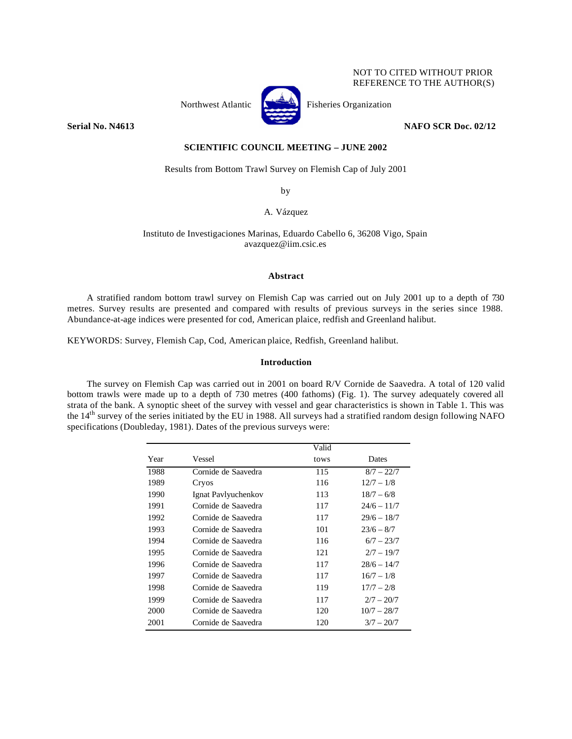## NOT TO CITED WITHOUT PRIOR REFERENCE TO THE AUTHOR(S)



Northwest Atlantic  $\begin{bmatrix} 1 & 1 \\ 1 & 1 \end{bmatrix}$  Fisheries Organization

**Serial No. N4613 NAFO SCR Doc. 02/12 NAFO SCR Doc. 02/12** 

# **SCIENTIFIC COUNCIL MEETING – JUNE 2002**

Results from Bottom Trawl Survey on Flemish Cap of July 2001

by

A. Vázquez

Instituto de Investigaciones Marinas, Eduardo Cabello 6, 36208 Vigo, Spain avazquez@iim.csic.es

### **Abstract**

A stratified random bottom trawl survey on Flemish Cap was carried out on July 2001 up to a depth of 730 metres. Survey results are presented and compared with results of previous surveys in the series since 1988. Abundance-at-age indices were presented for cod, American plaice, redfish and Greenland halibut.

KEYWORDS: Survey, Flemish Cap, Cod, American plaice, Redfish, Greenland halibut.

# **Introduction**

The survey on Flemish Cap was carried out in 2001 on board R/V Cornide de Saavedra. A total of 120 valid bottom trawls were made up to a depth of 730 metres (400 fathoms) (Fig. 1). The survey adequately covered all strata of the bank. A synoptic sheet of the survey with vessel and gear characteristics is shown in Table 1. This was the 14<sup>th</sup> survey of the series initiated by the EU in 1988. All surveys had a stratified random design following NAFO specifications (Doubleday, 1981). Dates of the previous surveys were:

|      |                     | Valid |               |
|------|---------------------|-------|---------------|
| Year | Vessel              | tows  | <b>Dates</b>  |
| 1988 | Cornide de Saavedra | 115   | $8/7 - 22/7$  |
| 1989 | Cryos               | 116   | $12/7 - 1/8$  |
| 1990 | Ignat Pavlyuchenkov | 113   | $18/7 - 6/8$  |
| 1991 | Cornide de Saavedra | 117   | $24/6 - 11/7$ |
| 1992 | Cornide de Saavedra | 117   | $29/6 - 18/7$ |
| 1993 | Cornide de Saavedra | 101   | $23/6 - 8/7$  |
| 1994 | Cornide de Saavedra | 116   | $6/7 - 23/7$  |
| 1995 | Cornide de Saavedra | 121   | $2/7 - 19/7$  |
| 1996 | Cornide de Saavedra | 117   | $28/6 - 14/7$ |
| 1997 | Cornide de Saavedra | 117   | $16/7 - 1/8$  |
| 1998 | Cornide de Saavedra | 119   | $17/7 - 2/8$  |
| 1999 | Cornide de Saavedra | 117   | $2/7 - 20/7$  |
| 2000 | Cornide de Saavedra | 120   | $10/7 - 28/7$ |
| 2001 | Cornide de Saavedra | 120   | $3/7 - 20/7$  |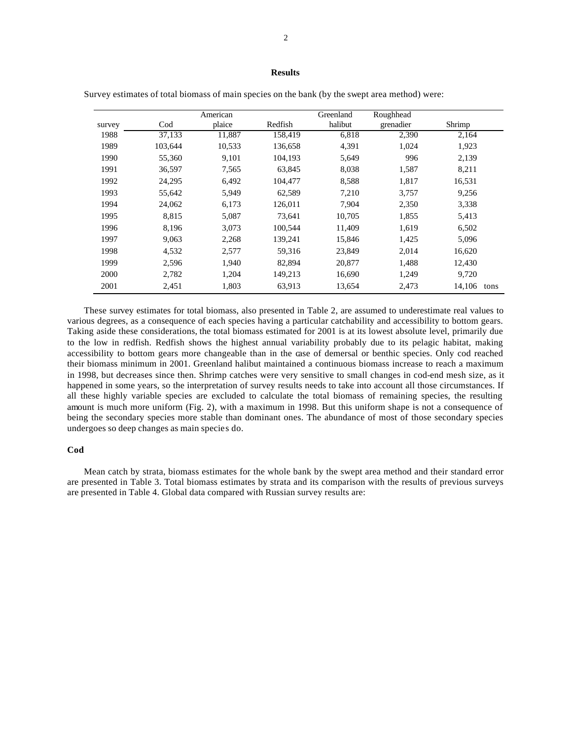# **Results**

|        |           | American |         | Greenland | Roughhead |        |      |
|--------|-----------|----------|---------|-----------|-----------|--------|------|
| survey | $\rm Cod$ | plaice   | Redfish | halibut   | grenadier | Shrimp |      |
| 1988   | 37,133    | 11,887   | 158,419 | 6,818     | 2,390     | 2,164  |      |
| 1989   | 103,644   | 10,533   | 136,658 | 4,391     | 1,024     | 1,923  |      |
| 1990   | 55,360    | 9,101    | 104,193 | 5,649     | 996       | 2,139  |      |
| 1991   | 36,597    | 7,565    | 63,845  | 8,038     | 1,587     | 8,211  |      |
| 1992   | 24,295    | 6,492    | 104,477 | 8,588     | 1,817     | 16,531 |      |
| 1993   | 55,642    | 5,949    | 62,589  | 7,210     | 3,757     | 9,256  |      |
| 1994   | 24,062    | 6,173    | 126,011 | 7,904     | 2,350     | 3,338  |      |
| 1995   | 8,815     | 5,087    | 73,641  | 10,705    | 1,855     | 5,413  |      |
| 1996   | 8,196     | 3,073    | 100,544 | 11,409    | 1,619     | 6,502  |      |
| 1997   | 9,063     | 2,268    | 139,241 | 15,846    | 1,425     | 5,096  |      |
| 1998   | 4,532     | 2,577    | 59,316  | 23,849    | 2,014     | 16,620 |      |
| 1999   | 2,596     | 1.940    | 82,894  | 20,877    | 1,488     | 12,430 |      |
| 2000   | 2,782     | 1,204    | 149,213 | 16,690    | 1,249     | 9,720  |      |
| 2001   | 2,451     | 1,803    | 63,913  | 13,654    | 2,473     | 14,106 | tons |

Survey estimates of total biomass of main species on the bank (by the swept area method) were:

These survey estimates for total biomass, also presented in Table 2, are assumed to underestimate real values to various degrees, as a consequence of each species having a particular catchability and accessibility to bottom gears. Taking aside these considerations, the total biomass estimated for 2001 is at its lowest absolute level, primarily due to the low in redfish. Redfish shows the highest annual variability probably due to its pelagic habitat, making accessibility to bottom gears more changeable than in the case of demersal or benthic species. Only cod reached their biomass minimum in 2001. Greenland halibut maintained a continuous biomass increase to reach a maximum in 1998, but decreases since then. Shrimp catches were very sensitive to small changes in cod-end mesh size, as it happened in some years, so the interpretation of survey results needs to take into account all those circumstances. If all these highly variable species are excluded to calculate the total biomass of remaining species, the resulting amount is much more uniform (Fig. 2), with a maximum in 1998. But this uniform shape is not a consequence of being the secondary species more stable than dominant ones. The abundance of most of those secondary species undergoes so deep changes as main species do.

#### **Cod**

Mean catch by strata, biomass estimates for the whole bank by the swept area method and their standard error are presented in Table 3. Total biomass estimates by strata and its comparison with the results of previous surveys are presented in Table 4. Global data compared with Russian survey results are: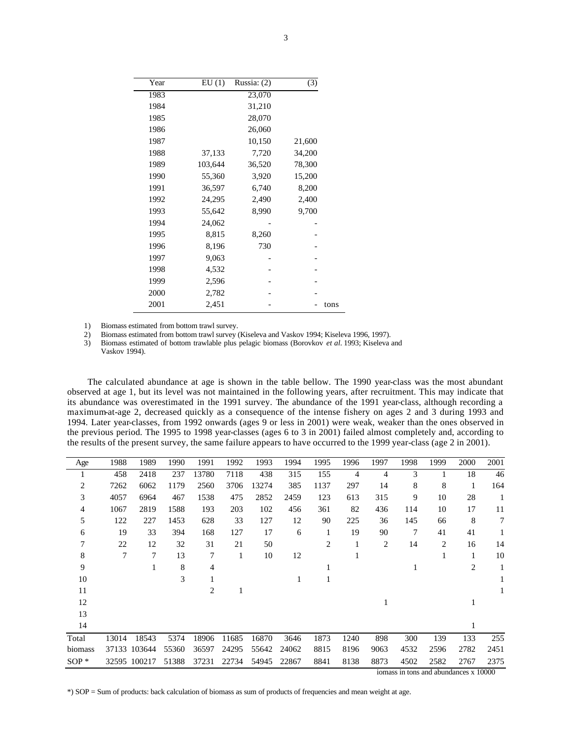|      | (3)    | Russia: (2) | EU(1)   | Year |
|------|--------|-------------|---------|------|
|      |        | 23,070      |         | 1983 |
|      |        | 31,210      |         | 1984 |
|      |        | 28,070      |         | 1985 |
|      |        | 26,060      |         | 1986 |
|      | 21,600 | 10,150      |         | 1987 |
|      | 34,200 | 7,720       | 37,133  | 1988 |
|      | 78,300 | 36,520      | 103,644 | 1989 |
|      | 15,200 | 3,920       | 55,360  | 1990 |
|      | 8,200  | 6,740       | 36,597  | 1991 |
|      | 2,400  | 2,490       | 24,295  | 1992 |
|      | 9,700  | 8,990       | 55,642  | 1993 |
|      |        |             | 24,062  | 1994 |
|      |        | 8,260       | 8,815   | 1995 |
|      |        | 730         | 8,196   | 1996 |
|      |        |             | 9,063   | 1997 |
|      |        |             | 4,532   | 1998 |
|      |        |             | 2,596   | 1999 |
|      |        |             | 2,782   | 2000 |
| tons |        |             | 2,451   | 2001 |

1) Biomass estimated from bottom trawl survey.

2) Biomass estimated from bottom trawl survey (Kiseleva and Vaskov 1994; Kiseleva 1996, 1997).<br>
3) Biomass estimated of bottom trawlable plus pelagic biomass (Borovkov *et al.* 1993; Kiseleva a

3) Biomass estimated of bottom trawlable plus pelagic biomass (Borovkov *et al.* 1993; Kiseleva and Vaskov 1994).

The calculated abundance at age is shown in the table bellow. The 1990 year-class was the most abundant observed at age 1, but its level was not maintained in the following years, after recruitment. This may indicate that its abundance was overestimated in the 1991 survey. The abundance of the 1991 year-class, although recording a maximum-at-age 2, decreased quickly as a consequence of the intense fishery on ages 2 and 3 during 1993 and 1994. Later year-classes, from 1992 onwards (ages 9 or less in 2001) were weak, weaker than the ones observed in the previous period. The 1995 to 1998 year-classes (ages 6 to 3 in 2001) failed almost completely and, according to the results of the present survey, the same failure appears to have occurred to the 1999 year-class (age 2 in 2001).

| Age     | 1988  | 1989         | 1990  | 1991           | 1992  | 1993  | 1994  | 1995           | 1996 | 1997           | 1998 | 1999        | 2000           | 2001  |
|---------|-------|--------------|-------|----------------|-------|-------|-------|----------------|------|----------------|------|-------------|----------------|-------|
| 1       | 458   | 2418         | 237   | 13780          | 7118  | 438   | 315   | 155            | 4    | 4              | 3    |             | 18             | 46    |
| 2       | 7262  | 6062         | 1179  | 2560           | 3706  | 13274 | 385   | 1137           | 297  | 14             | 8    | 8           | 1              | 164   |
| 3       | 4057  | 6964         | 467   | 1538           | 475   | 2852  | 2459  | 123            | 613  | 315            | 9    | 10          | 28             | 1     |
| 4       | 1067  | 2819         | 1588  | 193            | 203   | 102   | 456   | 361            | 82   | 436            | 114  | 10          | 17             | 11    |
| 5       | 122   | 227          | 1453  | 628            | 33    | 127   | 12    | 90             | 225  | 36             | 145  | 66          | 8              | 7     |
| 6       | 19    | 33           | 394   | 168            | 127   | 17    | 6     | 1              | 19   | 90             | 7    | 41          | 41             |       |
| 7       | 22    | 12           | 32    | 31             | 21    | 50    |       | $\overline{2}$ |      | $\overline{c}$ | 14   | 2           | 16             | 14    |
| 8       | 7     | 7            | 13    | 7              | 1     | 10    | 12    |                |      |                |      | 1           | 1              | 10    |
| 9       |       |              | 8     | $\overline{4}$ |       |       |       |                |      |                |      |             | $\overline{2}$ |       |
| 10      |       |              | 3     |                |       |       |       |                |      |                |      |             |                |       |
| 11      |       |              |       | 2              |       |       |       |                |      |                |      |             |                |       |
| 12      |       |              |       |                |       |       |       |                |      |                |      |             |                |       |
| 13      |       |              |       |                |       |       |       |                |      |                |      |             |                |       |
| 14      |       |              |       |                |       |       |       |                |      |                |      |             |                |       |
| Total   | 13014 | 18543        | 5374  | 18906          | 11685 | 16870 | 3646  | 1873           | 1240 | 898            | 300  | 139         | 133            | 255   |
| biomass | 37133 | 103644       | 55360 | 36597          | 24295 | 55642 | 24062 | 8815           | 8196 | 9063           | 4532 | 2596        | 2782           | 2451  |
| $SOP*$  |       | 32595 100217 | 51388 | 37231          | 22734 | 54945 | 22867 | 8841           | 8138 | 8873           | 4502 | 2582        | 2767           | 2375  |
|         |       |              |       |                |       |       |       |                |      |                |      | $1 \quad 1$ |                | 10000 |

iomass in tons and abundances x 10000

\*) SOP = Sum of products: back calculation of biomass as sum of products of frequencies and mean weight at age.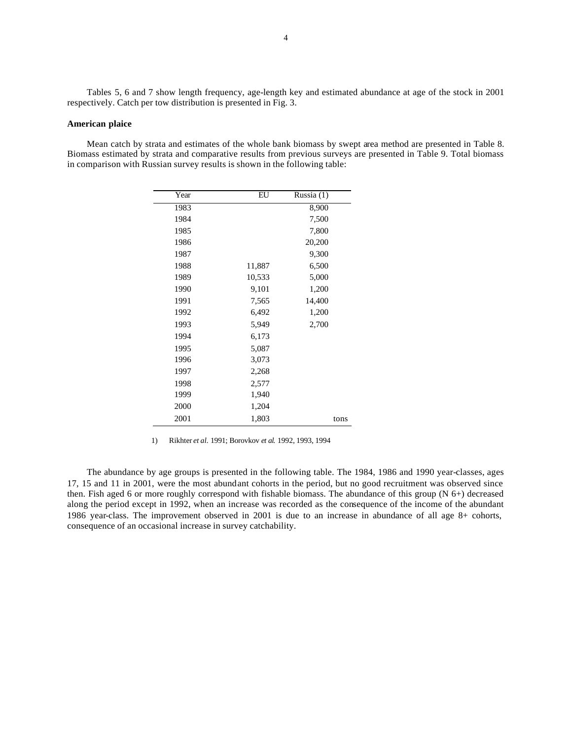Tables 5, 6 and 7 show length frequency, age-length key and estimated abundance at age of the stock in 2001 respectively. Catch per tow distribution is presented in Fig. 3.

### **American plaice**

Mean catch by strata and estimates of the whole bank biomass by swept area method are presented in Table 8. Biomass estimated by strata and comparative results from previous surveys are presented in Table 9. Total biomass in comparison with Russian survey results is shown in the following table:

| Year | EU     | $\overline{\text{Russia}}(1)$ |
|------|--------|-------------------------------|
| 1983 |        | 8,900                         |
| 1984 |        | 7,500                         |
| 1985 |        | 7,800                         |
| 1986 |        | 20,200                        |
| 1987 |        | 9,300                         |
| 1988 | 11,887 | 6,500                         |
| 1989 | 10,533 | 5,000                         |
| 1990 | 9,101  | 1,200                         |
| 1991 | 7,565  | 14,400                        |
| 1992 | 6,492  | 1,200                         |
| 1993 | 5,949  | 2,700                         |
| 1994 | 6,173  |                               |
| 1995 | 5,087  |                               |
| 1996 | 3,073  |                               |
| 1997 | 2,268  |                               |
| 1998 | 2,577  |                               |
| 1999 | 1,940  |                               |
| 2000 | 1,204  |                               |
| 2001 | 1,803  | tons                          |

1) Rikhter *et al.* 1991; Borovkov *et al.* 1992, 1993, 1994

The abundance by age groups is presented in the following table. The 1984, 1986 and 1990 year-classes, ages 17, 15 and 11 in 2001, were the most abundant cohorts in the period, but no good recruitment was observed since then. Fish aged 6 or more roughly correspond with fishable biomass. The abundance of this group (N 6+) decreased along the period except in 1992, when an increase was recorded as the consequence of the income of the abundant 1986 year-class. The improvement observed in 2001 is due to an increase in abundance of all age 8+ cohorts, consequence of an occasional increase in survey catchability.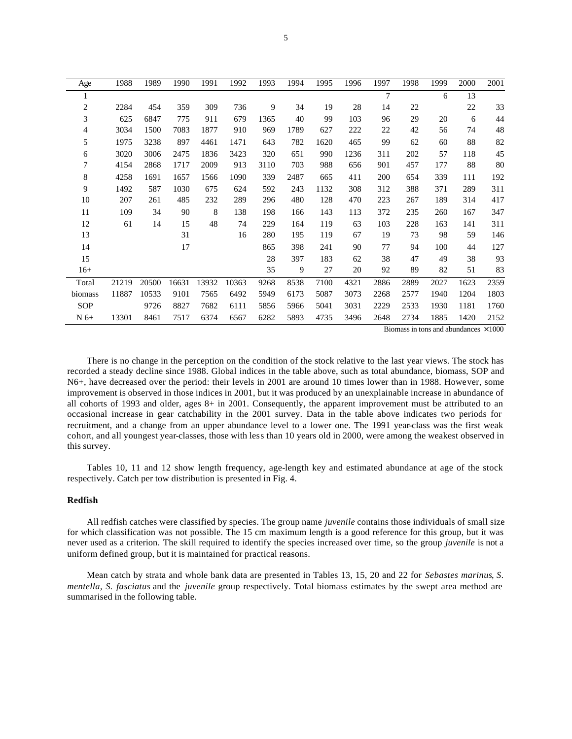| Age            | 1988  | 1989  | 1990  | 1991  | 1992  | 1993 | 1994 | 1995 | 1996 | 1997           | 1998 | 1999 | 2000 | 2001 |
|----------------|-------|-------|-------|-------|-------|------|------|------|------|----------------|------|------|------|------|
| $\perp$        |       |       |       |       |       |      |      |      |      | $\overline{7}$ |      | 6    | 13   |      |
| $\overline{c}$ | 2284  | 454   | 359   | 309   | 736   | 9    | 34   | 19   | 28   | 14             | 22   |      | 22   | 33   |
| 3              | 625   | 6847  | 775   | 911   | 679   | 1365 | 40   | 99   | 103  | 96             | 29   | 20   | 6    | 44   |
| 4              | 3034  | 1500  | 7083  | 1877  | 910   | 969  | 1789 | 627  | 222  | 22             | 42   | 56   | 74   | 48   |
| 5              | 1975  | 3238  | 897   | 4461  | 1471  | 643  | 782  | 1620 | 465  | 99             | 62   | 60   | 88   | 82   |
| 6              | 3020  | 3006  | 2475  | 1836  | 3423  | 320  | 651  | 990  | 1236 | 311            | 202  | 57   | 118  | 45   |
| 7              | 4154  | 2868  | 1717  | 2009  | 913   | 3110 | 703  | 988  | 656  | 901            | 457  | 177  | 88   | 80   |
| 8              | 4258  | 1691  | 1657  | 1566  | 1090  | 339  | 2487 | 665  | 411  | 200            | 654  | 339  | 111  | 192  |
| 9              | 1492  | 587   | 1030  | 675   | 624   | 592  | 243  | 1132 | 308  | 312            | 388  | 371  | 289  | 311  |
| 10             | 207   | 261   | 485   | 232   | 289   | 296  | 480  | 128  | 470  | 223            | 267  | 189  | 314  | 417  |
| 11             | 109   | 34    | 90    | 8     | 138   | 198  | 166  | 143  | 113  | 372            | 235  | 260  | 167  | 347  |
| 12             | 61    | 14    | 15    | 48    | 74    | 229  | 164  | 119  | 63   | 103            | 228  | 163  | 141  | 311  |
| 13             |       |       | 31    |       | 16    | 280  | 195  | 119  | 67   | 19             | 73   | 98   | 59   | 146  |
| 14             |       |       | 17    |       |       | 865  | 398  | 241  | 90   | 77             | 94   | 100  | 44   | 127  |
| 15             |       |       |       |       |       | 28   | 397  | 183  | 62   | 38             | 47   | 49   | 38   | 93   |
| $16+$          |       |       |       |       |       | 35   | 9    | 27   | 20   | 92             | 89   | 82   | 51   | 83   |
| Total          | 21219 | 20500 | 16631 | 13932 | 10363 | 9268 | 8538 | 7100 | 4321 | 2886           | 2889 | 2027 | 1623 | 2359 |
| biomass        | 11887 | 10533 | 9101  | 7565  | 6492  | 5949 | 6173 | 5087 | 3073 | 2268           | 2577 | 1940 | 1204 | 1803 |
| SOP            |       | 9726  | 8827  | 7682  | 6111  | 5856 | 5966 | 5041 | 3031 | 2229           | 2533 | 1930 | 1181 | 1760 |
| $N6+$          | 13301 | 8461  | 7517  | 6374  | 6567  | 6282 | 5893 | 4735 | 3496 | 2648           | 2734 | 1885 | 1420 | 2152 |

Biomass in tons and abundances  $\times 1000$ 

There is no change in the perception on the condition of the stock relative to the last year views. The stock has recorded a steady decline since 1988. Global indices in the table above, such as total abundance, biomass, SOP and N6+, have decreased over the period: their levels in 2001 are around 10 times lower than in 1988. However, some improvement is observed in those indices in 2001, but it was produced by an unexplainable increase in abundance of all cohorts of 1993 and older, ages 8+ in 2001. Consequently, the apparent improvement must be attributed to an occasional increase in gear catchability in the 2001 survey. Data in the table above indicates two periods for recruitment, and a change from an upper abundance level to a lower one. The 1991 year-class was the first weak cohort, and all youngest year-classes, those with less than 10 years old in 2000, were among the weakest observed in this survey.

Tables 10, 11 and 12 show length frequency, age-length key and estimated abundance at age of the stock respectively. Catch per tow distribution is presented in Fig. 4.

### **Redfish**

All redfish catches were classified by species. The group name *juvenile* contains those individuals of small size for which classification was not possible. The 15 cm maximum length is a good reference for this group, but it was never used as a criterion. The skill required to identify the species increased over time, so the group *juvenile* is not a uniform defined group, but it is maintained for practical reasons.

Mean catch by strata and whole bank data are presented in Tables 13, 15, 20 and 22 for *Sebastes marinus*, *S. mentella*, *S. fasciatus* and the *juvenile* group respectively. Total biomass estimates by the swept area method are summarised in the following table.

5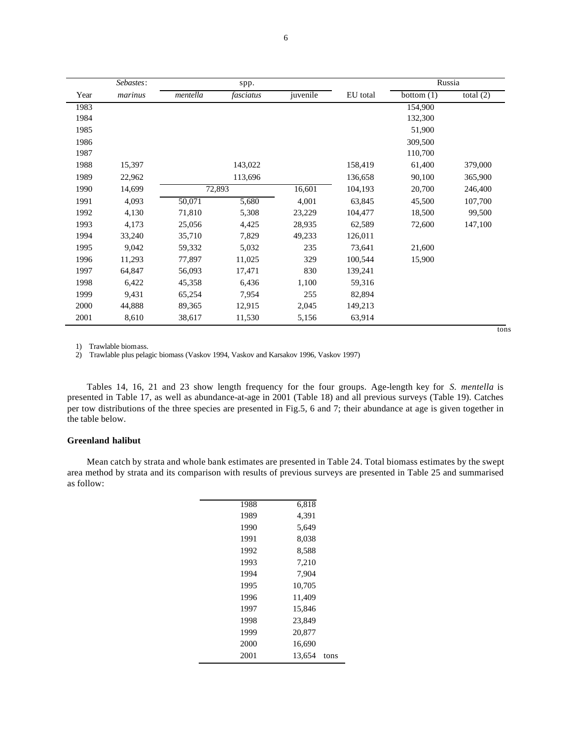|      | Sebastes: |          | spp.      |          |          |              | Russia      |  |
|------|-----------|----------|-----------|----------|----------|--------------|-------------|--|
| Year | marinus   | mentella | fasciatus | juvenile | EU total | bottom $(1)$ | total $(2)$ |  |
| 1983 |           |          |           |          |          | 154,900      |             |  |
| 1984 |           |          |           |          |          | 132,300      |             |  |
| 1985 |           |          |           |          |          | 51,900       |             |  |
| 1986 |           |          |           |          |          | 309,500      |             |  |
| 1987 |           |          |           |          |          | 110,700      |             |  |
| 1988 | 15,397    |          | 143,022   |          | 158,419  | 61,400       | 379,000     |  |
| 1989 | 22,962    |          | 113,696   |          | 136,658  | 90,100       | 365,900     |  |
| 1990 | 14,699    |          | 72,893    | 16,601   | 104,193  | 20,700       | 246,400     |  |
| 1991 | 4,093     | 50,071   | 5,680     | 4,001    | 63,845   | 45,500       | 107,700     |  |
| 1992 | 4,130     | 71,810   | 5,308     | 23,229   | 104,477  | 18,500       | 99,500      |  |
| 1993 | 4,173     | 25,056   | 4,425     | 28,935   | 62,589   | 72,600       | 147,100     |  |
| 1994 | 33,240    | 35,710   | 7,829     | 49,233   | 126,011  |              |             |  |
| 1995 | 9,042     | 59,332   | 5,032     | 235      | 73,641   | 21,600       |             |  |
| 1996 | 11,293    | 77,897   | 11,025    | 329      | 100,544  | 15,900       |             |  |
| 1997 | 64,847    | 56,093   | 17,471    | 830      | 139,241  |              |             |  |
| 1998 | 6,422     | 45,358   | 6,436     | 1,100    | 59,316   |              |             |  |
| 1999 | 9,431     | 65,254   | 7,954     | 255      | 82,894   |              |             |  |
| 2000 | 44,888    | 89,365   | 12,915    | 2,045    | 149,213  |              |             |  |
| 2001 | 8,610     | 38,617   | 11,530    | 5,156    | 63,914   |              |             |  |

1) Trawlable biomass.

2) Trawlable plus pelagic biomass (Vaskov 1994, Vaskov and Karsakov 1996, Vaskov 1997)

Tables 14, 16, 21 and 23 show length frequency for the four groups. Age-length key for *S. mentella* is presented in Table 17, as well as abundance-at-age in 2001 (Table 18) and all previous surveys (Table 19). Catches per tow distributions of the three species are presented in Fig.5, 6 and 7; their abundance at age is given together in the table below.

#### **Greenland halibut**

Mean catch by strata and whole bank estimates are presented in Table 24. Total biomass estimates by the swept area method by strata and its comparison with results of previous surveys are presented in Table 25 and summarised as follow:

| 1988 | 6,818  |      |
|------|--------|------|
| 1989 | 4,391  |      |
| 1990 | 5,649  |      |
| 1991 | 8,038  |      |
| 1992 | 8,588  |      |
| 1993 | 7,210  |      |
| 1994 | 7,904  |      |
| 1995 | 10,705 |      |
| 1996 | 11,409 |      |
| 1997 | 15,846 |      |
| 1998 | 23,849 |      |
| 1999 | 20,877 |      |
| 2000 | 16.690 |      |
| 2001 | 13,654 | tons |

tons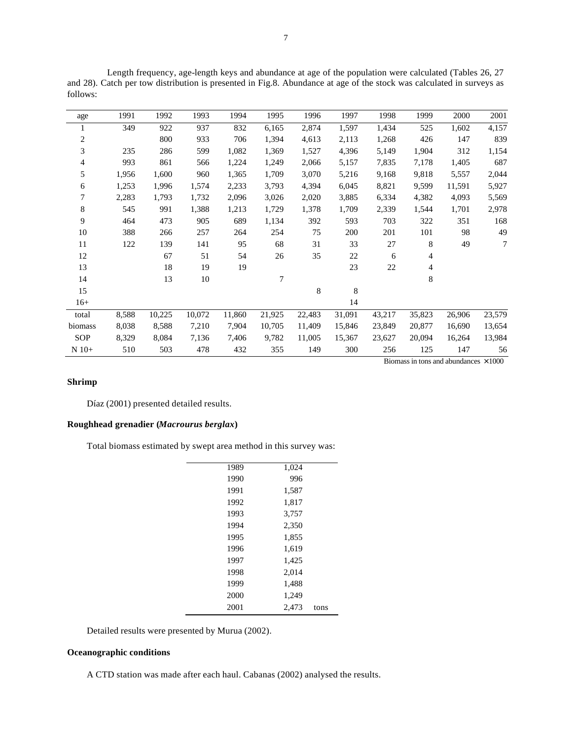Length frequency, age-length keys and abundance at age of the population were calculated (Tables 26, 27 and 28). Catch per tow distribution is presented in Fig.8. Abundance at age of the stock was calculated in surveys as follows:

| age            | 1991  | 1992   | 1993   | 1994   | 1995   | 1996   | 1997   | 1998   | 1999                                         | 2000   | 2001           |
|----------------|-------|--------|--------|--------|--------|--------|--------|--------|----------------------------------------------|--------|----------------|
| 1              | 349   | 922    | 937    | 832    | 6,165  | 2,874  | 1,597  | 1,434  | 525                                          | 1,602  | 4,157          |
| $\overline{c}$ |       | 800    | 933    | 706    | 1,394  | 4,613  | 2,113  | 1,268  | 426                                          | 147    | 839            |
| 3              | 235   | 286    | 599    | 1,082  | 1,369  | 1,527  | 4,396  | 5,149  | 1,904                                        | 312    | 1,154          |
| 4              | 993   | 861    | 566    | 1,224  | 1,249  | 2,066  | 5,157  | 7,835  | 7,178                                        | 1,405  | 687            |
| 5              | 1,956 | 1,600  | 960    | 1,365  | 1,709  | 3,070  | 5,216  | 9,168  | 9,818                                        | 5,557  | 2,044          |
| 6              | 1,253 | 1,996  | 1,574  | 2,233  | 3,793  | 4,394  | 6,045  | 8,821  | 9,599                                        | 11,591 | 5,927          |
| 7              | 2,283 | 1,793  | 1,732  | 2,096  | 3,026  | 2,020  | 3,885  | 6,334  | 4,382                                        | 4,093  | 5,569          |
| 8              | 545   | 991    | 1,388  | 1,213  | 1,729  | 1,378  | 1,709  | 2,339  | 1,544                                        | 1,701  | 2,978          |
| 9              | 464   | 473    | 905    | 689    | 1,134  | 392    | 593    | 703    | 322                                          | 351    | 168            |
| 10             | 388   | 266    | 257    | 264    | 254    | 75     | 200    | 201    | 101                                          | 98     | 49             |
| 11             | 122   | 139    | 141    | 95     | 68     | 31     | 33     | 27     | 8                                            | 49     | $\overline{7}$ |
| 12             |       | 67     | 51     | 54     | 26     | 35     | 22     | 6      | 4                                            |        |                |
| 13             |       | 18     | 19     | 19     |        |        | 23     | 22     | 4                                            |        |                |
| 14             |       | 13     | $10\,$ |        | 7      |        |        |        | 8                                            |        |                |
| 15             |       |        |        |        |        | 8      | 8      |        |                                              |        |                |
| $16+$          |       |        |        |        |        |        | 14     |        |                                              |        |                |
| total          | 8,588 | 10,225 | 10,072 | 11,860 | 21,925 | 22,483 | 31,091 | 43,217 | 35,823                                       | 26,906 | 23,579         |
| biomass        | 8,038 | 8,588  | 7,210  | 7,904  | 10,705 | 11,409 | 15,846 | 23,849 | 20,877                                       | 16,690 | 13,654         |
| SOP            | 8,329 | 8,084  | 7,136  | 7,406  | 9,782  | 11,005 | 15,367 | 23,627 | 20,094                                       | 16,264 | 13,984         |
| $N$ 10+        | 510   | 503    | 478    | 432    | 355    | 149    | 300    | 256    | 125                                          | 147    | 56             |
|                |       |        |        |        |        |        |        |        | Biomass in tons and abundances $\times 1000$ |        |                |

# **Shrimp**

Díaz (2001) presented detailed results.

# **Roughhead grenadier (***Macrourus berglax***)**

Total biomass estimated by swept area method in this survey was:

| 1,024         | 1989 |
|---------------|------|
| 996           | 1990 |
| 1,587         | 1991 |
| 1,817         | 1992 |
| 3,757         | 1993 |
| 2,350         | 1994 |
| 1,855         | 1995 |
| 1,619         | 1996 |
| 1,425         | 1997 |
| 2,014         | 1998 |
| 1,488         | 1999 |
| 1,249         | 2000 |
| 2.473<br>tons | 2001 |

Detailed results were presented by Murua (2002).

### **Oceanographic conditions**

A CTD station was made after each haul. Cabanas (2002) analysed the results.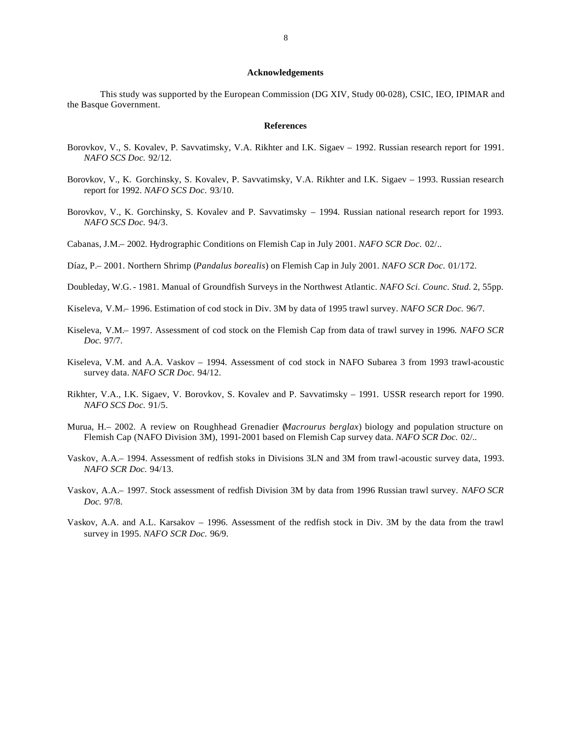#### **Acknowledgements**

This study was supported by the European Commission (DG XIV, Study 00-028), CSIC, IEO, IPIMAR and the Basque Government.

#### **References**

- Borovkov, V., S. Kovalev, P. Savvatimsky, V.A. Rikhter and I.K. Sigaev 1992. Russian research report for 1991. *NAFO SCS Doc.* 92/12.
- Borovkov, V., K. Gorchinsky, S. Kovalev, P. Savvatimsky, V.A. Rikhter and I.K. Sigaev 1993. Russian research report for 1992. *NAFO SCS Doc.* 93/10.
- Borovkov, V., K. Gorchinsky, S. Kovalev and P. Savvatimsky 1994. Russian national research report for 1993. *NAFO SCS Doc.* 94/3.
- Cabanas, J.M.– 2002. Hydrographic Conditions on Flemish Cap in July 2001. *NAFO SCR Doc.* 02/..
- Díaz, P.– 2001. Northern Shrimp (*Pandalus borealis*) on Flemish Cap in July 2001. *NAFO SCR Doc.* 01/172.
- Doubleday, W.G.- 1981. Manual of Groundfish Surveys in the Northwest Atlantic. *NAFO Sci. Counc. Stud.* 2, 55pp.
- Kiseleva, V.M.– 1996. Estimation of cod stock in Div. 3M by data of 1995 trawl survey. *NAFO SCR Doc.* 96/7.
- Kiseleva, V.M.– 1997. Assessment of cod stock on the Flemish Cap from data of trawl survey in 1996. *NAFO SCR Doc.* 97/7.
- Kiseleva, V.M. and A.A. Vaskov 1994. Assessment of cod stock in NAFO Subarea 3 from 1993 trawl-acoustic survey data. *NAFO SCR Doc.* 94/12.
- Rikhter, V.A., I.K. Sigaev, V. Borovkov, S. Kovalev and P. Savvatimsky 1991. USSR research report for 1990. *NAFO SCS Doc.* 91/5.
- Murua, H.– 2002. A review on Roughhead Grenadier (*Macrourus berglax*) biology and population structure on Flemish Cap (NAFO Division 3M), 1991-2001 based on Flemish Cap survey data. *NAFO SCR Doc.* 02/..
- Vaskov, A.A.– 1994. Assessment of redfish stoks in Divisions 3LN and 3M from trawl-acoustic survey data, 1993. *NAFO SCR Doc.* 94/13.
- Vaskov, A.A.– 1997. Stock assessment of redfish Division 3M by data from 1996 Russian trawl survey. *NAFO SCR Doc.* 97/8.
- Vaskov, A.A. and A.L. Karsakov 1996. Assessment of the redfish stock in Div. 3M by the data from the trawl survey in 1995. *NAFO SCR Doc.* 96/9.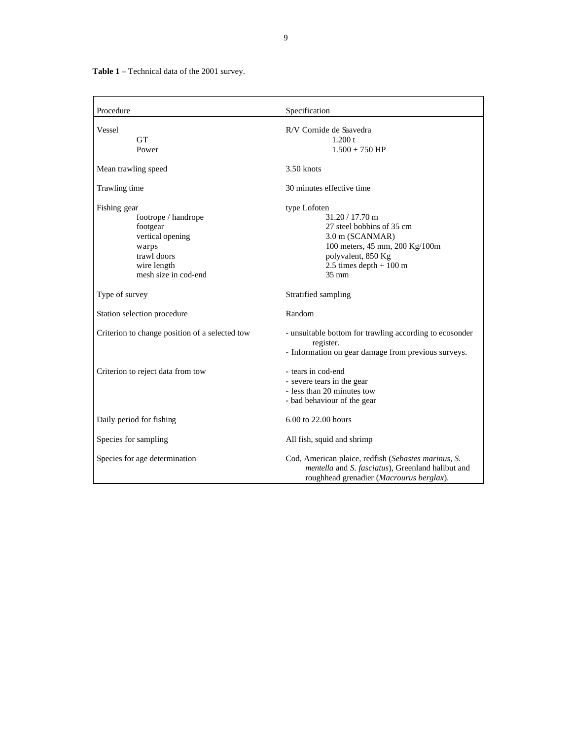**Table 1** – Technical data of the 2001 survey.

| Procedure                                                                                                                          | Specification                                                                                                                                                                                    |
|------------------------------------------------------------------------------------------------------------------------------------|--------------------------------------------------------------------------------------------------------------------------------------------------------------------------------------------------|
| Vessel<br><b>GT</b><br>Power                                                                                                       | R/V Cornide de Saavedra<br>1.200 t<br>$1.500 + 750$ HP                                                                                                                                           |
| Mean trawling speed                                                                                                                | $3.50$ knots                                                                                                                                                                                     |
| Trawling time                                                                                                                      | 30 minutes effective time                                                                                                                                                                        |
| Fishing gear<br>footrope / handrope<br>footgear<br>vertical opening<br>warps<br>trawl doors<br>wire length<br>mesh size in cod-end | type Lofoten<br>$31.20 / 17.70$ m<br>27 steel bobbins of 35 cm<br>3.0 m (SCANMAR)<br>100 meters, 45 mm, 200 Kg/100m<br>polyvalent, 850 Kg<br>2.5 times depth $+100 \text{ m}$<br>$35 \text{ mm}$ |
| Type of survey                                                                                                                     | Stratified sampling                                                                                                                                                                              |
| Station selection procedure                                                                                                        | Random                                                                                                                                                                                           |
| Criterion to change position of a selected tow                                                                                     | - unsuitable bottom for trawling according to ecosonder<br>register.<br>- Information on gear damage from previous surveys.                                                                      |
| Criterion to reject data from tow                                                                                                  | - tears in cod-end<br>- severe tears in the gear<br>- less than 20 minutes tow<br>- bad behaviour of the gear                                                                                    |
| Daily period for fishing                                                                                                           | 6.00 to 22.00 hours                                                                                                                                                                              |
| Species for sampling                                                                                                               | All fish, squid and shrimp                                                                                                                                                                       |
| Species for age determination                                                                                                      | Cod, American plaice, redfish (Sebastes marinus, S.<br>mentella and S. fasciatus), Greenland halibut and<br>roughhead grenadier (Macrourus berglax).                                             |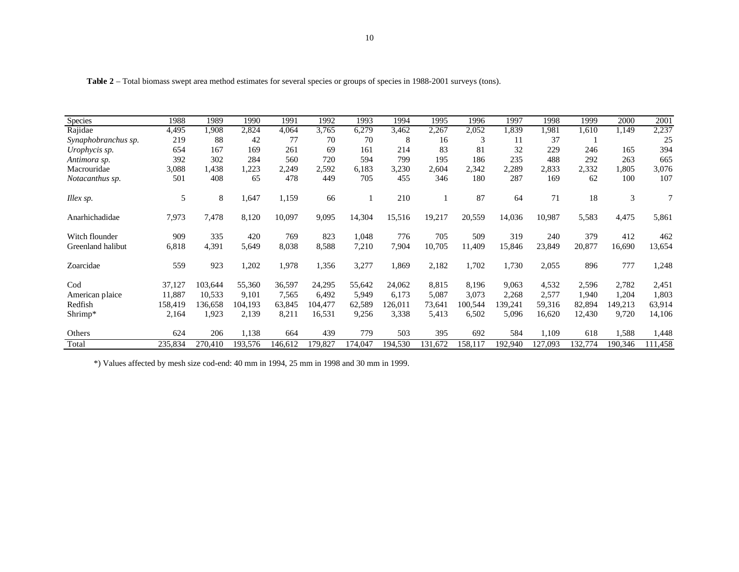| <b>Species</b>      | 1988    | 1989    | 1990    | 1991    | 1992    | 1993    | 1994    | 1995    | 1996    | 1997    | 1998    | 1999    | 2000    | 2001    |
|---------------------|---------|---------|---------|---------|---------|---------|---------|---------|---------|---------|---------|---------|---------|---------|
| Rajidae             | 4,495   | 1,908   | 2,824   | 4,064   | 3,765   | 6,279   | 3,462   | 2,267   | 2,052   | 1,839   | 1,981   | 1,610   | 1.149   | 2,237   |
| Synaphobranchus sp. | 219     | 88      | 42      | 77      | 70      | 70      | 8       | 16      | 3       | 11      | 37      |         |         | 25      |
| Urophycis sp.       | 654     | 167     | 169     | 261     | 69      | 161     | 214     | 83      | 81      | 32      | 229     | 246     | 165     | 394     |
| Antimora sp.        | 392     | 302     | 284     | 560     | 720     | 594     | 799     | 195     | 186     | 235     | 488     | 292     | 263     | 665     |
| Macrouridae         | 3,088   | 1,438   | ,223    | 2,249   | 2,592   | 6,183   | 3,230   | 2,604   | 2,342   | 2,289   | 2,833   | 2,332   | 1,805   | 3,076   |
| Notacanthus sp.     | 501     | 408     | 65      | 478     | 449     | 705     | 455     | 346     | 180     | 287     | 169     | 62      | 100     | 107     |
| Illex sp.           | 5       | 8       | 1,647   | 1,159   | 66      |         | 210     |         | 87      | 64      | 71      | 18      | 3       |         |
| Anarhichadidae      | 7,973   | 7,478   | 8,120   | 10,097  | 9,095   | 14,304  | 15,516  | 19,217  | 20,559  | 14,036  | 10,987  | 5,583   | 4,475   | 5,861   |
| Witch flounder      | 909     | 335     | 420     | 769     | 823     | 1,048   | 776     | 705     | 509     | 319     | 240     | 379     | 412     | 462     |
| Greenland halibut   | 6,818   | 4,391   | 5,649   | 8,038   | 8,588   | 7,210   | 7,904   | 10,705  | 11,409  | 15,846  | 23,849  | 20,877  | 16,690  | 13,654  |
| Zoarcidae           | 559     | 923     | 1,202   | 1,978   | 1,356   | 3,277   | 1,869   | 2,182   | 1,702   | 1,730   | 2,055   | 896     | 777     | 1,248   |
| Cod                 | 37,127  | 103,644 | 55,360  | 36,597  | 24,295  | 55,642  | 24,062  | 8,815   | 8,196   | 9,063   | 4,532   | 2,596   | 2,782   | 2,451   |
| American plaice     | 11,887  | 10,533  | 9,101   | 7,565   | 6,492   | 5,949   | 6,173   | 5,087   | 3,073   | 2,268   | 2,577   | 1,940   | 1,204   | 1,803   |
| Redfish             | 158,419 | 136.658 | 104,193 | 63,845  | 104,477 | 62.589  | 126,011 | 73,641  | 100,544 | 139,241 | 59,316  | 82,894  | 149,213 | 63,914  |
| Shrimp*             | 2,164   | 1,923   | 2,139   | 8,211   | 16,531  | 9,256   | 3,338   | 5,413   | 6,502   | 5,096   | 16,620  | 12,430  | 9,720   | 14,106  |
| Others              | 624     | 206     | 1,138   | 664     | 439     | 779     | 503     | 395     | 692     | 584     | 1,109   | 618     | 1,588   | 1,448   |
| Total               | 235,834 | 270.410 | 193,576 | 146.612 | 179,827 | 174,047 | 194,530 | 131,672 | 158.117 | 192,940 | 127,093 | 132,774 | 190,346 | 111,458 |

Table 2 – Total biomass swept area method estimates for several species or groups of species in 1988-2001 surveys (tons).

\*) Values affected by mesh size cod-end: 40 mm in 1994, 25 mm in 1998 and 30 mm in 1999.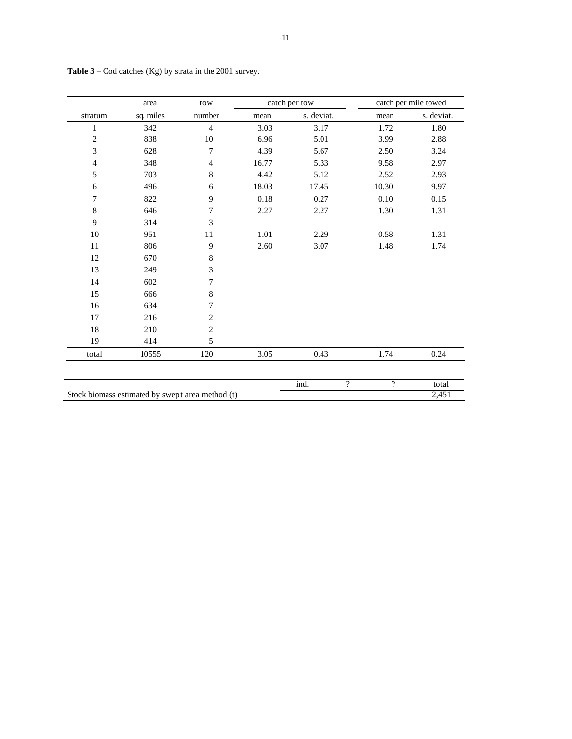|                             | area                                             | tow              |       | catch per tow          |          | catch per mile towed |
|-----------------------------|--------------------------------------------------|------------------|-------|------------------------|----------|----------------------|
| stratum                     | sq. miles                                        | number           | mean  | s. deviat.             | mean     | s. deviat.           |
| $\mathbf{1}$                | 342                                              | $\overline{4}$   | 3.03  | 3.17                   | 1.72     | 1.80                 |
| $\overline{2}$              | 838                                              | $10\,$           | 6.96  | 5.01                   | 3.99     | 2.88                 |
| $\ensuremath{\mathfrak{Z}}$ | 628                                              | $\boldsymbol{7}$ | 4.39  | 5.67                   | 2.50     | 3.24                 |
| $\overline{4}$              | 348                                              | 4                | 16.77 | 5.33                   | 9.58     | 2.97                 |
| 5                           | 703                                              | 8                | 4.42  | 5.12                   | 2.52     | 2.93                 |
| 6                           | 496                                              | 6                | 18.03 | 17.45                  | 10.30    | 9.97                 |
| 7                           | 822                                              | 9                | 0.18  | 0.27                   | $0.10\,$ | 0.15                 |
| 8                           | 646                                              | 7                | 2.27  | 2.27                   | 1.30     | 1.31                 |
| 9                           | 314                                              | 3                |       |                        |          |                      |
| 10                          | 951                                              | $11\,$           | 1.01  | 2.29                   | 0.58     | 1.31                 |
| 11                          | 806                                              | 9                | 2.60  | 3.07                   | 1.48     | 1.74                 |
| 12                          | 670                                              | 8                |       |                        |          |                      |
| 13                          | 249                                              | 3                |       |                        |          |                      |
| 14                          | 602                                              | 7                |       |                        |          |                      |
| 15                          | 666                                              | 8                |       |                        |          |                      |
| 16                          | 634                                              | $\boldsymbol{7}$ |       |                        |          |                      |
| 17                          | 216                                              | $\overline{c}$   |       |                        |          |                      |
| $18\,$                      | 210                                              | $\sqrt{2}$       |       |                        |          |                      |
| 19                          | 414                                              | 5                |       |                        |          |                      |
| total                       | 10555                                            | 120              | 3.05  | 0.43                   | 1.74     | 0.24                 |
|                             |                                                  |                  |       |                        |          |                      |
|                             |                                                  |                  |       | ind.<br>$\overline{?}$ | $\gamma$ | total                |
|                             | Stock biomass estimated by swept area method (t) |                  |       |                        |          | 2,451                |

**Table 3** – Cod catches (Kg) by strata in the 2001 survey.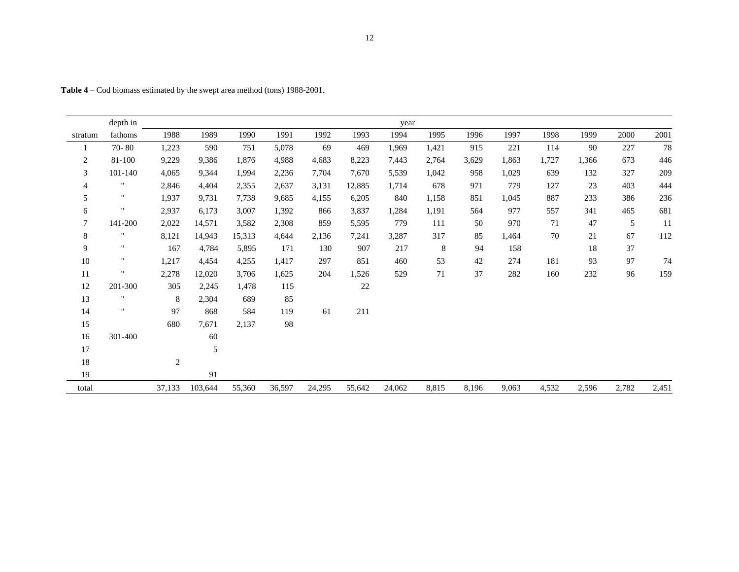|                | depth in           |                |         |        |        |        |        | year   |       |       |       |       |       |       |       |
|----------------|--------------------|----------------|---------|--------|--------|--------|--------|--------|-------|-------|-------|-------|-------|-------|-------|
| stratum        | fathoms            | 1988           | 1989    | 1990   | 1991   | 1992   | 1993   | 1994   | 1995  | 1996  | 1997  | 1998  | 1999  | 2000  | 2001  |
|                | $70 - 80$          | 1,223          | 590     | 751    | 5,078  | 69     | 469    | 1,969  | 1,421 | 915   | 221   | 114   | 90    | 227   | 78    |
| 2              | 81-100             | 9,229          | 9,386   | 1,876  | 4,988  | 4,683  | 8,223  | 7,443  | 2,764 | 3,629 | 1,863 | 1,727 | 1,366 | 673   | 446   |
| 3              | 101-140            | 4,065          | 9,344   | 1,994  | 2,236  | 7,704  | 7,670  | 5,539  | 1,042 | 958   | 1,029 | 639   | 132   | 327   | 209   |
| $\overline{4}$ | $\pmb{\mathsf{H}}$ | 2,846          | 4,404   | 2,355  | 2,637  | 3,131  | 12,885 | 1,714  | 678   | 971   | 779   | 127   | 23    | 403   | 444   |
| 5              | $^{\prime\prime}$  | 1,937          | 9,731   | 7,738  | 9,685  | 4,155  | 6,205  | 840    | 1,158 | 851   | 1,045 | 887   | 233   | 386   | 236   |
| 6              | 11                 | 2,937          | 6,173   | 3,007  | 1,392  | 866    | 3,837  | 1,284  | 1,191 | 564   | 977   | 557   | 341   | 465   | 681   |
| $\tau$         | 141-200            | 2,022          | 14,571  | 3,582  | 2,308  | 859    | 5,595  | 779    | 111   | 50    | 970   | 71    | 47    | 5     | 11    |
| 8              | $\pmb{\mathsf{H}}$ | 8,121          | 14,943  | 15,313 | 4,644  | 2,136  | 7,241  | 3,287  | 317   | 85    | 1,464 | 70    | 21    | 67    | 112   |
| 9              | $\pmb{\mathsf{H}}$ | 167            | 4,784   | 5,895  | 171    | 130    | 907    | 217    | 8     | 94    | 158   |       | 18    | 37    |       |
| 10             | $\pmb{\mathsf{H}}$ | 1,217          | 4,454   | 4,255  | 1,417  | 297    | 851    | 460    | 53    | 42    | 274   | 181   | 93    | 97    | 74    |
| 11             | $\pmb{\mathsf{H}}$ | 2,278          | 12,020  | 3,706  | 1,625  | 204    | 1,526  | 529    | 71    | 37    | 282   | 160   | 232   | 96    | 159   |
| 12             | 201-300            | 305            | 2,245   | 1,478  | 115    |        | $22\,$ |        |       |       |       |       |       |       |       |
| 13             | $\pmb{\mathsf{H}}$ | 8              | 2,304   | 689    | 85     |        |        |        |       |       |       |       |       |       |       |
| 14             | $\mathbf{H}$       | 97             | 868     | 584    | 119    | 61     | 211    |        |       |       |       |       |       |       |       |
| 15             |                    | 680            | 7,671   | 2,137  | 98     |        |        |        |       |       |       |       |       |       |       |
| 16             | 301-400            |                | 60      |        |        |        |        |        |       |       |       |       |       |       |       |
| 17             |                    |                | 5       |        |        |        |        |        |       |       |       |       |       |       |       |
| 18             |                    | $\overline{c}$ |         |        |        |        |        |        |       |       |       |       |       |       |       |
| 19             |                    |                | 91      |        |        |        |        |        |       |       |       |       |       |       |       |
| total          |                    | 37,133         | 103,644 | 55,360 | 36,597 | 24,295 | 55,642 | 24,062 | 8,815 | 8,196 | 9,063 | 4,532 | 2,596 | 2,782 | 2,451 |

**Table 4** – Cod biomass estimated by the swept area method (tons) 1988-2001.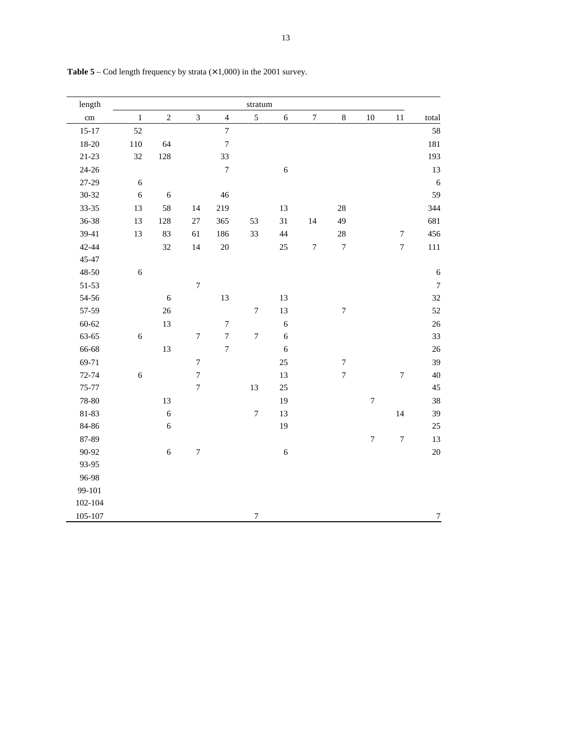| length          |            |                  |                         |                  | stratum          |            |                  |                  |                  |                  |                  |
|-----------------|------------|------------------|-------------------------|------------------|------------------|------------|------------------|------------------|------------------|------------------|------------------|
| $\,\mathrm{cm}$ | $\,1$      | $\overline{c}$   | $\overline{\mathbf{3}}$ | $\overline{4}$   | 5                | $\sqrt{6}$ | $\boldsymbol{7}$ | $\,8\,$          | 10               | 11               | total            |
| $15 - 17$       | 52         |                  |                         | $\boldsymbol{7}$ |                  |            |                  |                  |                  |                  | 58               |
| $18 - 20$       | 110        | 64               |                         | $\boldsymbol{7}$ |                  |            |                  |                  |                  |                  | $181\,$          |
| $21 - 23$       | 32         | 128              |                         | 33               |                  |            |                  |                  |                  |                  | 193              |
| $24 - 26$       |            |                  |                         | $\boldsymbol{7}$ |                  | $\sqrt{6}$ |                  |                  |                  |                  | 13               |
| 27-29           | $\sqrt{6}$ |                  |                         |                  |                  |            |                  |                  |                  |                  | 6                |
| $30 - 32$       | $\sqrt{6}$ | $\overline{6}$   |                         | 46               |                  |            |                  |                  |                  |                  | 59               |
| $33 - 35$       | 13         | 58               | 14                      | 219              |                  | 13         |                  | $28\,$           |                  |                  | 344              |
| $36 - 38$       | 13         | 128              | $27\,$                  | 365              | 53               | 31         | $14\,$           | 49               |                  |                  | 681              |
| 39-41           | 13         | 83               | 61                      | 186              | 33               | 44         |                  | $28\,$           |                  | $\boldsymbol{7}$ | 456              |
| 42-44           |            | 32               | 14                      | $20\,$           |                  | $25\,$     | $\sqrt{ }$       | $\boldsymbol{7}$ |                  | $\boldsymbol{7}$ | $111\,$          |
| 45-47           |            |                  |                         |                  |                  |            |                  |                  |                  |                  |                  |
| $48 - 50$       | $\sqrt{6}$ |                  |                         |                  |                  |            |                  |                  |                  |                  | $\sqrt{6}$       |
| $51 - 53$       |            |                  | $\boldsymbol{7}$        |                  |                  |            |                  |                  |                  |                  | $\boldsymbol{7}$ |
| 54-56           |            | $\boldsymbol{6}$ |                         | 13               |                  | 13         |                  |                  |                  |                  | 32               |
| 57-59           |            | 26               |                         |                  | $\boldsymbol{7}$ | 13         |                  | $\boldsymbol{7}$ |                  |                  | 52               |
| $60 - 62$       |            | 13               |                         | $\boldsymbol{7}$ |                  | $\sqrt{6}$ |                  |                  |                  |                  | 26               |
| 63-65           | $\sqrt{6}$ |                  | $\sqrt{ }$              | $\boldsymbol{7}$ | $\boldsymbol{7}$ | $\sqrt{6}$ |                  |                  |                  |                  | 33               |
| 66-68           |            | 13               |                         | $\overline{7}$   |                  | $\sqrt{6}$ |                  |                  |                  |                  | 26               |
| 69-71           |            |                  | $\boldsymbol{7}$        |                  |                  | 25         |                  | $\boldsymbol{7}$ |                  |                  | 39               |
| $72 - 74$       | $\sqrt{6}$ |                  | $\overline{7}$          |                  |                  | 13         |                  | $\boldsymbol{7}$ |                  | $\boldsymbol{7}$ | 40               |
| $75 - 77$       |            |                  | $\boldsymbol{7}$        |                  | 13               | $25\,$     |                  |                  |                  |                  | 45               |
| 78-80           |            | 13               |                         |                  |                  | 19         |                  |                  | $\boldsymbol{7}$ |                  | 38               |
| 81-83           |            | $\boldsymbol{6}$ |                         |                  | $\boldsymbol{7}$ | 13         |                  |                  |                  | 14               | 39               |
| 84-86           |            | $\boldsymbol{6}$ |                         |                  |                  | 19         |                  |                  |                  |                  | 25               |
| 87-89           |            |                  |                         |                  |                  |            |                  |                  | $\boldsymbol{7}$ | $\boldsymbol{7}$ | 13               |
| 90-92           |            | $\boldsymbol{6}$ | $\boldsymbol{7}$        |                  |                  | $\sqrt{6}$ |                  |                  |                  |                  | $20\,$           |
| 93-95           |            |                  |                         |                  |                  |            |                  |                  |                  |                  |                  |
| 96-98           |            |                  |                         |                  |                  |            |                  |                  |                  |                  |                  |
| 99-101          |            |                  |                         |                  |                  |            |                  |                  |                  |                  |                  |
| $102 - 104$     |            |                  |                         |                  |                  |            |                  |                  |                  |                  |                  |
| 105-107         |            |                  |                         |                  | $\boldsymbol{7}$ |            |                  |                  |                  |                  | $\overline{7}$   |

**Table 5** – Cod length frequency by strata  $(\times 1,000)$  in the 2001 survey.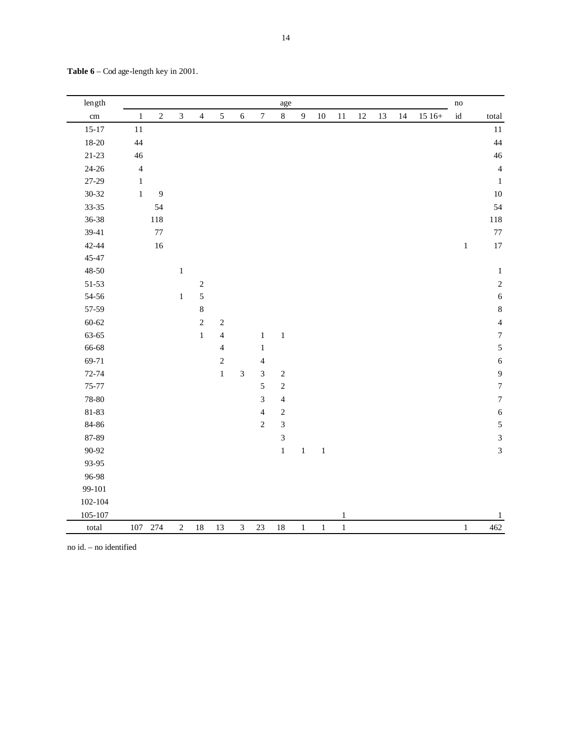| length    |                |            |                |                |                |                |                          | age                         |                |         |              |        |    |    |         | $\operatorname{no}$ |                  |
|-----------|----------------|------------|----------------|----------------|----------------|----------------|--------------------------|-----------------------------|----------------|---------|--------------|--------|----|----|---------|---------------------|------------------|
| cm        | $\,1\,$        | $\sqrt{2}$ | $\mathfrak{Z}$ | $\overline{4}$ | $\sqrt{5}$     | $6\,$          | $\boldsymbol{7}$         | $8\,$                       | $\overline{9}$ | $10\,$  | 11           | $12\,$ | 13 | 14 | $1516+$ | $\operatorname{id}$ | total            |
| $15 - 17$ | 11             |            |                |                |                |                |                          |                             |                |         |              |        |    |    |         |                     | $11\,$           |
| $18 - 20$ | 44             |            |                |                |                |                |                          |                             |                |         |              |        |    |    |         |                     | 44               |
| $21 - 23$ | 46             |            |                |                |                |                |                          |                             |                |         |              |        |    |    |         |                     | 46               |
| $24 - 26$ | $\overline{4}$ |            |                |                |                |                |                          |                             |                |         |              |        |    |    |         |                     | $\overline{4}$   |
| 27-29     | $\mathbf 1$    |            |                |                |                |                |                          |                             |                |         |              |        |    |    |         |                     | $\,1\,$          |
| $30 - 32$ | $\,1$          | 9          |                |                |                |                |                          |                             |                |         |              |        |    |    |         |                     | $10\,$           |
| 33-35     |                | 54         |                |                |                |                |                          |                             |                |         |              |        |    |    |         |                     | 54               |
| 36-38     |                | 118        |                |                |                |                |                          |                             |                |         |              |        |    |    |         |                     | 118              |
| 39-41     |                | $77 \,$    |                |                |                |                |                          |                             |                |         |              |        |    |    |         |                     | $77\,$           |
| 42-44     |                | 16         |                |                |                |                |                          |                             |                |         |              |        |    |    |         | $\,1$               | $17\,$           |
| 45-47     |                |            |                |                |                |                |                          |                             |                |         |              |        |    |    |         |                     |                  |
| $48 - 50$ |                |            | $\,1$          |                |                |                |                          |                             |                |         |              |        |    |    |         |                     | $\,1\,$          |
| 51-53     |                |            |                | $\sqrt{2}$     |                |                |                          |                             |                |         |              |        |    |    |         |                     | $\sqrt{2}$       |
| 54-56     |                |            | $\mathbf 1$    | $\sqrt{5}$     |                |                |                          |                             |                |         |              |        |    |    |         |                     | $\sqrt{6}$       |
| 57-59     |                |            |                | $\,8\,$        |                |                |                          |                             |                |         |              |        |    |    |         |                     | $\,8\,$          |
| $60 - 62$ |                |            |                | $\sqrt{2}$     | $\sqrt{2}$     |                |                          |                             |                |         |              |        |    |    |         |                     | $\overline{4}$   |
| 63-65     |                |            |                | $\mathbf 1$    | $\overline{4}$ |                | $\,1$                    | $\,1\,$                     |                |         |              |        |    |    |         |                     | $\boldsymbol{7}$ |
| 66-68     |                |            |                |                | $\overline{4}$ |                | $\mathbf{1}$             |                             |                |         |              |        |    |    |         |                     | $\sqrt{5}$       |
| 69-71     |                |            |                |                | $\sqrt{2}$     |                | $\overline{\mathbf{4}}$  |                             |                |         |              |        |    |    |         |                     | $\sqrt{6}$       |
| 72-74     |                |            |                |                | $\,1$          | $\mathfrak{Z}$ | $\mathfrak 3$            | $\sqrt{2}$                  |                |         |              |        |    |    |         |                     | $\mathbf{9}$     |
| 75-77     |                |            |                |                |                |                | 5                        | $\sqrt{2}$                  |                |         |              |        |    |    |         |                     | $\boldsymbol{7}$ |
| 78-80     |                |            |                |                |                |                | $\mathfrak{Z}$           | $\overline{4}$              |                |         |              |        |    |    |         |                     | $\boldsymbol{7}$ |
| 81-83     |                |            |                |                |                |                | $\overline{\mathcal{L}}$ | $\sqrt{2}$                  |                |         |              |        |    |    |         |                     | $\sqrt{6}$       |
| 84-86     |                |            |                |                |                |                | $\sqrt{2}$               | $\overline{3}$              |                |         |              |        |    |    |         |                     | 5                |
| 87-89     |                |            |                |                |                |                |                          | $\ensuremath{\mathfrak{Z}}$ |                |         |              |        |    |    |         |                     | $\overline{3}$   |
| 90-92     |                |            |                |                |                |                |                          | $\,1\,$                     | $\,1\,$        | $\,1\,$ |              |        |    |    |         |                     | $\sqrt{3}$       |
| 93-95     |                |            |                |                |                |                |                          |                             |                |         |              |        |    |    |         |                     |                  |
| 96-98     |                |            |                |                |                |                |                          |                             |                |         |              |        |    |    |         |                     |                  |
| 99-101    |                |            |                |                |                |                |                          |                             |                |         |              |        |    |    |         |                     |                  |
| 102-104   |                |            |                |                |                |                |                          |                             |                |         |              |        |    |    |         |                     |                  |
| 105-107   |                |            |                |                |                |                |                          |                             |                |         | $\mathbf{1}$ |        |    |    |         |                     | $\,1\,$          |
| total     | 107            | 274        | $\sqrt{2}$     | 18             | 13             | $\mathfrak{Z}$ | 23                       | 18                          | $\,1$          | $\,1$   | $\,1\,$      |        |    |    |         | $\,1$               | 462              |

**Table 6** – Cod age-length key in 2001.

no id. – no identified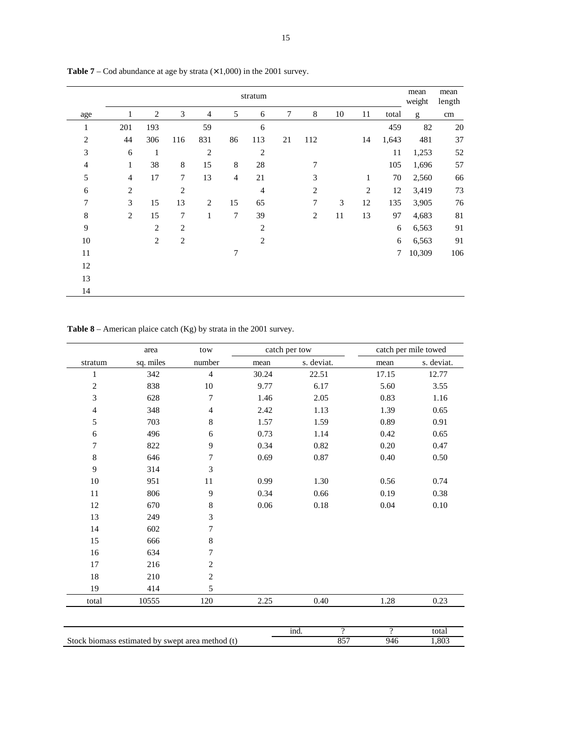|                |                |                |                |                |                | stratum        |    |                  |    |              |        | mean<br>weight | mean<br>length |
|----------------|----------------|----------------|----------------|----------------|----------------|----------------|----|------------------|----|--------------|--------|----------------|----------------|
| age            | 1              | 2              | 3              | $\overline{4}$ | 5              | 6              | 7  | 8                | 10 | 11           | total  | g              | cm             |
| $\mathbf{1}$   | 201            | 193            |                | 59             |                | 6              |    |                  |    |              | 459    | 82             | 20             |
| $\overline{2}$ | 44             | 306            | 116            | 831            | 86             | 113            | 21 | 112              |    | 14           | 1,643  | 481            | 37             |
| 3              | 6              | $\mathbf{1}$   |                | $\mathbf{2}$   |                | $\overline{2}$ |    |                  |    |              | $11\,$ | 1,253          | 52             |
| $\overline{4}$ | $\mathbf{1}$   | 38             | $\,8\,$        | 15             | $\,8\,$        | 28             |    | 7                |    |              | 105    | 1,696          | 57             |
| 5              | $\overline{4}$ | 17             | 7              | 13             | $\overline{4}$ | 21             |    | 3                |    | 1            | 70     | 2,560          | 66             |
| 6              | $\mathbf{2}$   |                | $\mathbf{2}$   |                |                | $\overline{4}$ |    | $\mathbf{2}$     |    | $\mathbf{2}$ | 12     | 3,419          | 73             |
| $\overline{7}$ | 3              | 15             | 13             | 2              | 15             | 65             |    | $\boldsymbol{7}$ | 3  | 12           | 135    | 3,905          | 76             |
| $\,8\,$        | $\overline{2}$ | 15             | $\overline{7}$ | $\mathbf{1}$   | $\overline{7}$ | 39             |    | $\overline{2}$   | 11 | 13           | 97     | 4,683          | 81             |
| 9              |                | $\overline{2}$ | $\overline{2}$ |                |                | $\overline{2}$ |    |                  |    |              | 6      | 6,563          | 91             |
| 10             |                | 2              | $\overline{2}$ |                |                | $\overline{2}$ |    |                  |    |              | 6      | 6,563          | 91             |
| $11\,$         |                |                |                |                | 7              |                |    |                  |    |              | 7      | 10,309         | 106            |
| 12             |                |                |                |                |                |                |    |                  |    |              |        |                |                |
| 13             |                |                |                |                |                |                |    |                  |    |              |        |                |                |
| 14             |                |                |                |                |                |                |    |                  |    |              |        |                |                |

**Table 7** – Cod abundance at age by strata  $(\times 1,000)$  in the 2001 survey.

**Table 8** – American plaice catch (Kg) by strata in the 2001 survey.

|                | area      | tow                                              |          | catch per tow |                    |                | catch per mile towed |
|----------------|-----------|--------------------------------------------------|----------|---------------|--------------------|----------------|----------------------|
| stratum        | sq. miles | number                                           | mean     | s. deviat.    |                    | mean           | s. deviat.           |
| $\mathbf{1}$   | 342       | $\overline{4}$                                   | 30.24    | 22.51         |                    | 17.15          | 12.77                |
| $\overline{c}$ | 838       | 10                                               | 9.77     | 6.17          |                    | 5.60           | 3.55                 |
| 3              | 628       | $\overline{7}$                                   | 1.46     | 2.05          |                    | 0.83           | 1.16                 |
| $\overline{4}$ | 348       | $\overline{4}$                                   | 2.42     | 1.13          |                    | 1.39           | 0.65                 |
| 5              | 703       | $\,8\,$                                          | 1.57     | 1.59          |                    | 0.89           | 0.91                 |
| 6              | 496       | 6                                                | 0.73     | 1.14          |                    | 0.42           | 0.65                 |
| 7              | 822       | 9                                                | 0.34     | 0.82          |                    | 0.20           | 0.47                 |
| $\,8\,$        | 646       | 7                                                | 0.69     | 0.87          |                    | 0.40           | 0.50                 |
| 9              | 314       | 3                                                |          |               |                    |                |                      |
| 10             | 951       | 11                                               | 0.99     | 1.30          |                    | 0.56           | 0.74                 |
| 11             | 806       | 9                                                | 0.34     | 0.66          |                    | 0.19           | 0.38                 |
| 12             | 670       | $\,8\,$                                          | $0.06\,$ | 0.18          |                    | 0.04           | $0.10\,$             |
| 13             | 249       | 3                                                |          |               |                    |                |                      |
| 14             | 602       | 7                                                |          |               |                    |                |                      |
| 15             | 666       | $\,8\,$                                          |          |               |                    |                |                      |
| 16             | 634       | 7                                                |          |               |                    |                |                      |
| 17             | 216       | $\overline{c}$                                   |          |               |                    |                |                      |
| 18             | 210       | $\mathbf{2}$                                     |          |               |                    |                |                      |
| 19             | 414       | 5                                                |          |               |                    |                |                      |
| total          | 10555     | 120                                              | 2.25     | 0.40          |                    | 1.28           | 0.23                 |
|                |           |                                                  |          |               |                    |                |                      |
|                |           |                                                  |          | ind.          | $\overline{\cdot}$ | $\overline{?}$ | total                |
|                |           | Stock biomass estimated by swept area method (t) |          |               | 857                | 946            | 1,803                |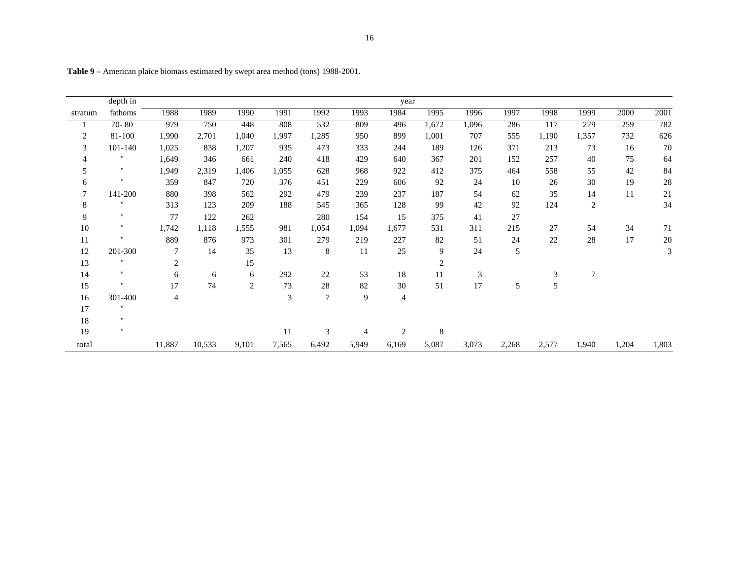|                | depth in           |                |        |       |       |                  |       | year           |                |        |       |        |       |       |       |
|----------------|--------------------|----------------|--------|-------|-------|------------------|-------|----------------|----------------|--------|-------|--------|-------|-------|-------|
| stratum        | fathoms            | 1988           | 1989   | 1990  | 1991  | 1992             | 1993  | 1984           | 1995           | 1996   | 1997  | 1998   | 1999  | 2000  | 2001  |
|                | $70 - 80$          | 979            | 750    | 448   | 808   | 532              | 809   | 496            | 1,672          | 1,096  | 286   | 117    | 279   | 259   | 782   |
| $\overline{c}$ | 81-100             | 1,990          | 2,701  | 1,040 | 1,997 | 1,285            | 950   | 899            | 1,001          | 707    | 555   | 1,190  | 1,357 | 732   | 626   |
| 3              | 101-140            | 1,025          | 838    | 1,207 | 935   | 473              | 333   | 244            | 189            | 126    | 371   | 213    | 73    | 16    | 70    |
| 4              | п                  | 1,649          | 346    | 661   | 240   | 418              | 429   | 640            | 367            | 201    | 152   | 257    | 40    | 75    | 64    |
| 5              | $\mathbf{H}$       | 1,949          | 2,319  | 1,406 | 1,055 | 628              | 968   | 922            | 412            | 375    | 464   | 558    | 55    | 42    | 84    |
| 6              | $\mathbf{H}$       | 359            | 847    | 720   | 376   | 451              | 229   | 606            | 92             | 24     | 10    | 26     | 30    | 19    | 28    |
| 7              | 141-200            | 880            | 398    | 562   | 292   | 479              | 239   | 237            | 187            | 54     | 62    | 35     | 14    | 11    | 21    |
| 8              | $\mathbf{H}$       | 313            | 123    | 209   | 188   | 545              | 365   | 128            | 99             | 42     | 92    | 124    | 2     |       | 34    |
| 9              | $\mathbf{H}$       | 77             | 122    | 262   |       | 280              | 154   | 15             | 375            | 41     | 27    |        |       |       |       |
| 10             | $\pmb{\mathsf{H}}$ | 1,742          | 1,118  | 1,555 | 981   | 1,054            | 1,094 | 1,677          | 531            | 311    | 215   | $27\,$ | 54    | 34    | 71    |
| 11             | $\mathbf{H}$       | 889            | 876    | 973   | 301   | 279              | 219   | 227            | 82             | 51     | 24    | 22     | 28    | 17    | 20    |
| 12             | 201-300            | 7              | 14     | 35    | 13    | 8                | 11    | 25             | 9              | 24     | 5     |        |       |       | 3     |
| 13             | $\mathbf{H}$       | $\overline{c}$ |        | 15    |       |                  |       |                | $\overline{2}$ |        |       |        |       |       |       |
| 14             | $\mathbf{H}$       | 6              | 6      | 6     | 292   | 22               | 53    | 18             | 11             | 3      |       | 3      | 7     |       |       |
| 15             | $\mathbf{H}$       | 17             | 74     | 2     | 73    | 28               | 82    | 30             | 51             | $17\,$ | 5     | 5      |       |       |       |
| 16             | 301-400            | 4              |        |       | 3     | $\boldsymbol{7}$ | 9     | 4              |                |        |       |        |       |       |       |
| 17             | $\mathbf{H}$       |                |        |       |       |                  |       |                |                |        |       |        |       |       |       |
| 18             | $\mathbf{H}$       |                |        |       |       |                  |       |                |                |        |       |        |       |       |       |
| 19             | $\mathbf{H}$       |                |        |       | 11    | 3                | 4     | $\overline{2}$ | $\,8\,$        |        |       |        |       |       |       |
| total          |                    | 11,887         | 10,533 | 9,101 | 7,565 | 6,492            | 5,949 | 6,169          | 5,087          | 3,073  | 2,268 | 2,577  | 1,940 | 1,204 | 1,803 |

**Table 9** – American plaice biomass estimated by swept area method (tons) 1988-2001.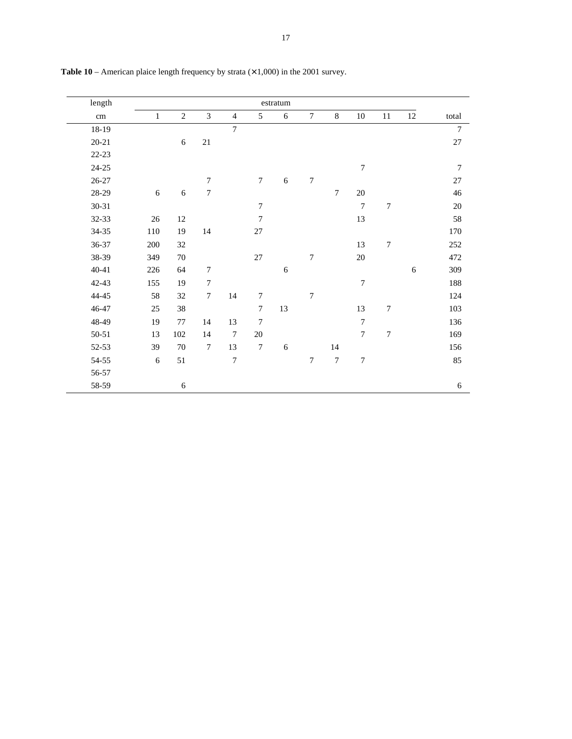| length     |              |                |                  |                |                  | $\operatorname{estratum}$ |                  |                |                |                  |            |                |
|------------|--------------|----------------|------------------|----------------|------------------|---------------------------|------------------|----------------|----------------|------------------|------------|----------------|
| $\,\rm cm$ | $\mathbf{1}$ | $\overline{2}$ | $\overline{3}$   | $\overline{4}$ | 5                | 6                         | $\overline{7}$   | $8\,$          | $10\,$         | $11\,$           | 12         | total          |
| 18-19      |              |                |                  | $\overline{7}$ |                  |                           |                  |                |                |                  |            | $\overline{7}$ |
| $20 - 21$  |              | $\sqrt{6}$     | $21\,$           |                |                  |                           |                  |                |                |                  |            | $27\,$         |
| $22 - 23$  |              |                |                  |                |                  |                           |                  |                |                |                  |            |                |
| $24 - 25$  |              |                |                  |                |                  |                           |                  |                | $\tau$         |                  |            | 7              |
| $26 - 27$  |              |                | $\overline{7}$   |                | $\boldsymbol{7}$ | $\sqrt{6}$                | $\boldsymbol{7}$ |                |                |                  |            | $27\,$         |
| 28-29      | $\sqrt{6}$   | $\sqrt{6}$     | $\boldsymbol{7}$ |                |                  |                           |                  | $\tau$         | $20\,$         |                  |            | 46             |
| $30 - 31$  |              |                |                  |                | $\boldsymbol{7}$ |                           |                  |                | $\overline{7}$ | $\boldsymbol{7}$ |            | 20             |
| 32-33      | $26\,$       | 12             |                  |                | $\overline{7}$   |                           |                  |                | 13             |                  |            | 58             |
| 34-35      | 110          | 19             | 14               |                | $27\,$           |                           |                  |                |                |                  |            | 170            |
| 36-37      | 200          | 32             |                  |                |                  |                           |                  |                | 13             | $\boldsymbol{7}$ |            | 252            |
| 38-39      | 349          | $70\,$         |                  |                | $27\,$           |                           | $\overline{7}$   |                | $20\,$         |                  |            | 472            |
| $40 - 41$  | 226          | 64             | $\tau$           |                |                  | 6                         |                  |                |                |                  | $\sqrt{6}$ | 309            |
| 42-43      | 155          | 19             | $\boldsymbol{7}$ |                |                  |                           |                  |                | $\tau$         |                  |            | 188            |
| 44-45      | 58           | 32             | $\tau$           | 14             | $\boldsymbol{7}$ |                           | 7                |                |                |                  |            | 124            |
| 46-47      | $25\,$       | 38             |                  |                | $\tau$           | 13                        |                  |                | 13             | $\boldsymbol{7}$ |            | 103            |
| 48-49      | 19           | $77\,$         | 14               | 13             | $\boldsymbol{7}$ |                           |                  |                | $\tau$         |                  |            | 136            |
| 50-51      | 13           | 102            | 14               | $\overline{7}$ | $20\,$           |                           |                  |                | $\tau$         | $\boldsymbol{7}$ |            | 169            |
| 52-53      | 39           | $70\,$         | $\boldsymbol{7}$ | 13             | $\boldsymbol{7}$ | $\sqrt{6}$                |                  | 14             |                |                  |            | 156            |
| 54-55      | 6            | 51             |                  | $\overline{7}$ |                  |                           | $\tau$           | $\overline{7}$ | $\overline{7}$ |                  |            | 85             |
| 56-57      |              |                |                  |                |                  |                           |                  |                |                |                  |            |                |
| 58-59      |              | 6              |                  |                |                  |                           |                  |                |                |                  |            | 6              |

**Table 10** – American plaice length frequency by strata  $(\times 1,000)$  in the 2001 survey.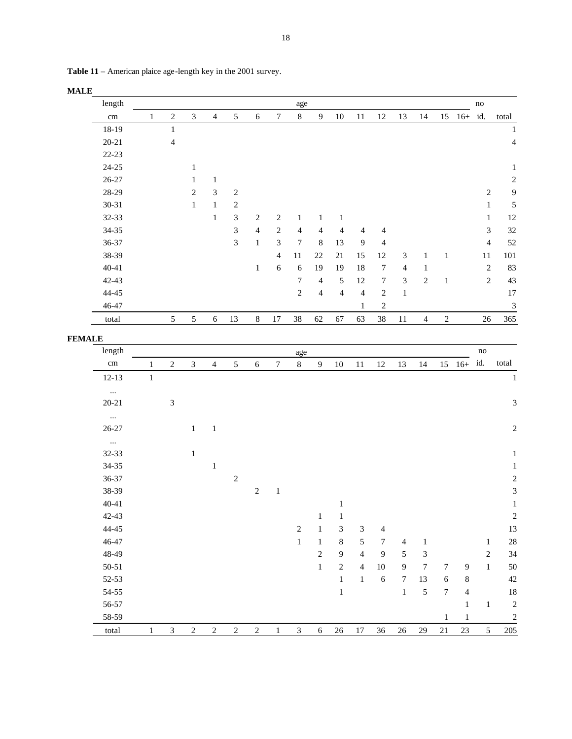|               | length     |              |                          |                |                |                  |                         |                  | age                     |                         |                |                |                  |                  |                  |                  |                  | $\operatorname{no}$ |                          |
|---------------|------------|--------------|--------------------------|----------------|----------------|------------------|-------------------------|------------------|-------------------------|-------------------------|----------------|----------------|------------------|------------------|------------------|------------------|------------------|---------------------|--------------------------|
|               | cm         | $\mathbf{1}$ | $\overline{c}$           | $\mathfrak{Z}$ | $\overline{4}$ | $\sqrt{5}$       | $\sqrt{6}$              | $\boldsymbol{7}$ | $\,8\,$                 | $\boldsymbol{9}$        | $10\,$         | 11             | $12\,$           | 13               | 14               |                  | $15$ $16+$ id.   |                     | total                    |
|               | 18-19      |              | $\,1\,$                  |                |                |                  |                         |                  |                         |                         |                |                |                  |                  |                  |                  |                  |                     | $\mathbf{1}$             |
|               | $20 - 21$  |              | $\overline{\mathcal{A}}$ |                |                |                  |                         |                  |                         |                         |                |                |                  |                  |                  |                  |                  |                     | $\overline{\mathcal{L}}$ |
|               | $22 - 23$  |              |                          |                |                |                  |                         |                  |                         |                         |                |                |                  |                  |                  |                  |                  |                     |                          |
|               | $24 - 25$  |              |                          | $\mathbf{1}$   |                |                  |                         |                  |                         |                         |                |                |                  |                  |                  |                  |                  |                     | $\,1$                    |
|               | $26 - 27$  |              |                          | $\mathbf{1}$   | $1\,$          |                  |                         |                  |                         |                         |                |                |                  |                  |                  |                  |                  |                     | $\sqrt{2}$               |
|               | 28-29      |              |                          | $\overline{c}$ | $\mathfrak{Z}$ | $\sqrt{2}$       |                         |                  |                         |                         |                |                |                  |                  |                  |                  |                  | $\overline{c}$      | $\overline{9}$           |
|               | $30 - 31$  |              |                          | $\mathbf{1}$   | $\mathbf 1$    | $\boldsymbol{2}$ |                         |                  |                         |                         |                |                |                  |                  |                  |                  |                  | $\mathbf{1}$        | 5                        |
|               | $32 - 33$  |              |                          |                | $\mathbf 1$    | $\mathfrak{Z}$   | $\overline{c}$          | $\overline{c}$   | $\mathbf{1}$            | $\mathbf{1}$            | $\mathbf{1}$   |                |                  |                  |                  |                  |                  | $\mathbf{1}$        | 12                       |
|               | $34 - 35$  |              |                          |                |                | $\sqrt{3}$       | $\overline{\mathbf{4}}$ | $\sqrt{2}$       | $\overline{\mathbf{4}}$ | $\overline{4}$          | $\overline{4}$ | $\overline{4}$ | $\overline{4}$   |                  |                  |                  |                  | 3                   | 32                       |
|               | $36 - 37$  |              |                          |                |                | $\mathfrak{Z}$   | $\mathbf{1}$            | 3                | $\overline{7}$          | $\,8\,$                 | 13             | $\overline{9}$ | $\overline{4}$   |                  |                  |                  |                  | $\overline{4}$      | 52                       |
|               | 38-39      |              |                          |                |                |                  |                         | $\overline{4}$   | $11\,$                  | $22\,$                  | 21             | 15             | 12               | 3                | $\mathbf{1}$     | $\mathbf{1}$     |                  | $11\,$              | 101                      |
|               | $40 - 41$  |              |                          |                |                |                  | $\mathbf{1}$            | 6                | 6                       | 19                      | 19             | 18             | $\boldsymbol{7}$ | $\overline{4}$   | $\mathbf{1}$     |                  |                  | $\sqrt{2}$          | 83                       |
|               | $42 - 43$  |              |                          |                |                |                  |                         |                  | $\boldsymbol{7}$        | $\overline{4}$          | $\sqrt{5}$     | $12\,$         | $\boldsymbol{7}$ | $\mathfrak{Z}$   | $\sqrt{2}$       | $\,1\,$          |                  | $\sqrt{2}$          | 43                       |
|               | $44 - 45$  |              |                          |                |                |                  |                         |                  | $\overline{c}$          | $\overline{\mathbf{4}}$ | $\overline{4}$ | $\overline{4}$ | $\sqrt{2}$       | $\,1$            |                  |                  |                  |                     | 17                       |
|               | 46-47      |              |                          |                |                |                  |                         |                  |                         |                         |                | 1              | $\sqrt{2}$       |                  |                  |                  |                  |                     | $\mathfrak{Z}$           |
|               | total      |              | 5                        | $\sqrt{5}$     | $\sqrt{6}$     | 13               | $\,8\,$                 | $17\,$           | 38                      | 62                      | 67             | 63             | 38               | $11\,$           | $\overline{4}$   | $\sqrt{2}$       |                  | $26\,$              | 365                      |
| <b>FEMALE</b> |            |              |                          |                |                |                  |                         |                  |                         |                         |                |                |                  |                  |                  |                  |                  |                     |                          |
|               | length     |              |                          |                |                |                  |                         |                  | age                     |                         |                |                |                  |                  |                  |                  |                  | $\rm no$            |                          |
|               | $\,\rm cm$ | $\mathbf{1}$ | $\boldsymbol{2}$         | $\mathfrak{Z}$ | $\overline{4}$ | 5                | $\sqrt{6}$              | $\boldsymbol{7}$ | $\,8\,$                 | $\boldsymbol{9}$        | $10\,$         | 11             | 12               | 13               | 14               |                  | $15 \t16+$       | id.                 | total                    |
|               | $12 - 13$  | $\mathbf{1}$ |                          |                |                |                  |                         |                  |                         |                         |                |                |                  |                  |                  |                  |                  |                     | $\,1\,$                  |
|               | $\ddotsc$  |              |                          |                |                |                  |                         |                  |                         |                         |                |                |                  |                  |                  |                  |                  |                     |                          |
|               | $20 - 21$  |              | $\mathfrak{Z}$           |                |                |                  |                         |                  |                         |                         |                |                |                  |                  |                  |                  |                  |                     | $\overline{3}$           |
|               | $\ldots$   |              |                          |                |                |                  |                         |                  |                         |                         |                |                |                  |                  |                  |                  |                  |                     |                          |
|               | $26 - 27$  |              |                          | $\mathbf{1}$   | $\,1\,$        |                  |                         |                  |                         |                         |                |                |                  |                  |                  |                  |                  |                     | $\overline{c}$           |
|               | $\dddotsc$ |              |                          |                |                |                  |                         |                  |                         |                         |                |                |                  |                  |                  |                  |                  |                     |                          |
|               | 32-33      |              |                          | $\mathbf{1}$   |                |                  |                         |                  |                         |                         |                |                |                  |                  |                  |                  |                  |                     | $\mathbf 1$              |
|               | $34 - 35$  |              |                          |                | $\mathbf{1}$   |                  |                         |                  |                         |                         |                |                |                  |                  |                  |                  |                  |                     | $\mathbf{1}$             |
|               | 36-37      |              |                          |                |                | $\sqrt{2}$       |                         |                  |                         |                         |                |                |                  |                  |                  |                  |                  |                     | $\overline{c}$           |
|               | 38-39      |              |                          |                |                |                  | $\sqrt{2}$              | $\,1$            |                         |                         |                |                |                  |                  |                  |                  |                  |                     | 3                        |
|               | $40 - 41$  |              |                          |                |                |                  |                         |                  |                         |                         | $\,1$          |                |                  |                  |                  |                  |                  |                     | $\mathbf{1}$             |
|               | 42-43      |              |                          |                |                |                  |                         |                  |                         | 1                       | 1              |                |                  |                  |                  |                  |                  |                     | $\overline{c}$           |
|               | 44-45      |              |                          |                |                |                  |                         |                  | $\sqrt{2}$              | $\mathbf 1$             | $\sqrt{3}$     | 3              | 4                |                  |                  |                  |                  |                     | 13                       |
|               | 46-47      |              |                          |                |                |                  |                         |                  | $\mathbf 1$             | $\,1\,$                 | $\,8\,$        | $\sqrt{5}$     | $\boldsymbol{7}$ | $\overline{4}$   | $\mathbf{1}$     |                  |                  | $\mathbf{1}$        | 28                       |
|               | 48-49      |              |                          |                |                |                  |                         |                  |                         | $\sqrt{2}$              | $\overline{9}$ | $\overline{4}$ | $\overline{9}$   | 5                | $\sqrt{3}$       |                  |                  | $\sqrt{2}$          | 34                       |
|               | $50 - 51$  |              |                          |                |                |                  |                         |                  |                         | $\mathbf 1$             | $\sqrt{2}$     | $\overline{4}$ | $10\,$           | $\overline{9}$   | $\boldsymbol{7}$ | 7                | $\boldsymbol{9}$ | $\,1$               | 50                       |
|               | 52-53      |              |                          |                |                |                  |                         |                  |                         |                         | $\mathbf 1$    | $\mathbf{1}$   | $\sqrt{6}$       | $\boldsymbol{7}$ | 13               | 6                | $\,8\,$          |                     | 42                       |
|               | $54 - 55$  |              |                          |                |                |                  |                         |                  |                         |                         | $\,1\,$        |                |                  | $\mathbf{1}$     | 5                | $\boldsymbol{7}$ | $\overline{4}$   |                     | 18                       |
|               | 56-57      |              |                          |                |                |                  |                         |                  |                         |                         |                |                |                  |                  |                  |                  | $\mathbf{1}$     | $\,1\,$             | $\overline{c}$           |
|               | 58-59      |              |                          |                |                |                  |                         |                  |                         |                         |                |                |                  |                  |                  | $\mathbf{1}$     | $\,1$            |                     | $\overline{c}$           |
|               | total      | 1            | $\mathfrak{Z}$           | $\sqrt{2}$     | $\sqrt{2}$     | $\boldsymbol{2}$ | $\overline{c}$          | $\mathbf{1}$     | $\mathfrak{Z}$          | $\sqrt{6}$              | $26\,$         | $17\,$         | 36               | $26\,$           | 29               | $21\,$           | $23\,$           | $\sqrt{5}$          | 205                      |
|               |            |              |                          |                |                |                  |                         |                  |                         |                         |                |                |                  |                  |                  |                  |                  |                     |                          |

**Table 11** – American plaice age-length key in the 2001 survey.

# **MALE**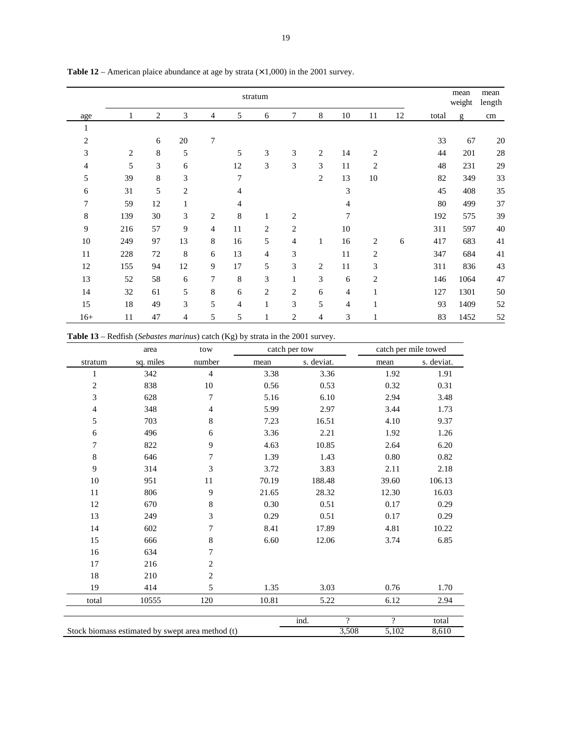|                |                |    |                |                |    | stratum        |                             |                |                |                |    |       | mean<br>weight | mean<br>length |
|----------------|----------------|----|----------------|----------------|----|----------------|-----------------------------|----------------|----------------|----------------|----|-------|----------------|----------------|
| age            | 1              | 2  | 3              | 4              | 5  | 6              | 7                           | 8              | 10             | 11             | 12 | total | g              | cm             |
| 1              |                |    |                |                |    |                |                             |                |                |                |    |       |                |                |
| $\overline{c}$ |                | 6  | $20\,$         | 7              |    |                |                             |                |                |                |    | 33    | 67             | 20             |
| 3              | $\overline{c}$ | 8  | 5              |                | 5  | 3              | $\ensuremath{\mathfrak{Z}}$ | $\overline{c}$ | 14             | $\overline{c}$ |    | 44    | 201            | 28             |
| 4              | 5              | 3  | 6              |                | 12 | 3              | 3                           | 3              | 11             | $\overline{2}$ |    | 48    | 231            | 29             |
| 5              | 39             | 8  | 3              |                | 7  |                |                             | $\overline{c}$ | 13             | 10             |    | 82    | 349            | 33             |
| 6              | 31             | 5  | $\overline{c}$ |                | 4  |                |                             |                | 3              |                |    | 45    | 408            | 35             |
| 7              | 59             | 12 | 1              |                | 4  |                |                             |                | 4              |                |    | 80    | 499            | 37             |
| 8              | 139            | 30 | $\mathfrak{Z}$ | 2              | 8  | 1              | $\mathbf{2}$                |                | 7              |                |    | 192   | 575            | 39             |
| 9              | 216            | 57 | 9              | $\overline{4}$ | 11 | $\overline{c}$ | $\overline{c}$              |                | 10             |                |    | 311   | 597            | 40             |
| $10\,$         | 249            | 97 | 13             | 8              | 16 | 5              | $\overline{4}$              | 1              | 16             | $\overline{c}$ | 6  | 417   | 683            | 41             |
| 11             | 228            | 72 | $\,$ 8 $\,$    | 6              | 13 | $\overline{4}$ | 3                           |                | 11             | $\overline{c}$ |    | 347   | 684            | 41             |
| 12             | 155            | 94 | 12             | 9              | 17 | 5              | 3                           | $\overline{2}$ | 11             | 3              |    | 311   | 836            | 43             |
| 13             | 52             | 58 | 6              | 7              | 8  | 3              | $\mathbf{1}$                | 3              | 6              | $\overline{2}$ |    | 146   | 1064           | 47             |
| 14             | 32             | 61 | 5              | 8              | 6  | $\overline{2}$ | $\overline{2}$              | 6              | 4              | $\mathbf{1}$   |    | 127   | 1301           | 50             |
| 15             | 18             | 49 | $\mathfrak{Z}$ | 5              | 4  | 1              | 3                           | 5              | $\overline{4}$ | 1              |    | 93    | 1409           | 52             |
| $16+$          | 11             | 47 | $\overline{4}$ | 5              | 5  | 1              | $\overline{2}$              | 4              | 3              | $\mathbf{1}$   |    | 83    | 1452           | 52             |

**Table 12** – American plaice abundance at age by strata  $(\times 1,000)$  in the 2001 survey.

**Table 13** – Redfish (*Sebastes marinus*) catch (Kg) by strata in the 2001 survey.

|                | area      | tow                                              |       | catch per tow |                          | catch per mile towed |            |
|----------------|-----------|--------------------------------------------------|-------|---------------|--------------------------|----------------------|------------|
| stratum        | sq. miles | number                                           | mean  | s. deviat.    |                          | mean                 | s. deviat. |
| 1              | 342       | $\overline{4}$                                   | 3.38  | 3.36          |                          | 1.92                 | 1.91       |
| $\overline{c}$ | 838       | 10                                               | 0.56  | 0.53          |                          | 0.32                 | 0.31       |
| 3              | 628       | 7                                                | 5.16  | 6.10          |                          | 2.94                 | 3.48       |
| $\overline{4}$ | 348       | $\overline{4}$                                   | 5.99  | 2.97          |                          | 3.44                 | 1.73       |
| 5              | 703       | 8                                                | 7.23  | 16.51         |                          | 4.10                 | 9.37       |
| 6              | 496       | 6                                                | 3.36  | 2.21          |                          | 1.92                 | 1.26       |
| 7              | 822       | 9                                                | 4.63  | 10.85         |                          | 2.64                 | 6.20       |
| 8              | 646       | 7                                                | 1.39  | 1.43          |                          | 0.80                 | 0.82       |
| 9              | 314       | 3                                                | 3.72  | 3.83          |                          | 2.11                 | 2.18       |
| $10\,$         | 951       | 11                                               | 70.19 | 188.48        |                          | 39.60                | 106.13     |
| 11             | 806       | 9                                                | 21.65 | 28.32         |                          | 12.30                | 16.03      |
| 12             | 670       | 8                                                | 0.30  | 0.51          |                          | 0.17                 | 0.29       |
| 13             | 249       | 3                                                | 0.29  | 0.51          |                          | 0.17                 | 0.29       |
| 14             | 602       | 7                                                | 8.41  | 17.89         |                          | 4.81                 | 10.22      |
| 15             | 666       | $\,$ 8 $\,$                                      | 6.60  | 12.06         |                          | 3.74                 | 6.85       |
| 16             | 634       | 7                                                |       |               |                          |                      |            |
| 17             | 216       | 2                                                |       |               |                          |                      |            |
| 18             | 210       | $\overline{2}$                                   |       |               |                          |                      |            |
| 19             | 414       | 5                                                | 1.35  | 3.03          |                          | 0.76                 | 1.70       |
| total          | 10555     | 120                                              | 10.81 | 5.22          |                          | 6.12                 | 2.94       |
|                |           |                                                  |       | ind.          | $\overline{\mathcal{P}}$ | 9                    | total      |
|                |           | Stock biomass estimated by swept area method (t) |       |               | 3,508                    | 5,102                | 8,610      |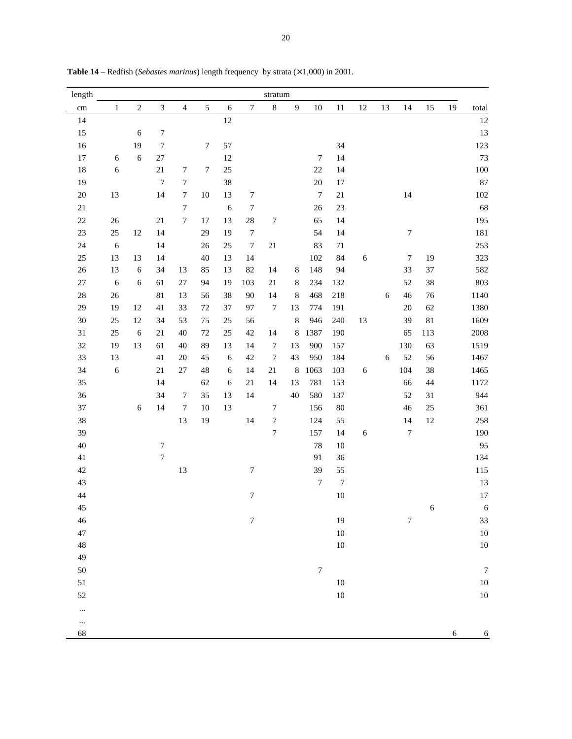| length      |              |            |                  |                  |                  |            |                  | stratum          |                |                  |                  |            |            |                  |                  |    |                  |
|-------------|--------------|------------|------------------|------------------|------------------|------------|------------------|------------------|----------------|------------------|------------------|------------|------------|------------------|------------------|----|------------------|
| cm          | $\mathbf{1}$ | $\sqrt{2}$ | $\mathfrak{Z}$   | $\overline{4}$   | $\sqrt{5}$       | $\sqrt{6}$ | $\boldsymbol{7}$ | $\,8\,$          | $\overline{9}$ | $10\,$           | $11\,$           | 12         | 13         | $14$             | 15               | 19 | total            |
| 14          |              |            |                  |                  |                  | $12\,$     |                  |                  |                |                  |                  |            |            |                  |                  |    | 12               |
| $15\,$      |              | $\sqrt{6}$ | $\boldsymbol{7}$ |                  |                  |            |                  |                  |                |                  |                  |            |            |                  |                  |    | 13               |
| $16$        |              | 19         | $\boldsymbol{7}$ |                  | $\boldsymbol{7}$ | 57         |                  |                  |                |                  | 34               |            |            |                  |                  |    | 123              |
| $17\,$      | $\sqrt{6}$   | 6          | $27\,$           |                  |                  | $12\,$     |                  |                  |                | $\boldsymbol{7}$ | 14               |            |            |                  |                  |    | 73               |
| $18\,$      | 6            |            | 21               | $\boldsymbol{7}$ | $\boldsymbol{7}$ | $25\,$     |                  |                  |                | $22\,$           | 14               |            |            |                  |                  |    | 100              |
| 19          |              |            | $\boldsymbol{7}$ | $\boldsymbol{7}$ |                  | 38         |                  |                  |                | $20\,$           | $17\,$           |            |            |                  |                  |    | 87               |
| $20\,$      | 13           |            | 14               | $\boldsymbol{7}$ | $10\,$           | 13         | $\boldsymbol{7}$ |                  |                | $\boldsymbol{7}$ | $21\,$           |            |            | 14               |                  |    | 102              |
| $21\,$      |              |            |                  | $\boldsymbol{7}$ |                  | $\sqrt{6}$ | $\boldsymbol{7}$ |                  |                | 26               | 23               |            |            |                  |                  |    | 68               |
| $22\,$      | $26\,$       |            | $21\,$           | $\overline{7}$   | $17\,$           | 13         | $28\,$           | $\boldsymbol{7}$ |                | 65               | 14               |            |            |                  |                  |    | 195              |
| $23\,$      | $25\,$       | 12         | 14               |                  | 29               | 19         | $\boldsymbol{7}$ |                  |                | 54               | 14               |            |            | $\boldsymbol{7}$ |                  |    | 181              |
| 24          | $\sqrt{6}$   |            | 14               |                  | $26\,$           | $25\,$     | $\boldsymbol{7}$ | $21\,$           |                | 83               | $71\,$           |            |            |                  |                  |    | 253              |
| $25\,$      | 13           | 13         | 14               |                  | 40               | 13         | 14               |                  |                | 102              | 84               | $\sqrt{6}$ |            | $\boldsymbol{7}$ | 19               |    | 323              |
| $26\,$      | 13           | $\sqrt{6}$ | 34               | 13               | 85               | 13         | 82               | 14               | $8\phantom{1}$ | 148              | 94               |            |            | 33               | 37               |    | 582              |
| $27\,$      | $\sqrt{6}$   | $\sqrt{6}$ | 61               | $27\,$           | 94               | 19         | 103              | $21\,$           | $\,8\,$        | 234              | 132              |            |            | 52               | 38               |    | 803              |
| $28\,$      | 26           |            | $81\,$           | 13               | 56               | $38\,$     | $90\,$           | 14               | $\,8\,$        | 468              | 218              |            | $\sqrt{6}$ | $46\,$           | 76               |    | 1140             |
| 29          | 19           | 12         | 41               | 33               | $72\,$           | $37\,$     | 97               | $\boldsymbol{7}$ | 13             | 774              | 191              |            |            | $20\,$           | 62               |    | 1380             |
| 30          | $25\,$       | 12         | 34               | 53               | $75\,$           | $25\,$     | 56               |                  | $\,8\,$        | 946              | 240              | 13         |            | 39               | $81\,$           |    | 1609             |
| $31\,$      | $25\,$       | 6          | $21\,$           | 40               | 72               | 25         | $42\,$           | 14               | $\,8\,$        | 1387             | 190              |            |            | 65               | 113              |    | 2008             |
| 32          | 19           | 13         | 61               | $40\,$           | 89               | 13         | 14               | $\boldsymbol{7}$ | 13             | 900              | 157              |            |            | 130              | 63               |    | 1519             |
| 33          | 13           |            | 41               | $20\,$           | 45               | $\sqrt{6}$ | $42\,$           | $\boldsymbol{7}$ | 43             | 950              | 184              |            | $\sqrt{6}$ | 52               | 56               |    | 1467             |
| 34          | $\sqrt{6}$   |            | 21               | $27\,$           | $\sqrt{48}$      | $\sqrt{6}$ | 14               | 21               | $\,8\,$        | 1063             | 103              | $\sqrt{6}$ |            | 104              | 38               |    | 1465             |
| 35          |              |            | 14               |                  | 62               | $\sqrt{6}$ | $21\,$           | 14               | 13             | 781              | 153              |            |            | 66               | 44               |    | 1172             |
| 36          |              |            | 34               | $\boldsymbol{7}$ | 35               | 13         | 14               |                  | 40             | 580              | 137              |            |            | 52               | 31               |    | 944              |
| $37\,$      |              | $\sqrt{6}$ | 14               | $\boldsymbol{7}$ | $10\,$           | 13         |                  | $\boldsymbol{7}$ |                | 156              | $80\,$           |            |            | 46               | 25               |    | 361              |
| 38          |              |            |                  | 13               | 19               |            | 14               | $\boldsymbol{7}$ |                | 124              | 55               |            |            | 14               | 12               |    | 258              |
| 39          |              |            |                  |                  |                  |            |                  | $\overline{7}$   |                | 157              | 14               | $\sqrt{6}$ |            | $\boldsymbol{7}$ |                  |    | 190              |
| 40          |              |            | $\boldsymbol{7}$ |                  |                  |            |                  |                  |                | 78               | $10\,$           |            |            |                  |                  |    | 95               |
| $41\,$      |              |            | $\boldsymbol{7}$ |                  |                  |            |                  |                  |                | 91               | 36               |            |            |                  |                  |    | 134              |
| $42\,$      |              |            |                  | 13               |                  |            | $\sqrt{ }$       |                  |                | 39               | 55               |            |            |                  |                  |    | 115              |
| 43          |              |            |                  |                  |                  |            |                  |                  |                | $\boldsymbol{7}$ | $\boldsymbol{7}$ |            |            |                  |                  |    | 13               |
| 44          |              |            |                  |                  |                  |            | $\boldsymbol{7}$ |                  |                |                  | $10\,$           |            |            |                  |                  |    | 17               |
| 45          |              |            |                  |                  |                  |            |                  |                  |                |                  |                  |            |            |                  | $\boldsymbol{6}$ |    | $\boldsymbol{6}$ |
| 46          |              |            |                  |                  |                  |            | $\boldsymbol{7}$ |                  |                |                  | 19               |            |            | $\overline{7}$   |                  |    | 33               |
| 47          |              |            |                  |                  |                  |            |                  |                  |                |                  | $10\,$           |            |            |                  |                  |    | 10               |
| $\sqrt{48}$ |              |            |                  |                  |                  |            |                  |                  |                |                  | $10\,$           |            |            |                  |                  |    | 10               |
| 49          |              |            |                  |                  |                  |            |                  |                  |                |                  |                  |            |            |                  |                  |    |                  |
| 50          |              |            |                  |                  |                  |            |                  |                  |                | $\boldsymbol{7}$ |                  |            |            |                  |                  |    | $\boldsymbol{7}$ |
| 51          |              |            |                  |                  |                  |            |                  |                  |                |                  | $10\,$           |            |            |                  |                  |    | $10\,$           |
| 52          |              |            |                  |                  |                  |            |                  |                  |                |                  | $10\,$           |            |            |                  |                  |    | $10\,$           |
|             |              |            |                  |                  |                  |            |                  |                  |                |                  |                  |            |            |                  |                  |    |                  |
|             |              |            |                  |                  |                  |            |                  |                  |                |                  |                  |            |            |                  |                  |    |                  |
| 68          |              |            |                  |                  |                  |            |                  |                  |                |                  |                  |            |            |                  |                  | 6  | 6                |

Table 14 – Redfish (*Sebastes marinus*) length frequency by strata ( $\times$  1,000) in 2001.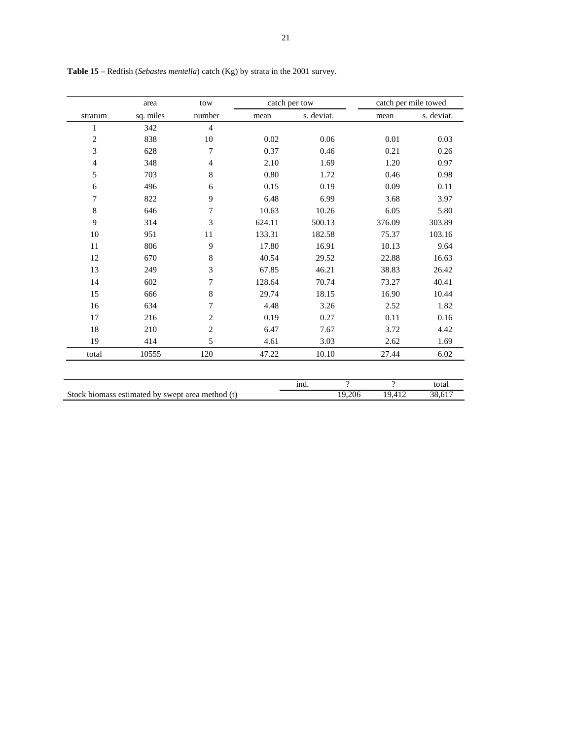|                | area                                             | tow            |        | catch per tow |                          | catch per mile towed |            |
|----------------|--------------------------------------------------|----------------|--------|---------------|--------------------------|----------------------|------------|
| stratum        | sq. miles                                        | number         | mean   | s. deviat.    |                          | mean                 | s. deviat. |
| $\mathbf{1}$   | 342                                              | $\overline{4}$ |        |               |                          |                      |            |
| $\overline{c}$ | 838                                              | 10             | 0.02   | 0.06          |                          | 0.01                 | 0.03       |
| 3              | 628                                              | 7              | 0.37   | 0.46          |                          | 0.21                 | 0.26       |
| $\overline{4}$ | 348                                              | $\overline{4}$ | 2.10   | 1.69          |                          | 1.20                 | 0.97       |
| 5              | 703                                              | 8              | 0.80   | 1.72          |                          | 0.46                 | 0.98       |
| 6              | 496                                              | 6              | 0.15   | 0.19          |                          | 0.09                 | 0.11       |
| 7              | 822                                              | 9              | 6.48   | 6.99          |                          | 3.68                 | 3.97       |
| 8              | 646                                              | 7              | 10.63  | 10.26         |                          | 6.05                 | 5.80       |
| 9              | 314                                              | 3              | 624.11 | 500.13        |                          | 376.09               | 303.89     |
| 10             | 951                                              | 11             | 133.31 | 182.58        |                          | 75.37                | 103.16     |
| 11             | 806                                              | 9              | 17.80  | 16.91         |                          | 10.13                | 9.64       |
| 12             | 670                                              | $\,8\,$        | 40.54  | 29.52         |                          | 22.88                | 16.63      |
| 13             | 249                                              | 3              | 67.85  | 46.21         |                          | 38.83                | 26.42      |
| 14             | 602                                              | 7              | 128.64 | 70.74         |                          | 73.27                | 40.41      |
| 15             | 666                                              | 8              | 29.74  | 18.15         |                          | 16.90                | 10.44      |
| 16             | 634                                              | 7              | 4.48   | 3.26          |                          | 2.52                 | 1.82       |
| 17             | 216                                              | $\overline{c}$ | 0.19   | 0.27          |                          | 0.11                 | 0.16       |
| 18             | 210                                              | $\overline{2}$ | 6.47   | 7.67          |                          | 3.72                 | 4.42       |
| 19             | 414                                              | 5              | 4.61   | 3.03          |                          | 2.62                 | 1.69       |
| total          | 10555                                            | 120            | 47.22  | 10.10         |                          | 27.44                | 6.02       |
|                |                                                  |                |        |               |                          |                      |            |
|                |                                                  |                |        | ind.          | $\overline{\mathcal{P}}$ | $\gamma$             | total      |
|                | Stock biomass estimated by swept area method (t) |                |        |               | 19,206                   | 19,412               | 38,617     |

**Table 15** – Redfish (*Sebastes mentella*) catch (Kg) by strata in the 2001 survey.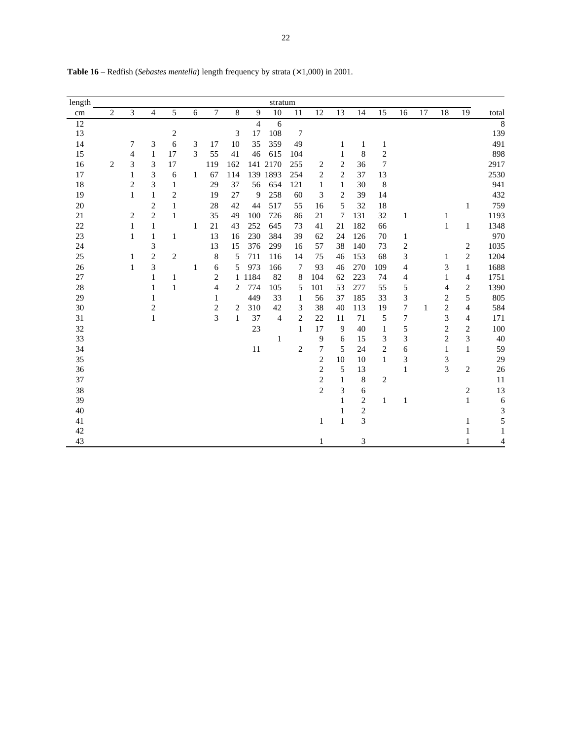| length |                |                |                |                  |              |                |              |                | stratum      |                |                |                |                         |                |                         |    |                         |                         |                |
|--------|----------------|----------------|----------------|------------------|--------------|----------------|--------------|----------------|--------------|----------------|----------------|----------------|-------------------------|----------------|-------------------------|----|-------------------------|-------------------------|----------------|
| cm     | $\overline{2}$ | 3              | $\overline{4}$ | 5                | 6            | $\tau$         | 8            | 9              | 10           | 11             | 12             | 13             | 14                      | 15             | 16                      | 17 | 18                      | 19                      | total          |
| 12     |                |                |                |                  |              |                |              | $\overline{4}$ | 6            |                |                |                |                         |                |                         |    |                         |                         | $\overline{8}$ |
| 13     |                |                |                | $\boldsymbol{2}$ |              |                | 3            | 17             | 108          | 7              |                |                |                         |                |                         |    |                         |                         | 139            |
| 14     |                | 7              | 3              | 6                | 3            | 17             | 10           | 35             | 359          | 49             |                | 1              | $\mathbf{1}$            | 1              |                         |    |                         |                         | 491            |
| 15     |                | $\overline{4}$ | $\mathbf{1}$   | 17               | 3            | 55             | 41           | 46             | 615          | 104            |                | 1              | 8                       | $\overline{c}$ |                         |    |                         |                         | 898            |
| 16     | $\mathbf{2}$   | 3              | 3              | 17               |              | 119            | 162          | 141            | 2170         | 255            | $\overline{c}$ | $\sqrt{2}$     | 36                      | $\overline{7}$ |                         |    |                         |                         | 2917           |
| 17     |                | 1              | 3              | 6                | $\mathbf{1}$ | 67             | 114          |                | 139 1893     | 254            | $\overline{2}$ | $\overline{2}$ | 37                      | 13             |                         |    |                         |                         | 2530           |
| 18     |                | $\overline{c}$ | 3              | 1                |              | 29             | 37           | 56             | 654          | 121            | $\mathbf{1}$   | $\mathbf{1}$   | 30                      | 8              |                         |    |                         |                         | 941            |
| 19     |                | 1              | $\mathbf{1}$   | $\overline{c}$   |              | 19             | 27           | 9              | 258          | 60             | 3              | 2              | 39                      | 14             |                         |    |                         |                         | 432            |
| 20     |                |                | 2              | 1                |              | 28             | 42           | 44             | 517          | 55             | 16             | 5              | 32                      | 18             |                         |    |                         | 1                       | 759            |
| 21     |                | 2              | $\overline{2}$ | 1                |              | 35             | 49           | 100            | 726          | 86             | 21             | 7              | 131                     | 32             | $\mathbf{1}$            |    | 1                       |                         | 1193           |
| 22     |                | 1              | $\mathbf{1}$   |                  | 1            | 21             | 43           | 252            | 645          | 73             | 41             | 21             | 182                     | 66             |                         |    | $\mathbf{1}$            | $\mathbf{1}$            | 1348           |
| 23     |                | $\mathbf{1}$   | $\mathbf{1}$   | $\mathbf{1}$     |              | 13             | 16           | 230            | 384          | 39             | 62             | 24             | 126                     | 70             | $\mathbf{1}$            |    |                         |                         | 970            |
| 24     |                |                | 3              |                  |              | 13             | 15           | 376            | 299          | 16             | 57             | 38             | 140                     | 73             | $\overline{\mathbf{c}}$ |    |                         | $\boldsymbol{2}$        | 1035           |
| 25     |                | 1              | $\sqrt{2}$     | $\sqrt{2}$       |              | 8              | 5            | 711            | 116          | 14             | 75             | 46             | 153                     | 68             | 3                       |    | 1                       | $\sqrt{2}$              | 1204           |
| 26     |                | 1              | 3              |                  | 1            | 6              | 5            | 973            | 166          | 7              | 93             | 46             | 270                     | 109            | 4                       |    | 3                       | $\mathbf{1}$            | 1688           |
| 27     |                |                | 1              | $\mathbf{1}$     |              | 2              |              | 1 1 1 8 4      | 82           | 8              | 104            | 62             | 223                     | 74             | 4                       |    | 1                       | 4                       | 1751           |
| 28     |                |                | 1              | 1                |              | 4              | $\mathbf{2}$ | 774            | 105          | 5              | 101            | 53             | 277                     | 55             | 5                       |    | 4                       | $\overline{\mathbf{c}}$ | 1390           |
| 29     |                |                | 1              |                  |              | 1              |              | 449            | 33           | $\mathbf{1}$   | 56             | 37             | 185                     | 33             | 3                       |    | $\overline{\mathbf{c}}$ | 5                       | 805            |
| 30     |                |                | 2              |                  |              | $\overline{c}$ | 2            | 310            | 42           | 3              | 38             | 40             | 113                     | 19             | $\overline{7}$          | 1  | $\overline{c}$          | $\overline{4}$          | 584            |
| 31     |                |                | 1              |                  |              | 3              | 1            | 37             | 4            | 2              | 22             | 11             | 71                      | 5              | $\overline{7}$          |    | 3                       | 4                       | 171            |
| 32     |                |                |                |                  |              |                |              | 23             |              | 1              | 17             | 9              | 40                      | $\mathbf{1}$   | 5                       |    | $\overline{c}$          | $\overline{\mathbf{c}}$ | 100            |
| 33     |                |                |                |                  |              |                |              |                | $\mathbf{1}$ |                | 9              | 6              | 15                      | 3              | 3                       |    | $\sqrt{2}$              | 3                       | 40             |
| 34     |                |                |                |                  |              |                |              | 11             |              | $\overline{c}$ | 7              | 5              | 24                      | 2              | 6                       |    | 1                       | $\mathbf{1}$            | 59             |
| 35     |                |                |                |                  |              |                |              |                |              |                | $\sqrt{2}$     | 10             | 10                      | $\mathbf{1}$   | 3                       |    | 3                       |                         | 29             |
| 36     |                |                |                |                  |              |                |              |                |              |                | $\overline{2}$ | 5              | 13                      |                | $\mathbf{1}$            |    | 3                       | $\overline{c}$          | 26             |
| 37     |                |                |                |                  |              |                |              |                |              |                | $\overline{c}$ | $\mathbf{1}$   | 8                       | $\sqrt{2}$     |                         |    |                         |                         | 11             |
| 38     |                |                |                |                  |              |                |              |                |              |                | $\overline{2}$ | 3              | 6                       |                |                         |    |                         | $\overline{\mathbf{c}}$ | 13             |
| 39     |                |                |                |                  |              |                |              |                |              |                |                | 1              | $\overline{c}$          | 1              | $\mathbf{1}$            |    |                         | $\mathbf{1}$            | 6              |
| 40     |                |                |                |                  |              |                |              |                |              |                |                | 1              | $\overline{\mathbf{c}}$ |                |                         |    |                         |                         | 3              |
| 41     |                |                |                |                  |              |                |              |                |              |                | $\mathbf{1}$   | $\mathbf{1}$   | 3                       |                |                         |    |                         | 1                       | 5              |
| 42     |                |                |                |                  |              |                |              |                |              |                |                |                |                         |                |                         |    |                         | 1                       | 1              |
| 43     |                |                |                |                  |              |                |              |                |              |                | 1              |                | 3                       |                |                         |    |                         |                         | 4              |

**Table 16** – Redfish (*Sebastes mentella*) length frequency by strata  $(\times 1,000)$  in 2001.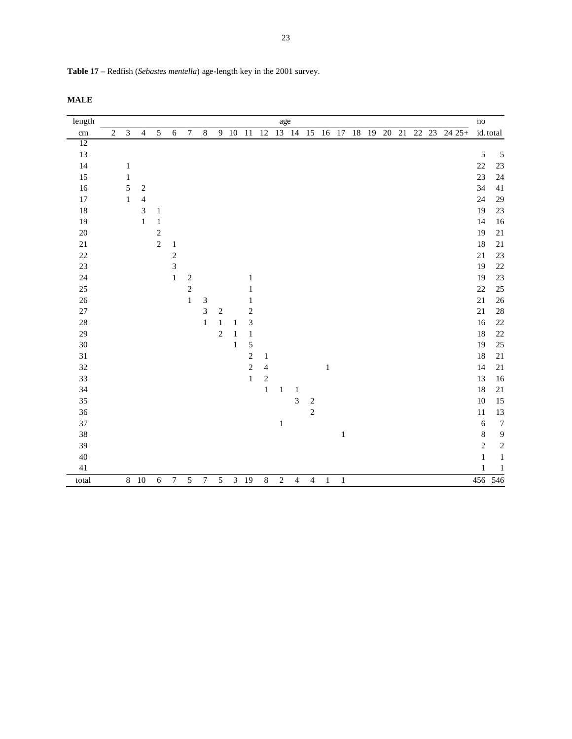| Table 17 – Redfish (Sebastes mentella) age-length key in the 2001 survey. |  |  |  |
|---------------------------------------------------------------------------|--|--|--|
|                                                                           |  |  |  |

| length |            |                |                          |                |                  |                  |                             |                |                |                |            | age          |                           |                |              |              |    |  |  |                       | $\operatorname{no}$ |                |
|--------|------------|----------------|--------------------------|----------------|------------------|------------------|-----------------------------|----------------|----------------|----------------|------------|--------------|---------------------------|----------------|--------------|--------------|----|--|--|-----------------------|---------------------|----------------|
| cm     | $\sqrt{2}$ | $\mathfrak{Z}$ | $\overline{4}$           | 5              | $\sqrt{6}$       | $\boldsymbol{7}$ | $\,8\,$                     |                |                |                |            |              | 9 10 11 12 13 14 15 16 17 |                |              |              | 18 |  |  | 19 20 21 22 23 24 25+ |                     | id. total      |
| 12     |            |                |                          |                |                  |                  |                             |                |                |                |            |              |                           |                |              |              |    |  |  |                       |                     |                |
| 13     |            |                |                          |                |                  |                  |                             |                |                |                |            |              |                           |                |              |              |    |  |  |                       | 5                   | 5              |
| 14     |            | 1              |                          |                |                  |                  |                             |                |                |                |            |              |                           |                |              |              |    |  |  |                       | 22                  | 23             |
| 15     |            | $\,1\,$        |                          |                |                  |                  |                             |                |                |                |            |              |                           |                |              |              |    |  |  |                       | 23                  | 24             |
| 16     |            | $\sqrt{5}$     | $\sqrt{2}$               |                |                  |                  |                             |                |                |                |            |              |                           |                |              |              |    |  |  |                       | 34                  | 41             |
| 17     |            | $\mathbf{1}$   | $\overline{\mathcal{L}}$ |                |                  |                  |                             |                |                |                |            |              |                           |                |              |              |    |  |  |                       | 24                  | 29             |
| 18     |            |                | 3                        | $\mathbf{1}$   |                  |                  |                             |                |                |                |            |              |                           |                |              |              |    |  |  |                       | 19                  | 23             |
| 19     |            |                | $\mathbf 1$              | $\mathbf{1}$   |                  |                  |                             |                |                |                |            |              |                           |                |              |              |    |  |  |                       | 14                  | 16             |
| $20\,$ |            |                |                          | $\sqrt{2}$     |                  |                  |                             |                |                |                |            |              |                           |                |              |              |    |  |  |                       | 19                  | $21\,$         |
| 21     |            |                |                          | $\overline{c}$ | $\,1$            |                  |                             |                |                |                |            |              |                           |                |              |              |    |  |  |                       | 18                  | $21\,$         |
| $22\,$ |            |                |                          |                | $\boldsymbol{2}$ |                  |                             |                |                |                |            |              |                           |                |              |              |    |  |  |                       | 21                  | 23             |
| $23\,$ |            |                |                          |                | 3                |                  |                             |                |                |                |            |              |                           |                |              |              |    |  |  |                       | 19                  | $22\,$         |
| 24     |            |                |                          |                | $\,1$            | $\boldsymbol{2}$ |                             |                |                | $\mathbf{1}$   |            |              |                           |                |              |              |    |  |  |                       | 19                  | 23             |
| $25\,$ |            |                |                          |                |                  | $\sqrt{2}$       |                             |                |                | 1              |            |              |                           |                |              |              |    |  |  |                       | $22\,$              | 25             |
| $26\,$ |            |                |                          |                |                  | $\mathbf{1}$     | $\ensuremath{\mathfrak{Z}}$ |                |                | 1              |            |              |                           |                |              |              |    |  |  |                       | 21                  | 26             |
| $27\,$ |            |                |                          |                |                  |                  | 3                           | $\overline{c}$ |                | $\sqrt{2}$     |            |              |                           |                |              |              |    |  |  |                       | 21                  | 28             |
| $28\,$ |            |                |                          |                |                  |                  | $\,1\,$                     | $\,1\,$        | $\mathbf{1}$   | $\overline{3}$ |            |              |                           |                |              |              |    |  |  |                       | $16\,$              | $22\,$         |
| 29     |            |                |                          |                |                  |                  |                             | $\overline{c}$ | $\mathbf{1}$   | $\,1\,$        |            |              |                           |                |              |              |    |  |  |                       | 18                  | $22\,$         |
| 30     |            |                |                          |                |                  |                  |                             |                | $\mathbf{1}$   | $\sqrt{5}$     |            |              |                           |                |              |              |    |  |  |                       | 19                  | $25\,$         |
| $31\,$ |            |                |                          |                |                  |                  |                             |                |                | $\sqrt{2}$     | 1          |              |                           |                |              |              |    |  |  |                       | $18\,$              | $21\,$         |
| $32\,$ |            |                |                          |                |                  |                  |                             |                |                | $\sqrt{2}$     | 4          |              |                           |                | $\mathbf{1}$ |              |    |  |  |                       | 14                  | $21\,$         |
| 33     |            |                |                          |                |                  |                  |                             |                |                | $\mathbf{1}$   | $\sqrt{2}$ |              |                           |                |              |              |    |  |  |                       | 13                  | 16             |
| 34     |            |                |                          |                |                  |                  |                             |                |                |                | $\,1\,$    | $\mathbf{1}$ | $\mathbf{1}$              |                |              |              |    |  |  |                       | 18                  | 21             |
| 35     |            |                |                          |                |                  |                  |                             |                |                |                |            |              | 3                         | $\sqrt{2}$     |              |              |    |  |  |                       | $10\,$              | 15             |
| 36     |            |                |                          |                |                  |                  |                             |                |                |                |            |              |                           | $\overline{c}$ |              |              |    |  |  |                       | 11                  | 13             |
| $37\,$ |            |                |                          |                |                  |                  |                             |                |                |                |            | $\,1\,$      |                           |                |              |              |    |  |  |                       | $\sqrt{6}$          | $\overline{7}$ |
| 38     |            |                |                          |                |                  |                  |                             |                |                |                |            |              |                           |                |              | $\mathbf{1}$ |    |  |  |                       | $\,$ 8 $\,$         | $\overline{9}$ |
| 39     |            |                |                          |                |                  |                  |                             |                |                |                |            |              |                           |                |              |              |    |  |  |                       | $\sqrt{2}$          | $\sqrt{2}$     |
| 40     |            |                |                          |                |                  |                  |                             |                |                |                |            |              |                           |                |              |              |    |  |  |                       | $\mathbf{1}$        | $\,1$          |
| $41\,$ |            |                |                          |                |                  |                  |                             |                |                |                |            |              |                           |                |              |              |    |  |  |                       | $\mathbf{1}$        | $\,1\,$        |
| total  |            |                | 8 10                     | $\sqrt{6}$     | $\boldsymbol{7}$ | 5                | $\tau$                      | $\sqrt{5}$     | $\mathfrak{Z}$ | 19             | $\,8\,$    | $\sqrt{2}$   | 4                         | $\overline{4}$ | $\mathbf{1}$ | $\mathbf{1}$ |    |  |  |                       | 456 546             |                |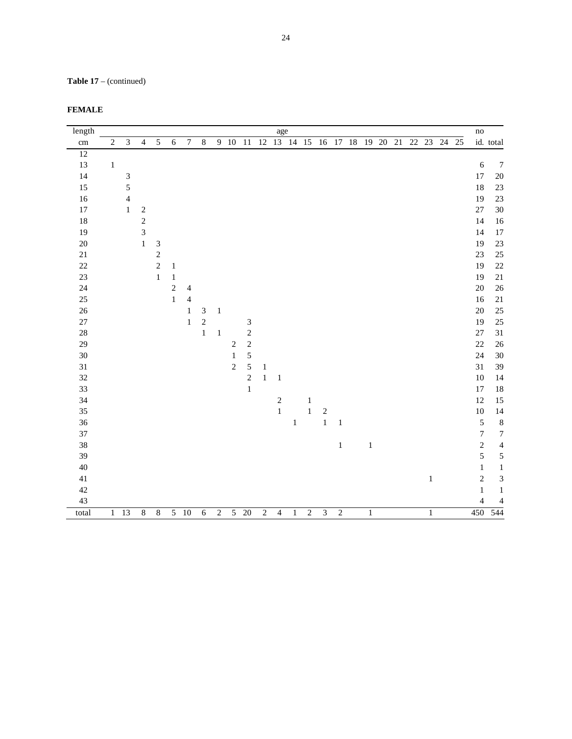**Table 17** – (continued)

| <b>FEMALE</b> |  |
|---------------|--|
|---------------|--|

| length          |                |                             |                |                |                |                |                |                |                |                |                | age            |              |                |                         |                |         |                                             |              |       | $\rm no$                |                                  |
|-----------------|----------------|-----------------------------|----------------|----------------|----------------|----------------|----------------|----------------|----------------|----------------|----------------|----------------|--------------|----------------|-------------------------|----------------|---------|---------------------------------------------|--------------|-------|-------------------------|----------------------------------|
| $\,\mathrm{cm}$ | $\overline{c}$ | $\mathfrak{Z}$              | $\overline{4}$ | $\overline{5}$ | $\sqrt{6}$     | $\overline{7}$ | $\overline{8}$ |                |                |                |                |                |              |                |                         |                |         | 9 10 11 12 13 14 15 16 17 18 19 20 21 22 23 |              | 24 25 |                         | id. total                        |
| $\overline{12}$ |                |                             |                |                |                |                |                |                |                |                |                |                |              |                |                         |                |         |                                             |              |       |                         |                                  |
| 13              | $\,1\,$        |                             |                |                |                |                |                |                |                |                |                |                |              |                |                         |                |         |                                             |              |       | $\sqrt{6}$              | $\overline{7}$                   |
| 14              |                | $\ensuremath{\mathfrak{Z}}$ |                |                |                |                |                |                |                |                |                |                |              |                |                         |                |         |                                             |              |       | 17                      | 20                               |
| 15              |                | 5                           |                |                |                |                |                |                |                |                |                |                |              |                |                         |                |         |                                             |              |       | 18                      | 23                               |
| 16              |                | $\overline{4}$              |                |                |                |                |                |                |                |                |                |                |              |                |                         |                |         |                                             |              |       | 19                      | 23                               |
| 17              |                | $\mathbf{1}$                | $\sqrt{2}$     |                |                |                |                |                |                |                |                |                |              |                |                         |                |         |                                             |              |       | $27\,$                  | 30                               |
| 18              |                |                             | $\sqrt{2}$     |                |                |                |                |                |                |                |                |                |              |                |                         |                |         |                                             |              |       | 14                      | 16                               |
| 19              |                |                             | 3              |                |                |                |                |                |                |                |                |                |              |                |                         |                |         |                                             |              |       | 14                      | 17                               |
| $20\,$          |                |                             | $\mathbf 1$    | $\sqrt{3}$     |                |                |                |                |                |                |                |                |              |                |                         |                |         |                                             |              |       | 19                      | 23                               |
| $21\,$          |                |                             |                | $\overline{c}$ |                |                |                |                |                |                |                |                |              |                |                         |                |         |                                             |              |       | 23                      | 25                               |
| $22\,$          |                |                             |                | $\sqrt{2}$     | $\mathbf{1}$   |                |                |                |                |                |                |                |              |                |                         |                |         |                                             |              |       | 19                      | 22                               |
| 23              |                |                             |                | $\,1\,$        | $\,1\,$        |                |                |                |                |                |                |                |              |                |                         |                |         |                                             |              |       | 19                      | $21\,$                           |
| 24              |                |                             |                |                | $\overline{c}$ | 4              |                |                |                |                |                |                |              |                |                         |                |         |                                             |              |       | $20\,$                  | 26                               |
| 25              |                |                             |                |                | $\mathbf{1}$   | $\overline{4}$ |                |                |                |                |                |                |              |                |                         |                |         |                                             |              |       | 16                      | $21\,$                           |
| $26\,$          |                |                             |                |                |                | $\mathbf{1}$   | $\mathfrak{Z}$ | $\mathbf{1}$   |                |                |                |                |              |                |                         |                |         |                                             |              |       | $20\,$                  | 25                               |
| $27\,$          |                |                             |                |                |                | $\mathbf{1}$   | $\overline{c}$ |                |                | $\sqrt{3}$     |                |                |              |                |                         |                |         |                                             |              |       | 19                      | 25                               |
| $28\,$          |                |                             |                |                |                |                | $\mathbf{1}$   | $\mathbf{1}$   |                | $\overline{c}$ |                |                |              |                |                         |                |         |                                             |              |       | $27\,$                  | 31                               |
| 29              |                |                             |                |                |                |                |                |                | $\sqrt{2}$     | $\sqrt{2}$     |                |                |              |                |                         |                |         |                                             |              |       | 22                      | 26                               |
| 30              |                |                             |                |                |                |                |                |                | $\,1\,$        | 5              |                |                |              |                |                         |                |         |                                             |              |       | 24                      | 30                               |
| $31\,$          |                |                             |                |                |                |                |                |                | $\overline{2}$ | 5              | $\mathbf{1}$   |                |              |                |                         |                |         |                                             |              |       | 31                      | 39                               |
| 32              |                |                             |                |                |                |                |                |                |                | $\overline{c}$ | $\mathbf{1}$   | $\mathbf{1}$   |              |                |                         |                |         |                                             |              |       | 10                      | 14                               |
| 33              |                |                             |                |                |                |                |                |                |                | $\mathbf 1$    |                |                |              |                |                         |                |         |                                             |              |       | 17                      | 18                               |
| 34              |                |                             |                |                |                |                |                |                |                |                |                | $\sqrt{2}$     |              | $\mathbf{1}$   |                         |                |         |                                             |              |       | 12                      | 15                               |
| 35              |                |                             |                |                |                |                |                |                |                |                |                | $\,1$          |              | $\,1$          | $\sqrt{2}$              |                |         |                                             |              |       | $10\,$                  | 14                               |
| 36              |                |                             |                |                |                |                |                |                |                |                |                |                | $\,1$        |                | $\,1$                   | $\mathbf{1}$   |         |                                             |              |       | $\sqrt{5}$              | $\boldsymbol{8}$                 |
| 37              |                |                             |                |                |                |                |                |                |                |                |                |                |              |                |                         |                |         |                                             |              |       | $\overline{7}$          | $\begin{array}{c} 7 \end{array}$ |
| 38              |                |                             |                |                |                |                |                |                |                |                |                |                |              |                |                         | $\,1$          | $\,1\,$ |                                             |              |       | $\overline{\mathbf{c}}$ | $\overline{4}$                   |
| 39              |                |                             |                |                |                |                |                |                |                |                |                |                |              |                |                         |                |         |                                             |              |       | 5                       | 5                                |
| 40              |                |                             |                |                |                |                |                |                |                |                |                |                |              |                |                         |                |         |                                             |              |       | $\mathbf{1}$            | $\,1\,$                          |
| $41\,$          |                |                             |                |                |                |                |                |                |                |                |                |                |              |                |                         |                |         |                                             | $\mathbf{1}$ |       | $\sqrt{2}$              | $\mathfrak{Z}$                   |
| 42              |                |                             |                |                |                |                |                |                |                |                |                |                |              |                |                         |                |         |                                             |              |       | $\mathbf{1}$            | $\,1\,$                          |
| 43              |                |                             |                |                |                |                |                |                |                |                |                |                |              |                |                         |                |         |                                             |              |       | 4                       | 4                                |
| total           | $\mathbf{1}$   | 13                          | $\overline{8}$ | $\overline{8}$ |                | $5\quad10$     | $\overline{6}$ | $\overline{2}$ |                | $5\quad20$     | $\overline{2}$ | $\overline{4}$ | $\mathbf{1}$ | $\overline{c}$ | $\overline{\mathbf{3}}$ | $\overline{2}$ | $\,1\,$ |                                             | $\,1$        |       | 450                     | $\overline{544}$                 |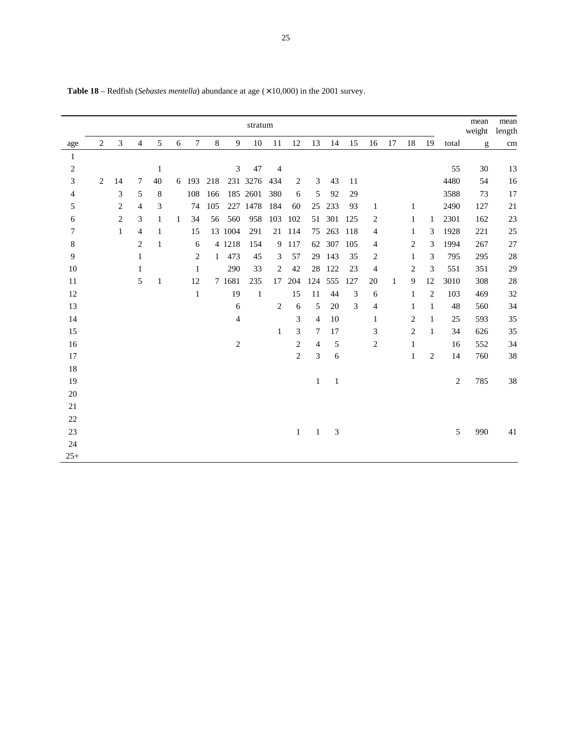|                |   |                |                |              |   |                |              |                | stratum      |                |                |                |               |                |                |              |                |                |                | mean<br>weight | mean<br>length |
|----------------|---|----------------|----------------|--------------|---|----------------|--------------|----------------|--------------|----------------|----------------|----------------|---------------|----------------|----------------|--------------|----------------|----------------|----------------|----------------|----------------|
| age            | 2 | $\mathfrak{Z}$ | $\overline{4}$ | $\sqrt{5}$   | 6 | $\tau$         | $8\,$        | 9              | 10           | 11             | 12             | 13             | 14            | 15             | 16             | 17           | 18             | 19             | total          | g              | cm             |
| 1              |   |                |                |              |   |                |              |                |              |                |                |                |               |                |                |              |                |                |                |                |                |
| $\overline{c}$ |   |                |                | $\mathbf{1}$ |   |                |              | $\mathfrak{Z}$ | 47           | $\overline{4}$ |                |                |               |                |                |              |                |                | 55             | 30             | 13             |
| 3              | 2 | 14             | 7              | 40           |   | 6 193          | 218          |                | 231 3276     | 434            | 2              | 3              | 43            | 11             |                |              |                |                | 4480           | 54             | 16             |
| 4              |   | 3              | 5              | 8            |   | 108            | 166          |                | 185 2601     | 380            | 6              | 5              | 92            | 29             |                |              |                |                | 3588           | 73             | 17             |
| 5              |   | $\mathbf{2}$   | 4              | 3            |   | 74             | 105          |                | 227 1478     | 184            | 60             | 25             | 233           | 93             | $\mathbf{1}$   |              | 1              |                | 2490           | 127            | 21             |
| 6              |   | $\mathbf{2}$   | 3              | 1            | 1 | 34             | 56           | 560            | 958          | 103            | 102            |                | 51 301        | 125            | 2              |              | 1              | 1              | 2301           | 162            | 23             |
| 7              |   | 1              | 4              | 1            |   | 15             |              | 13 1004        | 291          | 21             | 114            |                | 75 263        | 118            | 4              |              | 1              | 3              | 1928           | 221            | 25             |
| $\,8\,$        |   |                | $\overline{c}$ | 1            |   | 6              |              | 4 1218         | 154          |                | 9 117          |                | 62 307        | 105            | 4              |              | $\overline{c}$ | 3              | 1994           | 267            | 27             |
| 9              |   |                | 1              |              |   | $\overline{c}$ | $\mathbf{1}$ | 473            | 45           | 3              | 57             |                | 29 143        | 35             | 2              |              | 1              | 3              | 795            | 295            | 28             |
| $10\,$         |   |                | 1              |              |   | 1              |              | 290            | 33           | 2              | 42             | 28             | 122           | 23             | 4              |              | $\overline{2}$ | 3              | 551            | 351            | 29             |
| 11             |   |                | 5              | 1            |   | 12             |              | 7 1681         | 235          | 17             | 204            | 124            | 555           | 127            | 20             | $\mathbf{1}$ | 9              | 12             | 3010           | 308            | 28             |
| 12             |   |                |                |              |   | $\mathbf{1}$   |              | 19             | $\mathbf{1}$ |                | 15             | 11             | 44            | $\mathfrak{Z}$ | 6              |              | 1              | $\overline{c}$ | 103            | 469            | 32             |
| 13             |   |                |                |              |   |                |              | 6              |              | $\overline{2}$ | 6              | 5              | 20            | 3              | $\overline{4}$ |              | 1              | 1              | 48             | 560            | 34             |
| 14             |   |                |                |              |   |                |              | 4              |              |                | 3              | $\overline{4}$ | 10            |                | 1              |              | $\overline{2}$ | $\mathbf{1}$   | 25             | 593            | 35             |
| 15             |   |                |                |              |   |                |              |                |              | 1              | 3              | $\tau$         | 17            |                | 3              |              | $\overline{2}$ | $\mathbf{1}$   | 34             | 626            | 35             |
| 16             |   |                |                |              |   |                |              | $\sqrt{2}$     |              |                | 2              | $\overline{4}$ | 5             |                | $\overline{c}$ |              | 1              |                | 16             | 552            | 34             |
| 17             |   |                |                |              |   |                |              |                |              |                | $\overline{c}$ | 3              | 6             |                |                |              | $\mathbf{1}$   | $\overline{c}$ | 14             | 760            | 38             |
| 18             |   |                |                |              |   |                |              |                |              |                |                |                |               |                |                |              |                |                |                |                |                |
| 19             |   |                |                |              |   |                |              |                |              |                |                | $\mathbf{1}$   | $\,1\,$       |                |                |              |                |                | $\overline{c}$ | 785            | 38             |
| $20\,$         |   |                |                |              |   |                |              |                |              |                |                |                |               |                |                |              |                |                |                |                |                |
| $21\,$         |   |                |                |              |   |                |              |                |              |                |                |                |               |                |                |              |                |                |                |                |                |
| $22\,$         |   |                |                |              |   |                |              |                |              |                |                |                |               |                |                |              |                |                |                |                |                |
| 23             |   |                |                |              |   |                |              |                |              |                | $\mathbf{1}$   | $\mathbf{1}$   | $\mathfrak 3$ |                |                |              |                |                | 5              | 990            | 41             |
| 24             |   |                |                |              |   |                |              |                |              |                |                |                |               |                |                |              |                |                |                |                |                |
| $25+$          |   |                |                |              |   |                |              |                |              |                |                |                |               |                |                |              |                |                |                |                |                |

Table 18 – Redfish (*Sebastes mentella*) abundance at age ( $\times$  10,000) in the 2001 survey.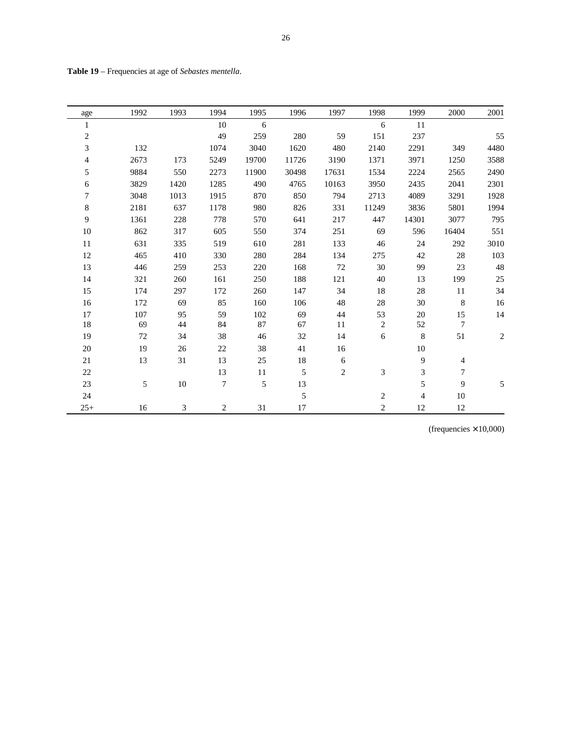| age            | 1992 | 1993   | 1994           | 1995  | 1996   | 1997           | 1998             | 1999    | 2000           | 2001       |
|----------------|------|--------|----------------|-------|--------|----------------|------------------|---------|----------------|------------|
| $\,1$          |      |        | 10             | 6     |        |                | 6                | 11      |                |            |
| $\overline{c}$ |      |        | 49             | 259   | 280    | 59             | 151              | 237     |                | 55         |
| 3              | 132  |        | 1074           | 3040  | 1620   | 480            | 2140             | 2291    | 349            | 4480       |
| 4              | 2673 | 173    | 5249           | 19700 | 11726  | 3190           | 1371             | 3971    | 1250           | 3588       |
| 5              | 9884 | 550    | 2273           | 11900 | 30498  | 17631          | 1534             | 2224    | 2565           | 2490       |
| 6              | 3829 | 1420   | 1285           | 490   | 4765   | 10163          | 3950             | 2435    | 2041           | 2301       |
| $\overline{7}$ | 3048 | 1013   | 1915           | 870   | 850    | 794            | 2713             | 4089    | 3291           | 1928       |
| 8              | 2181 | 637    | 1178           | 980   | 826    | 331            | 11249            | 3836    | 5801           | 1994       |
| 9              | 1361 | 228    | 778            | 570   | 641    | 217            | 447              | 14301   | 3077           | 795        |
| 10             | 862  | 317    | 605            | 550   | 374    | 251            | 69               | 596     | 16404          | 551        |
| 11             | 631  | 335    | 519            | 610   | 281    | 133            | 46               | 24      | 292            | 3010       |
| 12             | 465  | 410    | 330            | 280   | 284    | 134            | 275              | 42      | 28             | 103        |
| 13             | 446  | 259    | 253            | 220   | 168    | 72             | 30               | 99      | 23             | 48         |
| 14             | 321  | 260    | 161            | 250   | 188    | 121            | 40               | 13      | 199            | $25\,$     |
| 15             | 174  | 297    | 172            | 260   | 147    | 34             | 18               | $28\,$  | 11             | 34         |
| 16             | 172  | 69     | 85             | 160   | 106    | 48             | $28\,$           | 30      | $8\,$          | 16         |
| $17\,$         | 107  | 95     | 59             | 102   | 69     | 44             | 53               | 20      | 15             | 14         |
| 18             | 69   | 44     | 84             | 87    | 67     | 11             | $\sqrt{2}$       | 52      | $\overline{7}$ |            |
| 19             | 72   | 34     | 38             | 46    | 32     | 14             | 6                | $\,8\,$ | 51             | $\sqrt{2}$ |
| 20             | 19   | $26\,$ | $22\,$         | 38    | 41     | 16             |                  | 10      |                |            |
| 21             | 13   | 31     | 13             | 25    | $18\,$ | 6              |                  | 9       | 4              |            |
| $22\,$         |      |        | 13             | 11    | 5      | $\overline{2}$ | 3                | 3       | 7              |            |
| 23             | 5    | $10\,$ | $\overline{7}$ | 5     | 13     |                |                  | 5       | 9              | 5          |
| 24             |      |        |                |       | 5      |                | $\boldsymbol{2}$ | 4       | 10             |            |
| $25+$          | 16   | 3      | $\mathbf{2}$   | 31    | 17     |                | 2                | 12      | 12             |            |

| <b>Table 19</b> – Frequencies at age of Sebastes mentella. |  |
|------------------------------------------------------------|--|
|------------------------------------------------------------|--|

(frequencies  $\times$  10,000)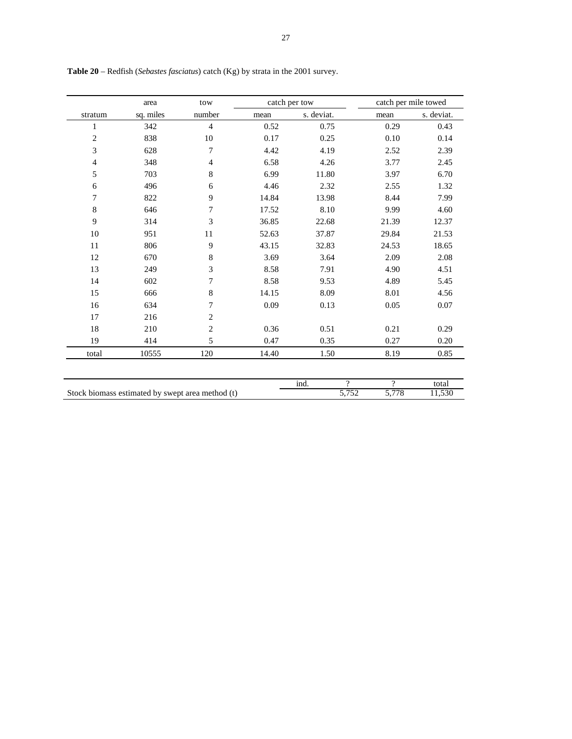|                | area                                             | tow            |       | catch per tow |                                        | catch per mile towed |
|----------------|--------------------------------------------------|----------------|-------|---------------|----------------------------------------|----------------------|
| stratum        | sq. miles                                        | number         | mean  | s. deviat.    | mean                                   | s. deviat.           |
| $\mathbf{1}$   | 342                                              | $\overline{4}$ | 0.52  | 0.75          | 0.29                                   | 0.43                 |
| $\overline{2}$ | 838                                              | 10             | 0.17  | 0.25          | 0.10                                   | 0.14                 |
| 3              | 628                                              | 7              | 4.42  | 4.19          | 2.52                                   | 2.39                 |
| $\overline{4}$ | 348                                              | $\overline{4}$ | 6.58  | 4.26          | 3.77                                   | 2.45                 |
| 5              | 703                                              | $\,8\,$        | 6.99  | 11.80         | 3.97                                   | 6.70                 |
| 6              | 496                                              | 6              | 4.46  | 2.32          | 2.55                                   | 1.32                 |
| 7              | 822                                              | 9              | 14.84 | 13.98         | 8.44                                   | 7.99                 |
| 8              | 646                                              | 7              | 17.52 | 8.10          | 9.99                                   | 4.60                 |
| 9              | 314                                              | 3              | 36.85 | 22.68         | 21.39                                  | 12.37                |
| 10             | 951                                              | 11             | 52.63 | 37.87         | 29.84                                  | 21.53                |
| 11             | 806                                              | 9              | 43.15 | 32.83         | 24.53                                  | 18.65                |
| 12             | 670                                              | 8              | 3.69  | 3.64          | 2.09                                   | 2.08                 |
| 13             | 249                                              | 3              | 8.58  | 7.91          | 4.90                                   | 4.51                 |
| 14             | 602                                              | 7              | 8.58  | 9.53          | 4.89                                   | 5.45                 |
| 15             | 666                                              | 8              | 14.15 | 8.09          | 8.01                                   | 4.56                 |
| 16             | 634                                              | 7              | 0.09  | 0.13          | 0.05                                   | 0.07                 |
| 17             | 216                                              | $\overline{2}$ |       |               |                                        |                      |
| 18             | 210                                              | $\overline{c}$ | 0.36  | 0.51          | 0.21                                   | 0.29                 |
| 19             | 414                                              | 5              | 0.47  | 0.35          | 0.27                                   | 0.20                 |
| total          | 10555                                            | 120            | 14.40 | 1.50          | 8.19                                   | 0.85                 |
|                |                                                  |                |       |               |                                        |                      |
|                | Stock biomass estimated by swept area method (t) |                |       | ind.          | $\gamma$<br>$\gamma$<br>5,752<br>5,778 | total<br>11,530      |

**Table 20** – Redfish (*Sebastes fasciatus*) catch (Kg) by strata in the 2001 survey.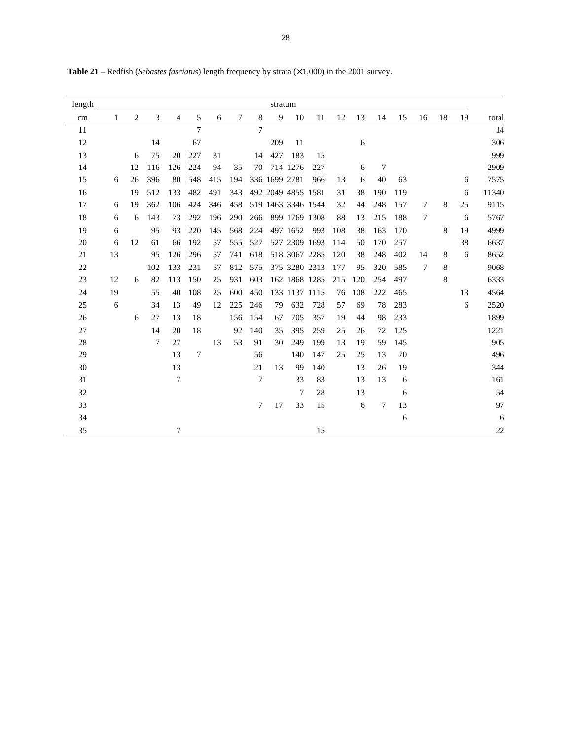| length     |    |    |     |                |                |     |     |                | stratum |                    |     |     |     |        |     |        |    |    |       |
|------------|----|----|-----|----------------|----------------|-----|-----|----------------|---------|--------------------|-----|-----|-----|--------|-----|--------|----|----|-------|
| $\,\rm cm$ | 1  | 2  | 3   | $\overline{4}$ | 5              | 6   | 7   | $8\,$          | 9       | 10                 | 11  | 12  | 13  | 14     | 15  | 16     | 18 | 19 | total |
| 11         |    |    |     |                | $\overline{7}$ |     |     | $\overline{7}$ |         |                    |     |     |     |        |     |        |    |    | 14    |
| 12         |    |    | 14  |                | 67             |     |     |                | 209     | 11                 |     |     | 6   |        |     |        |    |    | 306   |
| 13         |    | 6  | 75  | 20             | 227            | 31  |     | 14             | 427     | 183                | 15  |     |     |        |     |        |    |    | 999   |
| 14         |    | 12 | 116 | 126            | 224            | 94  | 35  | 70             |         | 714 1276           | 227 |     | 6   | $\tau$ |     |        |    |    | 2909  |
| 15         | 6  | 26 | 396 | 80             | 548            | 415 | 194 |                |         | 336 1699 2781      | 966 | 13  | 6   | 40     | 63  |        |    | 6  | 7575  |
| 16         |    | 19 | 512 | 133            | 482            | 491 | 343 |                |         | 492 2049 4855 1581 |     | 31  | 38  | 190    | 119 |        |    | 6  | 11340 |
| 17         | 6  | 19 | 362 | 106            | 424            | 346 | 458 |                |         | 519 1463 3346 1544 |     | 32  | 44  | 248    | 157 | 7      | 8  | 25 | 9115  |
| 18         | 6  | 6  | 143 | 73             | 292            | 196 | 290 | 266            |         | 899 1769 1308      |     | 88  | 13  | 215    | 188 | $\tau$ |    | 6  | 5767  |
| 19         | 6  |    | 95  | 93             | 220            | 145 | 568 | 224            |         | 497 1652           | 993 | 108 | 38  | 163    | 170 |        | 8  | 19 | 4999  |
| 20         | 6  | 12 | 61  | 66             | 192            | 57  | 555 | 527            |         | 527 2309 1693      |     | 114 | 50  | 170    | 257 |        |    | 38 | 6637  |
| 21         | 13 |    | 95  | 126            | 296            | 57  | 741 | 618            |         | 518 3067 2285      |     | 120 | 38  | 248    | 402 | 14     | 8  | 6  | 8652  |
| $22\,$     |    |    | 102 | 133            | 231            | 57  | 812 | 575            |         | 375 3280 2313      |     | 177 | 95  | 320    | 585 | 7      | 8  |    | 9068  |
| $23\,$     | 12 | 6  | 82  | 113            | 150            | 25  | 931 | 603            |         | 162 1868 1285      |     | 215 | 120 | 254    | 497 |        | 8  |    | 6333  |
| 24         | 19 |    | 55  | 40             | 108            | 25  | 600 | 450            |         | 133 1137 1115      |     | 76  | 108 | 222    | 465 |        |    | 13 | 4564  |
| $25\,$     | 6  |    | 34  | 13             | 49             | 12  | 225 | 246            | 79      | 632                | 728 | 57  | 69  | 78     | 283 |        |    | 6  | 2520  |
| 26         |    | 6  | 27  | 13             | 18             |     | 156 | 154            | 67      | 705                | 357 | 19  | 44  | 98     | 233 |        |    |    | 1899  |
| 27         |    |    | 14  | 20             | 18             |     | 92  | 140            | 35      | 395                | 259 | 25  | 26  | 72     | 125 |        |    |    | 1221  |
| $28\,$     |    |    | 7   | 27             |                | 13  | 53  | 91             | 30      | 249                | 199 | 13  | 19  | 59     | 145 |        |    |    | 905   |
| 29         |    |    |     | 13             | 7              |     |     | 56             |         | 140                | 147 | 25  | 25  | 13     | 70  |        |    |    | 496   |
| 30         |    |    |     | 13             |                |     |     | 21             | 13      | 99                 | 140 |     | 13  | 26     | 19  |        |    |    | 344   |
| 31         |    |    |     | $\overline{7}$ |                |     |     | $\overline{7}$ |         | 33                 | 83  |     | 13  | 13     | 6   |        |    |    | 161   |
| 32         |    |    |     |                |                |     |     |                |         | 7                  | 28  |     | 13  |        | 6   |        |    |    | 54    |
| 33         |    |    |     |                |                |     |     | $\tau$         | 17      | 33                 | 15  |     | 6   | $\tau$ | 13  |        |    |    | 97    |
| 34         |    |    |     |                |                |     |     |                |         |                    |     |     |     |        | 6   |        |    |    | 6     |
| 35         |    |    |     | 7              |                |     |     |                |         |                    | 15  |     |     |        |     |        |    |    | 22    |

**Table 21** – Redfish (*Sebastes fasciatus*) length frequency by strata (× 1,000) in the 2001 survey.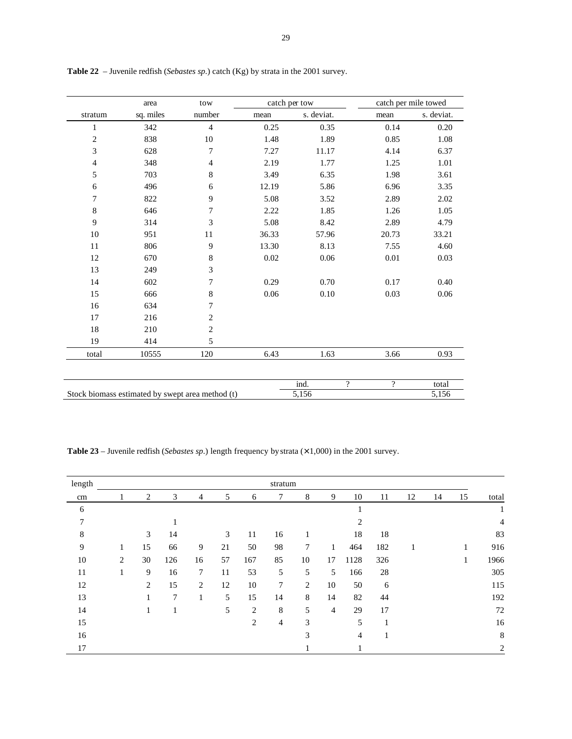|                | area                                             | tow            |       | catch per tow              |                | catch per mile towed |
|----------------|--------------------------------------------------|----------------|-------|----------------------------|----------------|----------------------|
| stratum        | sq. miles                                        | number         | mean  | s. deviat.                 | mean           | s. deviat.           |
| 1              | 342                                              | $\overline{4}$ | 0.25  | 0.35                       | 0.14           | 0.20                 |
| $\overline{2}$ | 838                                              | $10\,$         | 1.48  | 1.89                       | 0.85           | $1.08\,$             |
| 3              | 628                                              | $\overline{7}$ | 7.27  | 11.17                      | 4.14           | 6.37                 |
| $\overline{4}$ | 348                                              | $\overline{4}$ | 2.19  | 1.77                       | 1.25           | 1.01                 |
| 5              | 703                                              | $\,8\,$        | 3.49  | 6.35                       | 1.98           | 3.61                 |
| 6              | 496                                              | 6              | 12.19 | 5.86                       | 6.96           | 3.35                 |
| 7              | 822                                              | 9              | 5.08  | 3.52                       | 2.89           | 2.02                 |
| 8              | 646                                              | $\tau$         | 2.22  | 1.85                       | 1.26           | 1.05                 |
| 9              | 314                                              | 3              | 5.08  | 8.42                       | 2.89           | 4.79                 |
| $10\,$         | 951                                              | 11             | 36.33 | 57.96                      | 20.73          | 33.21                |
| 11             | 806                                              | 9              | 13.30 | 8.13                       | 7.55           | 4.60                 |
| 12             | 670                                              | 8              | 0.02  | 0.06                       | $0.01\,$       | 0.03                 |
| 13             | 249                                              | $\mathfrak{Z}$ |       |                            |                |                      |
| 14             | 602                                              | $\overline{7}$ | 0.29  | 0.70                       | 0.17           | 0.40                 |
| 15             | 666                                              | 8              | 0.06  | $0.10\,$                   | 0.03           | 0.06                 |
| 16             | 634                                              | $\overline{7}$ |       |                            |                |                      |
| 17             | 216                                              | $\mathbf{2}$   |       |                            |                |                      |
| $18\,$         | 210                                              | $\overline{c}$ |       |                            |                |                      |
| 19             | 414                                              | 5              |       |                            |                |                      |
| total          | 10555                                            | 120            | 6.43  | 1.63                       | 3.66           | 0.93                 |
|                |                                                  |                |       | ind.<br>$\overline{\cdot}$ | $\overline{?}$ | total                |
|                | Stock biomass estimated by swept area method (t) |                |       | $\overline{5,156}$         |                | 5,156                |

**Table 22** – Juvenile redfish (*Sebastes sp*.) catch (Kg) by strata in the 2001 survey.

**Table 23** – Juvenile redfish (*Sebastes sp*.) length frequency by strata (× 1,000) in the 2001 survey.

| length |   |    |     |                |    |     | stratum |        |                |      |     |    |    |    |                |
|--------|---|----|-----|----------------|----|-----|---------|--------|----------------|------|-----|----|----|----|----------------|
| cm     |   | 2  | 3   | $\overline{4}$ | 5  | 6   | 7       | 8      | 9              | 10   | 11  | 12 | 14 | 15 | total          |
| 6      |   |    |     |                |    |     |         |        |                |      |     |    |    |    |                |
| $\tau$ |   |    |     |                |    |     |         |        |                | 2    |     |    |    |    | $\overline{4}$ |
| 8      |   | 3  | 14  |                | 3  | 11  | 16      |        |                | 18   | 18  |    |    |    | 83             |
| 9      |   | 15 | 66  | 9              | 21 | 50  | 98      | $\tau$ | 1              | 464  | 182 |    |    | 1  | 916            |
| 10     | 2 | 30 | 126 | 16             | 57 | 167 | 85      | 10     | 17             | 1128 | 326 |    |    | 1  | 1966           |
| 11     | 1 | 9  | 16  | $\tau$         | 11 | 53  | 5       | 5      | 5              | 166  | 28  |    |    |    | 305            |
| 12     |   | 2  | 15  | 2              | 12 | 10  | 7       | 2      | 10             | 50   | 6   |    |    |    | 115            |
| 13     |   |    | 7   | 1              | 5  | 15  | 14      | 8      | 14             | 82   | 44  |    |    |    | 192            |
| 14     |   | Ι. |     |                | 5  | 2   | 8       | 5      | $\overline{4}$ | 29   | 17  |    |    |    | $72\,$         |
| 15     |   |    |     |                |    | 2   | 4       | 3      |                | 5    |     |    |    |    | 16             |
| 16     |   |    |     |                |    |     |         | 3      |                | 4    |     |    |    |    | $\,8\,$        |
| 17     |   |    |     |                |    |     |         |        |                |      |     |    |    |    | $\overline{2}$ |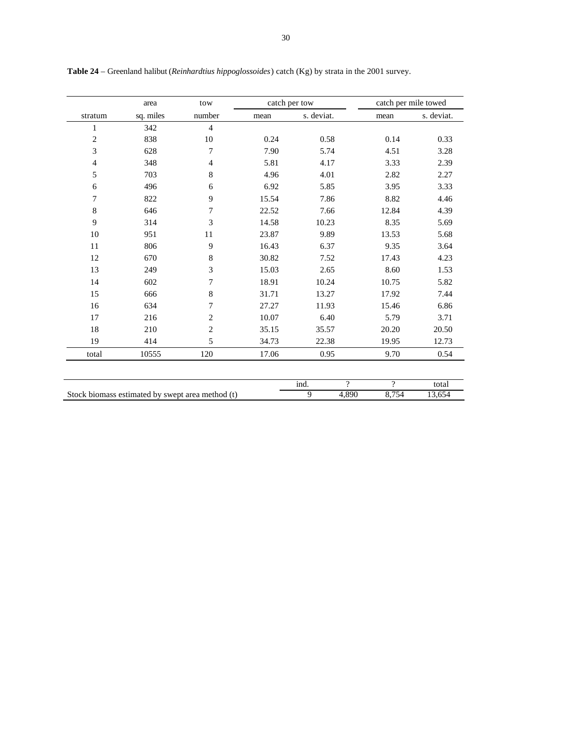|                | area      | tow            |       | catch per tow    |          | catch per mile towed |
|----------------|-----------|----------------|-------|------------------|----------|----------------------|
| stratum        | sq. miles | number         | mean  | s. deviat.       | mean     | s. deviat.           |
| $\mathbf{1}$   | 342       | $\overline{4}$ |       |                  |          |                      |
| $\mathbf{2}$   | 838       | 10             | 0.24  | 0.58             | 0.14     | 0.33                 |
| 3              | 628       | 7              | 7.90  | 5.74             | 4.51     | 3.28                 |
| $\overline{4}$ | 348       | $\overline{4}$ | 5.81  | 4.17             | 3.33     | 2.39                 |
| 5              | 703       | 8              | 4.96  | 4.01             | 2.82     | 2.27                 |
| 6              | 496       | 6              | 6.92  | 5.85             | 3.95     | 3.33                 |
| $\tau$         | 822       | 9              | 15.54 | 7.86             | 8.82     | 4.46                 |
| 8              | 646       | 7              | 22.52 | 7.66             | 12.84    | 4.39                 |
| 9              | 314       | 3              | 14.58 | 10.23            | 8.35     | 5.69                 |
| 10             | 951       | 11             | 23.87 | 9.89             | 13.53    | 5.68                 |
| 11             | 806       | 9              | 16.43 | 6.37             | 9.35     | 3.64                 |
| 12             | 670       | 8              | 30.82 | 7.52             | 17.43    | 4.23                 |
| 13             | 249       | 3              | 15.03 | 2.65             | 8.60     | 1.53                 |
| 14             | 602       | 7              | 18.91 | 10.24            | 10.75    | 5.82                 |
| 15             | 666       | 8              | 31.71 | 13.27            | 17.92    | 7.44                 |
| 16             | 634       | 7              | 27.27 | 11.93            | 15.46    | 6.86                 |
| 17             | 216       | $\overline{c}$ | 10.07 | 6.40             | 5.79     | 3.71                 |
| 18             | 210       | $\overline{c}$ | 35.15 | 35.57            | 20.20    | 20.50                |
| 19             | 414       | 5              | 34.73 | 22.38            | 19.95    | 12.73                |
| total          | 10555     | 120            | 17.06 | 0.95             | 9.70     | 0.54                 |
|                |           |                |       |                  |          |                      |
|                |           |                |       | ind.<br>$\gamma$ | $\gamma$ | total                |

Stock biomass estimated by swept area method (t)  $\overline{9}$  4,890 8,754 13,654

**Table 24** – Greenland halibut (*Reinhardtius hippoglossoides*) catch (Kg) by strata in the 2001 survey.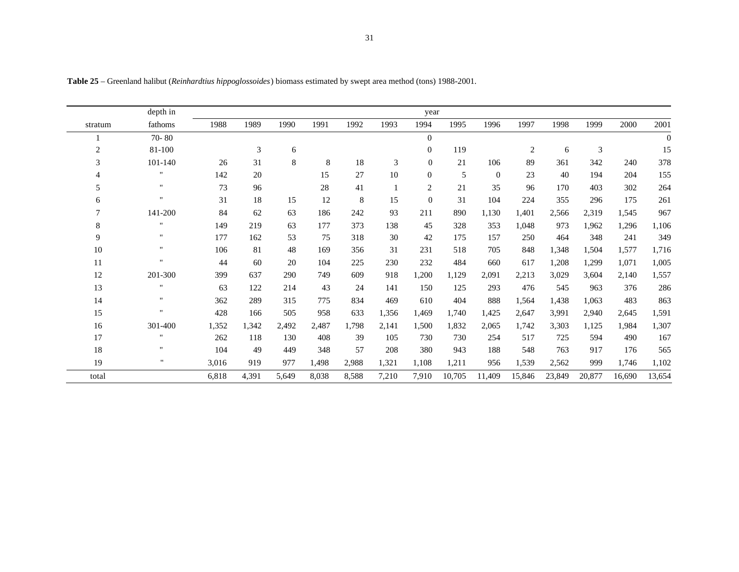|                | depth in           |       |       |       |       |       |       | year           |        |          |                |        |        |        |          |
|----------------|--------------------|-------|-------|-------|-------|-------|-------|----------------|--------|----------|----------------|--------|--------|--------|----------|
| stratum        | fathoms            | 1988  | 1989  | 1990  | 1991  | 1992  | 1993  | 1994           | 1995   | 1996     | 1997           | 1998   | 1999   | 2000   | 2001     |
|                | 70-80              |       |       |       |       |       |       | $\Omega$       |        |          |                |        |        |        | $\theta$ |
| $\overline{2}$ | 81-100             |       | 3     | 6     |       |       |       | $\Omega$       | 119    |          | $\overline{2}$ | 6      | 3      |        | 15       |
| 3              | 101-140            | 26    | 31    | 8     | 8     | 18    | 3     | $\overline{0}$ | 21     | 106      | 89             | 361    | 342    | 240    | 378      |
| 4              | $\mathbf{H}$       | 142   | 20    |       | 15    | 27    | 10    | $\overline{0}$ | 5      | $\theta$ | 23             | 40     | 194    | 204    | 155      |
| 5              | $\mathbf{H}$       | 73    | 96    |       | 28    | 41    |       | 2              | 21     | 35       | 96             | 170    | 403    | 302    | 264      |
| 6              | $\mathbf{H}$       | 31    | 18    | 15    | 12    | 8     | 15    | $\overline{0}$ | 31     | 104      | 224            | 355    | 296    | 175    | 261      |
| 7              | 141-200            | 84    | 62    | 63    | 186   | 242   | 93    | 211            | 890    | 1,130    | 1,401          | 2,566  | 2,319  | 1,545  | 967      |
| 8              | $\mathbf{H}$       | 149   | 219   | 63    | 177   | 373   | 138   | 45             | 328    | 353      | 1,048          | 973    | 1,962  | 1,296  | 1,106    |
| 9              | $\pmb{\mathsf{H}}$ | 177   | 162   | 53    | 75    | 318   | 30    | 42             | 175    | 157      | 250            | 464    | 348    | 241    | 349      |
| 10             | $\mathbf{H}$       | 106   | 81    | 48    | 169   | 356   | 31    | 231            | 518    | 705      | 848            | 1,348  | 1,504  | 1,577  | 1,716    |
| 11             | $\mathbf{H}$       | 44    | 60    | 20    | 104   | 225   | 230   | 232            | 484    | 660      | 617            | 1,208  | 1,299  | 1,071  | 1,005    |
| 12             | 201-300            | 399   | 637   | 290   | 749   | 609   | 918   | 1,200          | 1,129  | 2,091    | 2,213          | 3,029  | 3,604  | 2,140  | 1,557    |
| 13             | $\mathbf{H}$       | 63    | 122   | 214   | 43    | 24    | 141   | 150            | 125    | 293      | 476            | 545    | 963    | 376    | 286      |
| 14             | $\pmb{\mathsf{H}}$ | 362   | 289   | 315   | 775   | 834   | 469   | 610            | 404    | 888      | 1,564          | 1,438  | 1,063  | 483    | 863      |
| 15             | $\mathbf{u}$       | 428   | 166   | 505   | 958   | 633   | 1,356 | 1,469          | 1,740  | 1,425    | 2,647          | 3,991  | 2,940  | 2,645  | 1,591    |
| 16             | 301-400            | 1,352 | 1,342 | 2,492 | 2,487 | 1,798 | 2,141 | 1,500          | 1,832  | 2,065    | 1,742          | 3,303  | 1,125  | 1,984  | 1,307    |
| 17             | $\mathbf{H}$       | 262   | 118   | 130   | 408   | 39    | 105   | 730            | 730    | 254      | 517            | 725    | 594    | 490    | 167      |
| 18             | $\pmb{\mathsf{H}}$ | 104   | 49    | 449   | 348   | 57    | 208   | 380            | 943    | 188      | 548            | 763    | 917    | 176    | 565      |
| 19             | $\mathbf{H}$       | 3,016 | 919   | 977   | 1,498 | 2,988 | 1,321 | 1,108          | 1,211  | 956      | 1,539          | 2,562  | 999    | 1,746  | 1,102    |
| total          |                    | 6,818 | 4,391 | 5,649 | 8,038 | 8,588 | 7,210 | 7,910          | 10,705 | 11,409   | 15,846         | 23,849 | 20,877 | 16,690 | 13,654   |

**Table 25** – Greenland halibut (*Reinhardtius hippoglossoides*) biomass estimated by swept area method (tons) 1988-2001.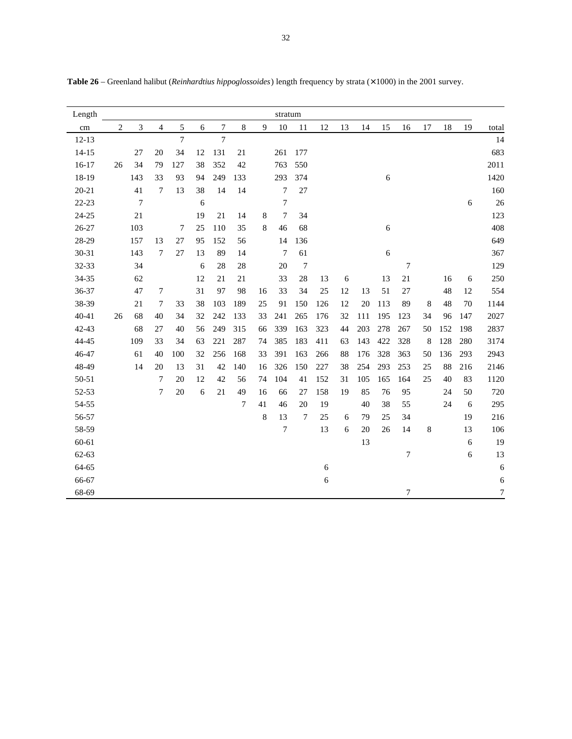| Length    |                |                |                          |                |    |                  |     |    | stratum |                |     |    |     |     |                  |    |     |     |                |
|-----------|----------------|----------------|--------------------------|----------------|----|------------------|-----|----|---------|----------------|-----|----|-----|-----|------------------|----|-----|-----|----------------|
| cm        | $\overline{c}$ | $\overline{3}$ | $\overline{\mathcal{L}}$ | 5              | 6  | $\boldsymbol{7}$ | 8   | 9  | 10      | 11             | 12  | 13 | 14  | 15  | 16               | 17 | 18  | 19  | total          |
| $12 - 13$ |                |                |                          | $\overline{7}$ |    | $\overline{7}$   |     |    |         |                |     |    |     |     |                  |    |     |     | 14             |
| $14 - 15$ |                | 27             | 20                       | 34             | 12 | 131              | 21  |    | 261     | 177            |     |    |     |     |                  |    |     |     | 683            |
| $16-17$   | 26             | 34             | 79                       | 127            | 38 | 352              | 42  |    | 763     | 550            |     |    |     |     |                  |    |     |     | 2011           |
| 18-19     |                | 143            | 33                       | 93             | 94 | 249              | 133 |    | 293     | 374            |     |    |     | 6   |                  |    |     |     | 1420           |
| $20 - 21$ |                | 41             | 7                        | 13             | 38 | 14               | 14  |    | 7       | $27\,$         |     |    |     |     |                  |    |     |     | 160            |
| $22 - 23$ |                | $\overline{7}$ |                          |                | 6  |                  |     |    | 7       |                |     |    |     |     |                  |    |     | 6   | 26             |
| $24 - 25$ |                | 21             |                          |                | 19 | 21               | 14  | 8  | 7       | 34             |     |    |     |     |                  |    |     |     | 123            |
| $26 - 27$ |                | 103            |                          | 7              | 25 | 110              | 35  | 8  | 46      | 68             |     |    |     | 6   |                  |    |     |     | 408            |
| 28-29     |                | 157            | 13                       | 27             | 95 | 152              | 56  |    | 14      | 136            |     |    |     |     |                  |    |     |     | 649            |
| 30-31     |                | 143            | 7                        | 27             | 13 | 89               | 14  |    | 7       | 61             |     |    |     | 6   |                  |    |     |     | 367            |
| 32-33     |                | 34             |                          |                | 6  | 28               | 28  |    | 20      | $\overline{7}$ |     |    |     |     | $\boldsymbol{7}$ |    |     |     | 129            |
| 34-35     |                | 62             |                          |                | 12 | 21               | 21  |    | 33      | 28             | 13  | 6  |     | 13  | 21               |    | 16  | 6   | 250            |
| 36-37     |                | 47             | 7                        |                | 31 | 97               | 98  | 16 | 33      | 34             | 25  | 12 | 13  | 51  | 27               |    | 48  | 12  | 554            |
| 38-39     |                | 21             | 7                        | 33             | 38 | 103              | 189 | 25 | 91      | 150            | 126 | 12 | 20  | 113 | 89               | 8  | 48  | 70  | 1144           |
| $40 - 41$ | 26             | 68             | 40                       | 34             | 32 | 242              | 133 | 33 | 241     | 265            | 176 | 32 | 111 | 195 | 123              | 34 | 96  | 147 | 2027           |
| 42-43     |                | 68             | 27                       | 40             | 56 | 249              | 315 | 66 | 339     | 163            | 323 | 44 | 203 | 278 | 267              | 50 | 152 | 198 | 2837           |
| 44-45     |                | 109            | 33                       | 34             | 63 | 221              | 287 | 74 | 385     | 183            | 411 | 63 | 143 | 422 | 328              | 8  | 128 | 280 | 3174           |
| 46-47     |                | 61             | 40                       | 100            | 32 | 256              | 168 | 33 | 391     | 163            | 266 | 88 | 176 | 328 | 363              | 50 | 136 | 293 | 2943           |
| 48-49     |                | 14             | 20                       | 13             | 31 | 42               | 140 | 16 | 326     | 150            | 227 | 38 | 254 | 293 | 253              | 25 | 88  | 216 | 2146           |
| $50 - 51$ |                |                | $\overline{7}$           | 20             | 12 | 42               | 56  | 74 | 104     | 41             | 152 | 31 | 105 | 165 | 164              | 25 | 40  | 83  | 1120           |
| 52-53     |                |                | 7                        | 20             | 6  | 21               | 49  | 16 | 66      | 27             | 158 | 19 | 85  | 76  | 95               |    | 24  | 50  | 720            |
| 54-55     |                |                |                          |                |    |                  | 7   | 41 | 46      | 20             | 19  |    | 40  | 38  | 55               |    | 24  | 6   | 295            |
| 56-57     |                |                |                          |                |    |                  |     | 8  | 13      | $\overline{7}$ | 25  | 6  | 79  | 25  | 34               |    |     | 19  | 216            |
| 58-59     |                |                |                          |                |    |                  |     |    | 7       |                | 13  | 6  | 20  | 26  | 14               | 8  |     | 13  | 106            |
| 60-61     |                |                |                          |                |    |                  |     |    |         |                |     |    | 13  |     |                  |    |     | 6   | 19             |
| 62-63     |                |                |                          |                |    |                  |     |    |         |                |     |    |     |     | 7                |    |     | 6   | 13             |
| 64-65     |                |                |                          |                |    |                  |     |    |         |                | 6   |    |     |     |                  |    |     |     | 6              |
| 66-67     |                |                |                          |                |    |                  |     |    |         |                | 6   |    |     |     |                  |    |     |     | $\sqrt{6}$     |
| 68-69     |                |                |                          |                |    |                  |     |    |         |                |     |    |     |     | 7                |    |     |     | $\overline{7}$ |

**Table 26** – Greenland halibut (*Reinhardtius hippoglossoides*) length frequency by strata (× 1000) in the 2001 survey.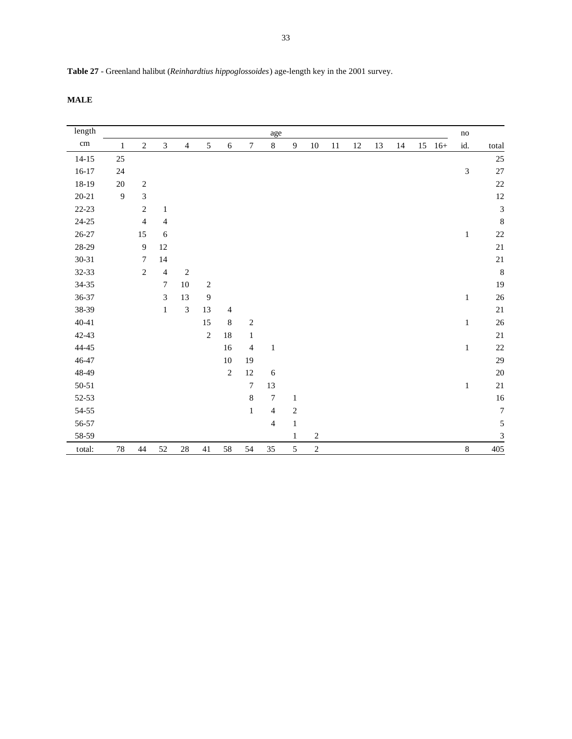**Table 27** - Greenland halibut (*Reinhardtius hippoglossoides*) age-length key in the 2001 survey.

**MALE**

| $\mbox{length}$ |              |                  |                |                |                |                |                  | age            |                |            |    |        |    |    |    |       | $\mathop{\mathrm{no}}$      |                             |
|-----------------|--------------|------------------|----------------|----------------|----------------|----------------|------------------|----------------|----------------|------------|----|--------|----|----|----|-------|-----------------------------|-----------------------------|
| $\,\rm cm$      | $\mathbf{1}$ | $\sqrt{2}$       | 3              | $\overline{4}$ | $\sqrt{5}$     | $\sqrt{6}$     | $\boldsymbol{7}$ | $8\,$          | $\overline{9}$ | $10\,$     | 11 | $12\,$ | 13 | 14 | 15 | $16+$ | id.                         | total                       |
| $14 - 15$       | $25\,$       |                  |                |                |                |                |                  |                |                |            |    |        |    |    |    |       |                             | $25\,$                      |
| $16 - 17$       | 24           |                  |                |                |                |                |                  |                |                |            |    |        |    |    |    |       | $\ensuremath{\mathfrak{Z}}$ | 27                          |
| 18-19           | 20           | $\sqrt{2}$       |                |                |                |                |                  |                |                |            |    |        |    |    |    |       |                             | $22\,$                      |
| $20 - 21$       | 9            | $\mathfrak{Z}$   |                |                |                |                |                  |                |                |            |    |        |    |    |    |       |                             | $12\,$                      |
| 22-23           |              | $\overline{c}$   | $\mathbf{1}$   |                |                |                |                  |                |                |            |    |        |    |    |    |       |                             | $\ensuremath{\mathfrak{Z}}$ |
| $24 - 25$       |              | $\overline{4}$   | $\overline{4}$ |                |                |                |                  |                |                |            |    |        |    |    |    |       |                             | $\,8\,$                     |
| $26 - 27$       |              | 15               | 6              |                |                |                |                  |                |                |            |    |        |    |    |    |       | $\mathbf{1}$                | $22\,$                      |
| 28-29           |              | 9                | 12             |                |                |                |                  |                |                |            |    |        |    |    |    |       |                             | $21\,$                      |
| $30 - 31$       |              | $\boldsymbol{7}$ | 14             |                |                |                |                  |                |                |            |    |        |    |    |    |       |                             | 21                          |
| $32 - 33$       |              | $\overline{2}$   | $\overline{4}$ | $\sqrt{2}$     |                |                |                  |                |                |            |    |        |    |    |    |       |                             | $\,8\,$                     |
| $34 - 35$       |              |                  | $\overline{7}$ | $10\,$         | $\sqrt{2}$     |                |                  |                |                |            |    |        |    |    |    |       |                             | 19                          |
| $36 - 37$       |              |                  | 3              | 13             | $\overline{9}$ |                |                  |                |                |            |    |        |    |    |    |       | $\mathbf{1}$                | $26\,$                      |
| 38-39           |              |                  | $\,1$          | $\mathfrak{Z}$ | 13             | $\overline{4}$ |                  |                |                |            |    |        |    |    |    |       |                             | $21\,$                      |
| $40 - 41$       |              |                  |                |                | 15             | $\,8\,$        | $\sqrt{2}$       |                |                |            |    |        |    |    |    |       | $\mathbf{1}$                | $26\,$                      |
| $42 - 43$       |              |                  |                |                | $\overline{c}$ | $18\,$         | $\mathbf{1}$     |                |                |            |    |        |    |    |    |       |                             | $21\,$                      |
| $44 - 45$       |              |                  |                |                |                | 16             | $\overline{4}$   | $\mathbf{1}$   |                |            |    |        |    |    |    |       | $\mathbf{1}$                | $22\,$                      |
| $46 - 47$       |              |                  |                |                |                | 10             | 19               |                |                |            |    |        |    |    |    |       |                             | 29                          |
| 48-49           |              |                  |                |                |                | $\overline{2}$ | 12               | 6              |                |            |    |        |    |    |    |       |                             | $20\,$                      |
| $50 - 51$       |              |                  |                |                |                |                | $\boldsymbol{7}$ | 13             |                |            |    |        |    |    |    |       | $\mathbf{1}$                | 21                          |
| 52-53           |              |                  |                |                |                |                | $\,8\,$          | $\tau$         | $\mathbf{1}$   |            |    |        |    |    |    |       |                             | $16\,$                      |
| 54-55           |              |                  |                |                |                |                | $\,1\,$          | $\overline{4}$ | $\overline{c}$ |            |    |        |    |    |    |       |                             | $\boldsymbol{7}$            |
| 56-57           |              |                  |                |                |                |                |                  | $\overline{4}$ | $\mathbf{1}$   |            |    |        |    |    |    |       |                             | $\sqrt{5}$                  |
| 58-59           |              |                  |                |                |                |                |                  |                | $\mathbf{1}$   | $\sqrt{2}$ |    |        |    |    |    |       |                             | $\ensuremath{\mathfrak{Z}}$ |
| total:          | $78\,$       | 44               | 52             | $28\,$         | 41             | 58             | 54               | $35\,$         | $\mathfrak{S}$ | $\sqrt{2}$ |    |        |    |    |    |       | $8\,$                       | 405                         |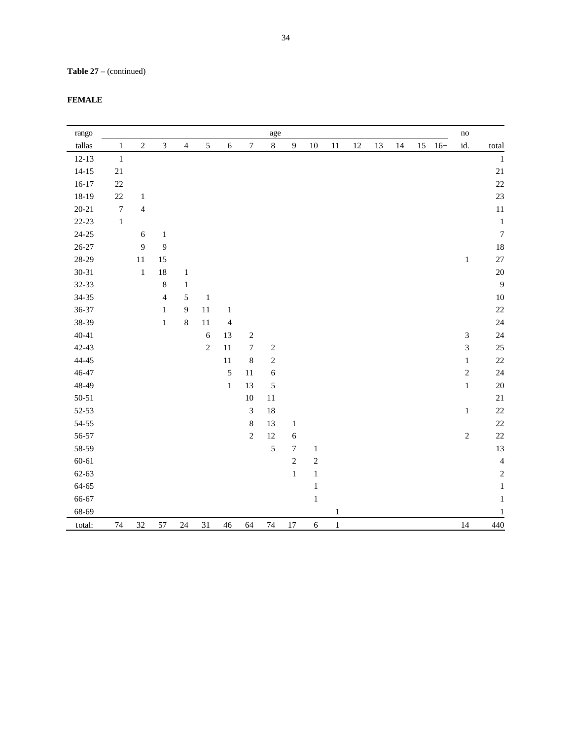# **Table 27** – (continued)

| FEMAL |
|-------|
|-------|

| rango     |                  |                |                |                |            |                |                | age              |                  |            |              |        |    |    |        |       | no             |                  |
|-----------|------------------|----------------|----------------|----------------|------------|----------------|----------------|------------------|------------------|------------|--------------|--------|----|----|--------|-------|----------------|------------------|
| tallas    | $\mathbf{1}$     | $\sqrt{2}$     | $\mathfrak{Z}$ | $\overline{4}$ | $\sqrt{5}$ | $\sqrt{6}$     | 7              | $\,8\,$          | $\overline{9}$   | $10\,$     | $11\,$       | $12\,$ | 13 | 14 | $15\,$ | $16+$ | id.            | total            |
| $12 - 13$ | $1\,$            |                |                |                |            |                |                |                  |                  |            |              |        |    |    |        |       |                | $1\,$            |
| $14 - 15$ | $21\,$           |                |                |                |            |                |                |                  |                  |            |              |        |    |    |        |       |                | $21\,$           |
| $16 - 17$ | $22\,$           |                |                |                |            |                |                |                  |                  |            |              |        |    |    |        |       |                | $22\,$           |
| 18-19     | $22\,$           | $\mathbf{1}$   |                |                |            |                |                |                  |                  |            |              |        |    |    |        |       |                | 23               |
| $20 - 21$ | $\boldsymbol{7}$ | $\overline{4}$ |                |                |            |                |                |                  |                  |            |              |        |    |    |        |       |                | $11\,$           |
| $22 - 23$ | $\,1$            |                |                |                |            |                |                |                  |                  |            |              |        |    |    |        |       |                | $1\,$            |
| $24 - 25$ |                  | $\sqrt{6}$     | $\mathbf{1}$   |                |            |                |                |                  |                  |            |              |        |    |    |        |       |                | $\boldsymbol{7}$ |
| $26 - 27$ |                  | 9              | 9              |                |            |                |                |                  |                  |            |              |        |    |    |        |       |                | $18\,$           |
| 28-29     |                  | $11\,$         | 15             |                |            |                |                |                  |                  |            |              |        |    |    |        |       | $\,1$          | $27\,$           |
| $30 - 31$ |                  | $\,1$          | $18\,$         | $\mathbf{1}$   |            |                |                |                  |                  |            |              |        |    |    |        |       |                | $20\,$           |
| 32-33     |                  |                | $\,8\,$        | $\mathbf{1}$   |            |                |                |                  |                  |            |              |        |    |    |        |       |                | $\overline{9}$   |
| 34-35     |                  |                | $\overline{4}$ | $\sqrt{5}$     | $\,1\,$    |                |                |                  |                  |            |              |        |    |    |        |       |                | $10\,$           |
| 36-37     |                  |                | $\mathbf 1$    | $\overline{9}$ | 11         | $\mathbf 1$    |                |                  |                  |            |              |        |    |    |        |       |                | $22\,$           |
| 38-39     |                  |                | $\,1\,$        | $\,8\,$        | $11\,$     | $\overline{4}$ |                |                  |                  |            |              |        |    |    |        |       |                | $24\,$           |
| $40 - 41$ |                  |                |                |                | $\sqrt{6}$ | 13             | $\sqrt{2}$     |                  |                  |            |              |        |    |    |        |       | $\sqrt{3}$     | 24               |
| 42-43     |                  |                |                |                | $\sqrt{2}$ | 11             | $\tau$         | $\boldsymbol{2}$ |                  |            |              |        |    |    |        |       | $\mathfrak{Z}$ | $25\,$           |
| 44-45     |                  |                |                |                |            | 11             | $\,8\,$        | $\sqrt{2}$       |                  |            |              |        |    |    |        |       | $\,1$          | $22\,$           |
| 46-47     |                  |                |                |                |            | 5              | 11             | $\sqrt{6}$       |                  |            |              |        |    |    |        |       | $\sqrt{2}$     | $24\,$           |
| 48-49     |                  |                |                |                |            | $\,1\,$        | 13             | $\sqrt{5}$       |                  |            |              |        |    |    |        |       | $\,1$          | $20\,$           |
| $50 - 51$ |                  |                |                |                |            |                | $10\,$         | $11\,$           |                  |            |              |        |    |    |        |       |                | $21\,$           |
| 52-53     |                  |                |                |                |            |                | 3              | 18               |                  |            |              |        |    |    |        |       | $\mathbf{1}$   | 22               |
| 54-55     |                  |                |                |                |            |                | 8              | 13               | $\mathbf{1}$     |            |              |        |    |    |        |       |                | $22\,$           |
| 56-57     |                  |                |                |                |            |                | $\overline{c}$ | 12               | $\sqrt{6}$       |            |              |        |    |    |        |       | $\sqrt{2}$     | $22\,$           |
| 58-59     |                  |                |                |                |            |                |                | 5                | $\boldsymbol{7}$ | $\,1\,$    |              |        |    |    |        |       |                | 13               |
| $60 - 61$ |                  |                |                |                |            |                |                |                  | $\sqrt{2}$       | $\sqrt{2}$ |              |        |    |    |        |       |                | $\overline{4}$   |
| $62 - 63$ |                  |                |                |                |            |                |                |                  | $\,1\,$          | $\,1\,$    |              |        |    |    |        |       |                | $\sqrt{2}$       |
| 64-65     |                  |                |                |                |            |                |                |                  |                  | $\,1\,$    |              |        |    |    |        |       |                | $\mathbf 1$      |
| 66-67     |                  |                |                |                |            |                |                |                  |                  | $\,1\,$    |              |        |    |    |        |       |                | $\mathbf{1}$     |
| 68-69     |                  |                |                |                |            |                |                |                  |                  |            | $\mathbf{1}$ |        |    |    |        |       |                | 1                |
| total:    | 74               | $32\,$         | 57             | 24             | 31         | $46\,$         | 64             | $74\,$           | $17\,$           | $\sqrt{6}$ | $\,1\,$      |        |    |    |        |       | 14             | 440              |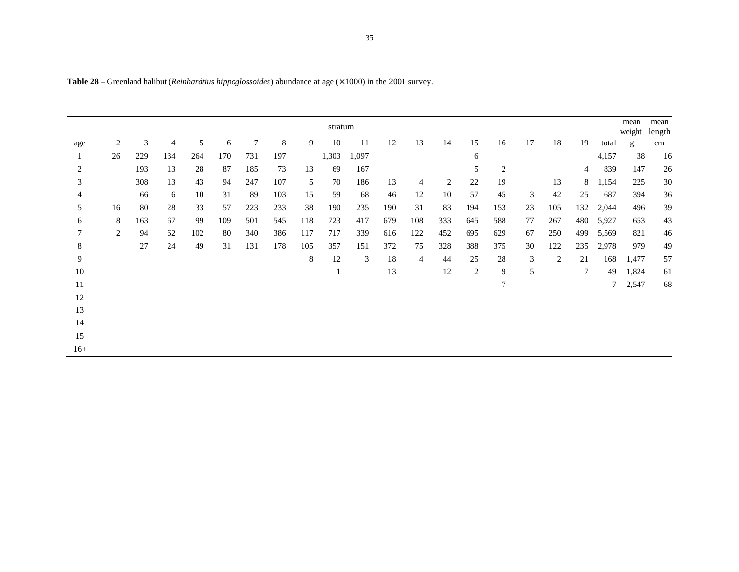|         | stratum |     |     |     |     |     |     |     |       |       |     |                |     |                |     |    | mean<br>weight | mean<br>length |       |       |    |
|---------|---------|-----|-----|-----|-----|-----|-----|-----|-------|-------|-----|----------------|-----|----------------|-----|----|----------------|----------------|-------|-------|----|
| age     | 2       | 3   | 4   | 5   | 6   | 7   | 8   | 9   | 10    | 11    | 12  | 13             | 14  | 15             | 16  | 17 | 18             | 19             | total | g     | cm |
| $\perp$ | 26      | 229 | 134 | 264 | 170 | 731 | 197 |     | 1,303 | 1,097 |     |                |     | 6              |     |    |                |                | 4,157 | 38    | 16 |
| 2       |         | 193 | 13  | 28  | 87  | 185 | 73  | 13  | 69    | 167   |     |                |     | 5              | 2   |    |                | 4              | 839   | 147   | 26 |
| 3       |         | 308 | 13  | 43  | 94  | 247 | 107 | 5   | 70    | 186   | 13  | $\overline{4}$ | 2   | 22             | 19  |    | 13             | 8              | 1,154 | 225   | 30 |
| 4       |         | 66  | 6   | 10  | 31  | 89  | 103 | 15  | 59    | 68    | 46  | 12             | 10  | 57             | 45  | 3  | 42             | 25             | 687   | 394   | 36 |
| 5       | 16      | 80  | 28  | 33  | 57  | 223 | 233 | 38  | 190   | 235   | 190 | 31             | 83  | 194            | 153 | 23 | 105            | 132            | 2,044 | 496   | 39 |
| 6       | 8       | 163 | 67  | 99  | 109 | 501 | 545 | 118 | 723   | 417   | 679 | 108            | 333 | 645            | 588 | 77 | 267            | 480            | 5,927 | 653   | 43 |
|         | 2       | 94  | 62  | 102 | 80  | 340 | 386 | 117 | 717   | 339   | 616 | 122            | 452 | 695            | 629 | 67 | 250            | 499            | 5,569 | 821   | 46 |
| 8       |         | 27  | 24  | 49  | 31  | 131 | 178 | 105 | 357   | 151   | 372 | 75             | 328 | 388            | 375 | 30 | 122            | 235            | 2,978 | 979   | 49 |
| 9       |         |     |     |     |     |     |     | 8   | 12    | 3     | 18  | $\overline{4}$ | 44  | 25             | 28  | 3  | 2              | 21             | 168   | 1,477 | 57 |
| 10      |         |     |     |     |     |     |     |     |       |       | 13  |                | 12  | $\overline{2}$ | 9   | 5  |                | $\tau$         | 49    | 1,824 | 61 |
| 11      |         |     |     |     |     |     |     |     |       |       |     |                |     |                | 7   |    |                |                | 7     | 2,547 | 68 |
| 12      |         |     |     |     |     |     |     |     |       |       |     |                |     |                |     |    |                |                |       |       |    |
| 13      |         |     |     |     |     |     |     |     |       |       |     |                |     |                |     |    |                |                |       |       |    |
| 14      |         |     |     |     |     |     |     |     |       |       |     |                |     |                |     |    |                |                |       |       |    |
| 15      |         |     |     |     |     |     |     |     |       |       |     |                |     |                |     |    |                |                |       |       |    |
| $16+$   |         |     |     |     |     |     |     |     |       |       |     |                |     |                |     |    |                |                |       |       |    |

**Table 28** – Greenland halibut (*Reinhardtius hippoglossoides*) abundance at age (× 1000) in the 2001 survey.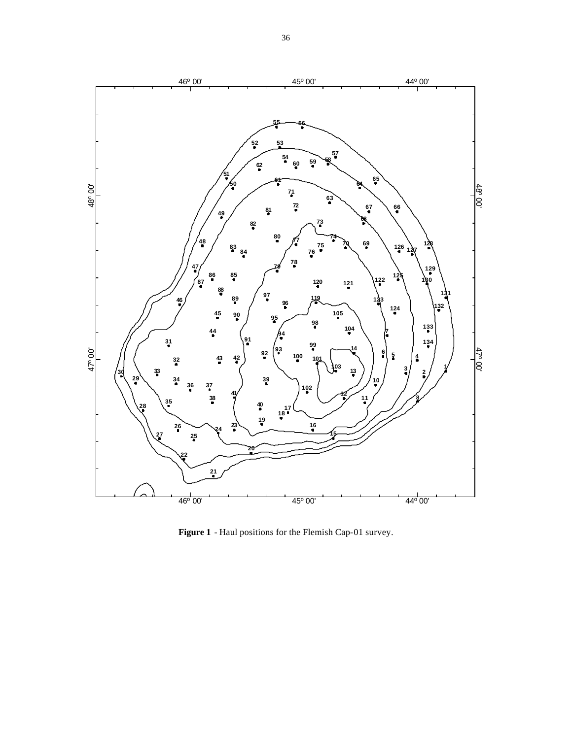

**Figure 1** - Haul positions for the Flemish Cap-01 survey.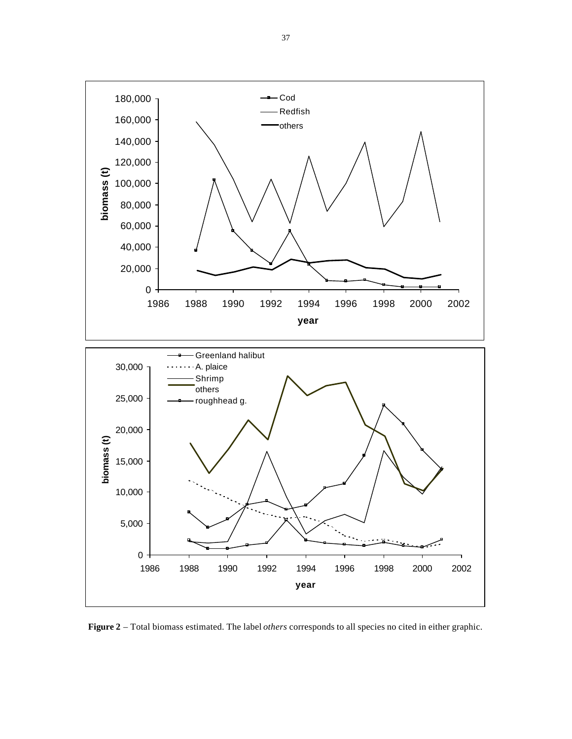

**Figure 2** – Total biomass estimated. The label *others* corresponds to all species no cited in either graphic.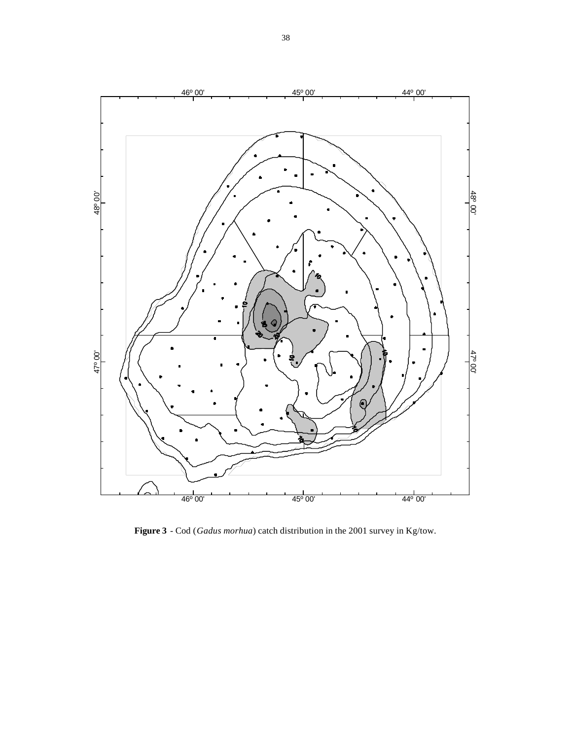

**Figure 3** - Cod (*Gadus morhua*) catch distribution in the 2001 survey in Kg/tow.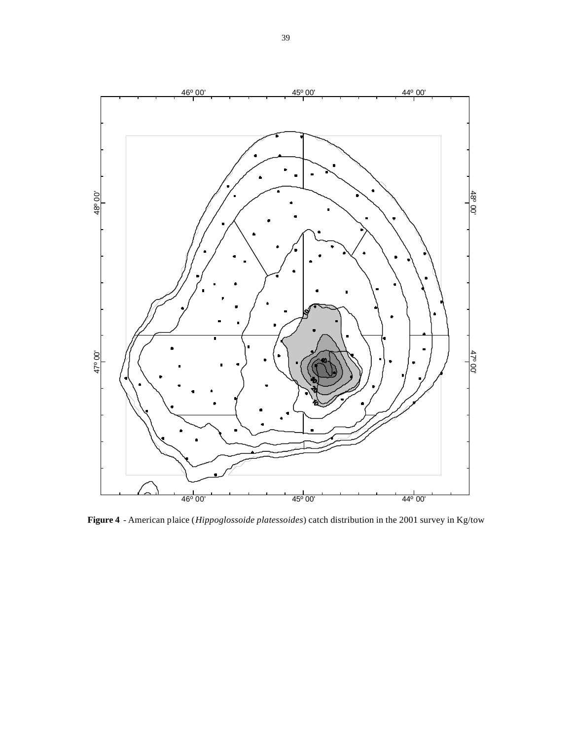

**Figure 4** - American plaice (*Hippoglossoide platessoides*) catch distribution in the 2001 survey in Kg/tow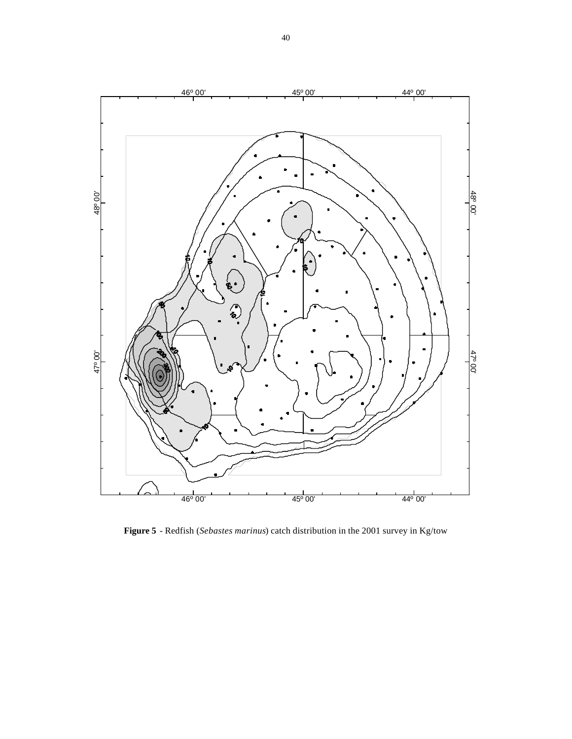

**Figure 5** - Redfish (*Sebastes marinus*) catch distribution in the 2001 survey in Kg/tow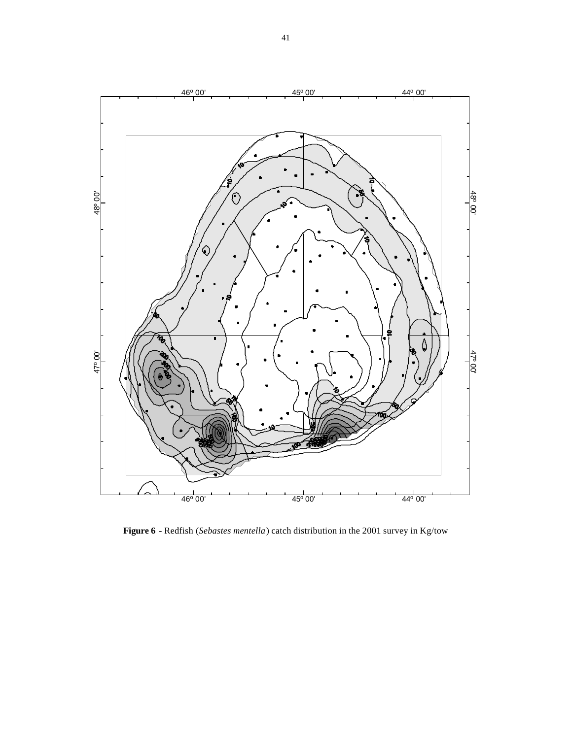

**Figure 6** - Redfish (*Sebastes mentella*) catch distribution in the 2001 survey in Kg/tow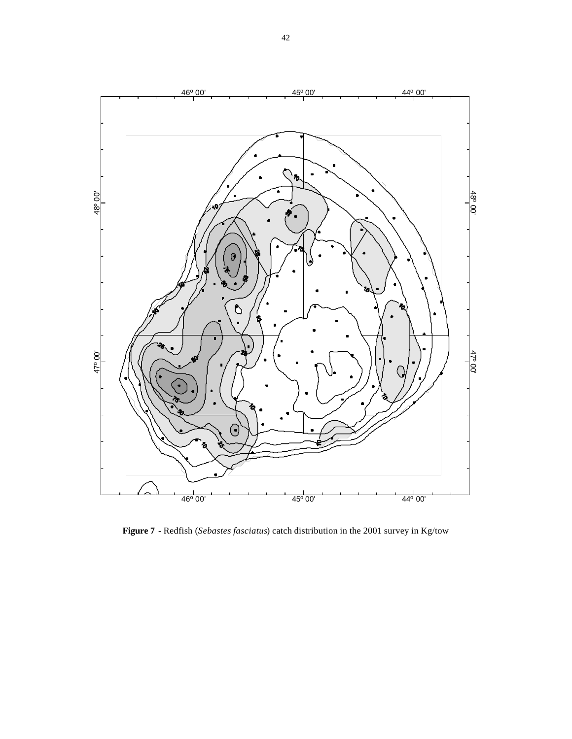

**Figure 7** - Redfish (*Sebastes fasciatus*) catch distribution in the 2001 survey in Kg/tow